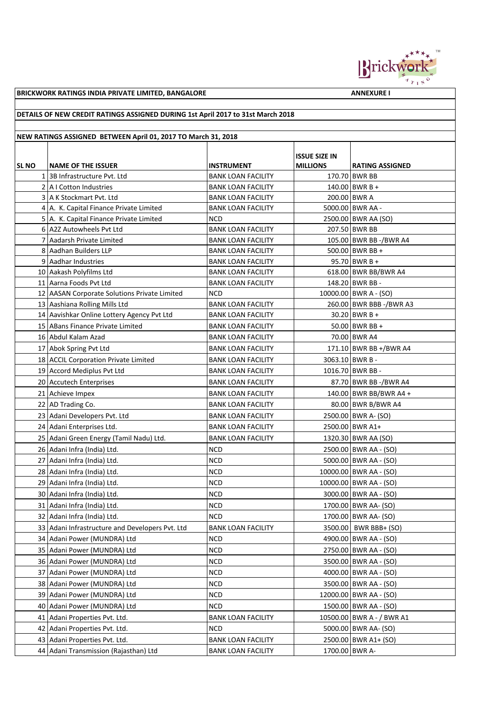

**BRICKWORK RATINGS INDIA PRIVATE LIMITED, BANGALORE ANNEXURE I** 

## **DETAILS OF NEW CREDIT RATINGS ASSIGNED DURING 1st April 2017 to 31st March 2018**

## **NEW RATINGS ASSIGNED BETWEEN April 01, 2017 TO March 31, 2018**

| <b>SL NO</b> | <b>NAME OF THE ISSUER</b>                       | <b>INSTRUMENT</b>         | <b>ISSUE SIZE IN</b><br><b>MILLIONS</b> | <b>RATING ASSIGNED</b>    |
|--------------|-------------------------------------------------|---------------------------|-----------------------------------------|---------------------------|
|              | 1 3B Infrastructure Pvt. Ltd                    | <b>BANK LOAN FACILITY</b> |                                         | 170.70 BWR BB             |
|              | $2$   A I Cotton Industries                     | <b>BANK LOAN FACILITY</b> |                                         | $140.00$ BWR B +          |
|              | 3 A K Stockmart Pvt. Ltd                        | <b>BANK LOAN FACILITY</b> |                                         | 200.00 BWR A              |
| 4            | A. K. Capital Finance Private Limited           | <b>BANK LOAN FACILITY</b> |                                         | 5000.00 BWR AA -          |
|              | 5 A. K. Capital Finance Private Limited         | <b>NCD</b>                |                                         | 2500.00 BWR AA (SO)       |
|              | 6 A2Z Autowheels Pvt Ltd                        | <b>BANK LOAN FACILITY</b> |                                         | 207.50 BWR BB             |
| 7            | Aadarsh Private Limited                         | <b>BANK LOAN FACILITY</b> |                                         | 105.00 BWR BB -/BWR A4    |
|              | 8 Aadhan Builders LLP                           | <b>BANK LOAN FACILITY</b> |                                         | 500.00 BWR BB +           |
|              | 9 Aadhar Industries                             | <b>BANK LOAN FACILITY</b> |                                         | $95.70$ BWR B +           |
|              | 10 Aakash Polyfilms Ltd                         | <b>BANK LOAN FACILITY</b> |                                         | 618.00 BWR BB/BWR A4      |
|              | 11 Aarna Foods Pvt Ltd                          | <b>BANK LOAN FACILITY</b> |                                         | 148.20 BWR BB -           |
|              | 12 AASAN Corporate Solutions Private Limited    | <b>NCD</b>                |                                         | 10000.00 BWR A - (SO)     |
|              | 13 Aashiana Rolling Mills Ltd                   | <b>BANK LOAN FACILITY</b> |                                         | 260.00 BWR BBB -/BWR A3   |
|              | 14 Aavishkar Online Lottery Agency Pvt Ltd      | <b>BANK LOAN FACILITY</b> |                                         | $30.20$ BWR B +           |
|              | 15 ABans Finance Private Limited                | <b>BANK LOAN FACILITY</b> |                                         | $50.00$ BWR BB +          |
|              | 16 Abdul Kalam Azad                             | <b>BANK LOAN FACILITY</b> |                                         | 70.00 BWR A4              |
|              | 17 Abok Spring Pvt Ltd                          | <b>BANK LOAN FACILITY</b> |                                         | 171.10 BWR BB +/BWR A4    |
|              | 18 ACCIL Corporation Private Limited            | <b>BANK LOAN FACILITY</b> |                                         | 3063.10 BWR B -           |
|              | 19 Accord Mediplus Pvt Ltd                      | <b>BANK LOAN FACILITY</b> |                                         | 1016.70 BWR BB -          |
|              | 20 Accutech Enterprises                         | <b>BANK LOAN FACILITY</b> |                                         | 87.70 BWR BB -/BWR A4     |
|              | 21 Achieve Impex                                | <b>BANK LOAN FACILITY</b> |                                         | 140.00 BWR BB/BWR A4 +    |
|              | 22 AD Trading Co.                               | <b>BANK LOAN FACILITY</b> |                                         | 80.00 BWR B/BWR A4        |
|              | 23 Adani Developers Pvt. Ltd                    | <b>BANK LOAN FACILITY</b> |                                         | 2500.00 BWR A- (SO)       |
|              | 24 Adani Enterprises Ltd.                       | <b>BANK LOAN FACILITY</b> |                                         | 2500.00 BWR A1+           |
|              | 25 Adani Green Energy (Tamil Nadu) Ltd.         | <b>BANK LOAN FACILITY</b> |                                         | 1320.30 BWR AA (SO)       |
|              | 26 Adani Infra (India) Ltd.                     | <b>NCD</b>                |                                         | 2500.00 BWR AA - (SO)     |
|              | 27 Adani Infra (India) Ltd.                     | <b>NCD</b>                |                                         | 5000.00 BWR AA - (SO)     |
|              | 28 Adani Infra (India) Ltd.                     | <b>NCD</b>                |                                         | 10000.00 BWR AA - (SO)    |
|              | 29 Adani Infra (India) Ltd.                     | <b>NCD</b>                |                                         | 10000.00 BWR AA - (SO)    |
|              | 30 Adani Infra (India) Ltd.                     | <b>NCD</b>                |                                         | 3000.00   BWR AA - (SO)   |
|              | 31 Adani Infra (India) Ltd.                     | <b>NCD</b>                |                                         | 1700.00 BWR AA- (SO)      |
|              | 32 Adani Infra (India) Ltd.                     | <b>NCD</b>                |                                         | 1700.00 BWR AA- (SO)      |
|              | 33 Adani Infrastructure and Developers Pvt. Ltd | <b>BANK LOAN FACILITY</b> |                                         | 3500.00   BWR BBB+ (SO)   |
|              | 34 Adani Power (MUNDRA) Ltd                     | <b>NCD</b>                |                                         | 4900.00 BWR AA - (SO)     |
|              | 35 Adani Power (MUNDRA) Ltd                     | <b>NCD</b>                |                                         | 2750.00 BWR AA - (SO)     |
|              | 36 Adani Power (MUNDRA) Ltd                     | <b>NCD</b>                |                                         | 3500.00 BWR AA - (SO)     |
|              | 37 Adani Power (MUNDRA) Ltd                     | <b>NCD</b>                |                                         | 4000.00 BWR AA - (SO)     |
|              | 38 Adani Power (MUNDRA) Ltd                     | <b>NCD</b>                |                                         | 3500.00 BWR AA - (SO)     |
|              | 39 Adani Power (MUNDRA) Ltd                     | <b>NCD</b>                |                                         | 12000.00 BWR AA - (SO)    |
|              | 40 Adani Power (MUNDRA) Ltd                     | <b>NCD</b>                |                                         | 1500.00 BWR AA - (SO)     |
|              | 41 Adani Properties Pvt. Ltd.                   | <b>BANK LOAN FACILITY</b> |                                         | 10500.00 BWR A - / BWR A1 |
|              | 42 Adani Properties Pvt. Ltd.                   | <b>NCD</b>                |                                         | 5000.00 BWR AA- (SO)      |
|              | 43 Adani Properties Pvt. Ltd.                   | <b>BANK LOAN FACILITY</b> |                                         | 2500.00 BWR A1+ (SO)      |
|              | 44   Adani Transmission (Rajasthan) Ltd         | <b>BANK LOAN FACILITY</b> | 1700.00 BWR A-                          |                           |
|              |                                                 |                           |                                         |                           |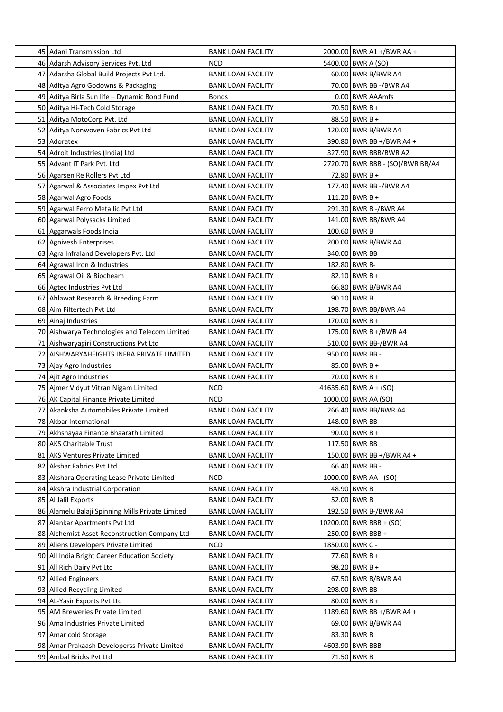| 45 Adani Transmission Ltd                        | <b>BANK LOAN FACILITY</b> | 2000.00 BWR A1 +/BWR AA +        |
|--------------------------------------------------|---------------------------|----------------------------------|
| 46 Adarsh Advisory Services Pvt. Ltd             | NCD                       | 5400.00 BWR A (SO)               |
| 47 Adarsha Global Build Projects Pvt Ltd.        | <b>BANK LOAN FACILITY</b> | 60.00 BWR B/BWR A4               |
| 48 Aditya Agro Godowns & Packaging               | <b>BANK LOAN FACILITY</b> | 70.00 BWR BB -/BWR A4            |
| 49 Aditya Birla Sun life - Dynamic Bond Fund     | Bonds                     | 0.00 BWR AAAmfs                  |
| 50 Aditya Hi-Tech Cold Storage                   | <b>BANK LOAN FACILITY</b> | $70.50$ BWR B +                  |
| 51 Aditya MotoCorp Pvt. Ltd                      | <b>BANK LOAN FACILITY</b> | $88.50$ BWR B +                  |
| 52 Aditya Nonwoven Fabrics Pvt Ltd               | <b>BANK LOAN FACILITY</b> | 120.00 BWR B/BWR A4              |
| 53 Adoratex                                      | <b>BANK LOAN FACILITY</b> | 390.80 BWR BB +/BWR A4 +         |
| 54 Adroit Industries (India) Ltd                 | <b>BANK LOAN FACILITY</b> | 327.90 BWR BBB/BWR A2            |
| 55 Advant IT Park Pvt. Ltd                       | <b>BANK LOAN FACILITY</b> | 2720.70 BWR BBB - (SO)/BWR BB/A4 |
| 56 Agarsen Re Rollers Pvt Ltd                    | <b>BANK LOAN FACILITY</b> | 72.80 BWR B +                    |
| 57 Agarwal & Associates Impex Pvt Ltd            | <b>BANK LOAN FACILITY</b> | 177.40 BWR BB -/BWR A4           |
| 58 Agarwal Agro Foods                            | <b>BANK LOAN FACILITY</b> | 111.20 BWR B +                   |
| 59 Agarwal Ferro Metallic Pvt Ltd                | <b>BANK LOAN FACILITY</b> | 291.30 BWR B -/BWR A4            |
| 60 Agarwal Polysacks Limited                     | <b>BANK LOAN FACILITY</b> | 141.00 BWR BB/BWR A4             |
| 61 Aggarwals Foods India                         | <b>BANK LOAN FACILITY</b> | 100.60 BWR B                     |
| 62 Agnivesh Enterprises                          | <b>BANK LOAN FACILITY</b> | 200.00 BWR B/BWR A4              |
| 63 Agra Infraland Developers Pvt. Ltd            | <b>BANK LOAN FACILITY</b> | 340.00 BWR BB                    |
| 64 Agrawal Iron & Industries                     | <b>BANK LOAN FACILITY</b> | 182.80 BWR B-                    |
| 65   Agrawal Oil & Biocheam                      | <b>BANK LOAN FACILITY</b> | 82.10 BWR B +                    |
| 66 Agtec Industries Pvt Ltd                      | <b>BANK LOAN FACILITY</b> | 66.80 BWR B/BWR A4               |
| 67 Ahlawat Research & Breeding Farm              | <b>BANK LOAN FACILITY</b> | 90.10 BWR B                      |
| 68 Aim Filtertech Pvt Ltd                        | <b>BANK LOAN FACILITY</b> | 198.70 BWR BB/BWR A4             |
| 69 Ainaj Industries                              | <b>BANK LOAN FACILITY</b> | $170.00$ BWR B +                 |
| 70 Aishwarya Technologies and Telecom Limited    | BANK LOAN FACILITY        | 175.00 BWR B +/BWR A4            |
| 71 Aishwaryagiri Constructions Pvt Ltd           | <b>BANK LOAN FACILITY</b> | 510.00 BWR BB-/BWR A4            |
| 72 AISHWARYAHEIGHTS INFRA PRIVATE LIMITED        | <b>BANK LOAN FACILITY</b> | 950.00 BWR BB -                  |
| 73 Ajay Agro Industries                          | <b>BANK LOAN FACILITY</b> | $85.00$ BWR B +                  |
| 74 Ajit Agro Industries                          | <b>BANK LOAN FACILITY</b> | $70.00$ BWR B +                  |
| 75 Ajmer Vidyut Vitran Nigam Limited             | <b>NCD</b>                | 41635.60   BWR A + (SO)          |
| 76 AK Capital Finance Private Limited            | <b>NCD</b>                | 1000.00 BWR AA (SO)              |
| 77 Akanksha Automobiles Private Limited          | <b>BANK LOAN FACILITY</b> | 266.40 BWR BB/BWR A4             |
| 78   Akbar International                         | <b>BANK LOAN FACILITY</b> | 148.00 BWR BB                    |
| 79 Akhshayaa Finance Bhaarath Limited            | <b>BANK LOAN FACILITY</b> | 90.00 BWR B +                    |
| 80 AKS Charitable Trust                          | <b>BANK LOAN FACILITY</b> | 117.50 BWR BB                    |
| 81 AKS Ventures Private Limited                  | <b>BANK LOAN FACILITY</b> | 150.00 BWR BB +/BWR A4 +         |
| 82 Akshar Fabrics Pvt Ltd                        | <b>BANK LOAN FACILITY</b> | 66.40 BWR BB -                   |
| 83 Akshara Operating Lease Private Limited       | <b>NCD</b>                | 1000.00 BWR AA - (SO)            |
| 84 Akshra Industrial Corporation                 | <b>BANK LOAN FACILITY</b> | 48.90 BWR B                      |
| 85   Al Jalil Exports                            | <b>BANK LOAN FACILITY</b> | 52.00 BWR B                      |
| 86 Alamelu Balaji Spinning Mills Private Limited | <b>BANK LOAN FACILITY</b> | 192.50 BWR B-/BWR A4             |
| 87 Alankar Apartments Pvt Ltd                    | <b>BANK LOAN FACILITY</b> | 10200.00   BWR BBB + (SO)        |
| 88 Alchemist Asset Reconstruction Company Ltd    | <b>BANK LOAN FACILITY</b> | 250.00 BWR BBB +                 |
| 89 Aliens Developers Private Limited             | NCD                       | 1850.00 BWR C -                  |
| 90 All India Bright Career Education Society     | <b>BANK LOAN FACILITY</b> | 77.60 BWR B +                    |
| 91   All Rich Dairy Pvt Ltd                      | <b>BANK LOAN FACILITY</b> | 98.20 BWR B +                    |
| 92 Allied Engineers                              | <b>BANK LOAN FACILITY</b> | 67.50 BWR B/BWR A4               |
| 93 Allied Recycling Limited                      | <b>BANK LOAN FACILITY</b> | 298.00 BWR BB -                  |
| 94   AL-Yasir Exports Pvt Ltd                    | <b>BANK LOAN FACILITY</b> | $80.00$ BWR B +                  |
| 95 AM Breweries Private Limited                  | <b>BANK LOAN FACILITY</b> | 1189.60 BWR BB +/BWR A4 +        |
| 96 Ama Industries Private Limited                | <b>BANK LOAN FACILITY</b> | 69.00 BWR B/BWR A4               |
| 97 Amar cold Storage                             | <b>BANK LOAN FACILITY</b> | 83.30 BWR B                      |
| 98 Amar Prakaash Developerss Private Limited     | <b>BANK LOAN FACILITY</b> | 4603.90 BWR BBB -                |
| 99 Ambal Bricks Pvt Ltd                          | <b>BANK LOAN FACILITY</b> | 71.50 BWR B                      |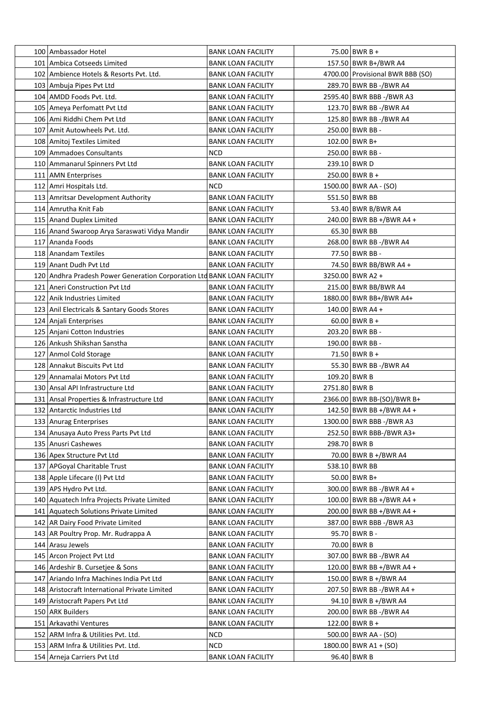| 100 Ambassador Hotel                                                   | <b>BANK LOAN FACILITY</b> |               | 75.00 BWR B +                    |
|------------------------------------------------------------------------|---------------------------|---------------|----------------------------------|
| 101 Ambica Cotseeds Limited                                            | <b>BANK LOAN FACILITY</b> |               | 157.50 BWR B+/BWR A4             |
| 102 Ambience Hotels & Resorts Pvt. Ltd.                                | <b>BANK LOAN FACILITY</b> |               | 4700.00 Provisional BWR BBB (SO) |
| 103   Ambuja Pipes Pvt Ltd                                             | <b>BANK LOAN FACILITY</b> |               | 289.70 BWR BB -/BWR A4           |
| 104 AMDD Foods Pvt. Ltd.                                               | <b>BANK LOAN FACILITY</b> |               | 2595.40 BWR BBB -/BWR A3         |
| 105   Ameya Perfomatt Pvt Ltd                                          | <b>BANK LOAN FACILITY</b> |               | 123.70 BWR BB -/BWR A4           |
| 106   Ami Riddhi Chem Pvt Ltd                                          | <b>BANK LOAN FACILITY</b> |               | 125.80 BWR BB -/BWR A4           |
| 107 Amit Autowheels Pvt. Ltd.                                          | <b>BANK LOAN FACILITY</b> |               | 250.00 BWR BB -                  |
| 108   Amitoj Textiles Limited                                          | <b>BANK LOAN FACILITY</b> |               | 102.00 BWR B+                    |
| 109 Ammadoes Consultants                                               | <b>NCD</b>                |               | 250.00 BWR BB -                  |
| 110   Ammanarul Spinners Pvt Ltd                                       | <b>BANK LOAN FACILITY</b> |               | 239.10 BWR D                     |
| 111 AMN Enterprises                                                    | <b>BANK LOAN FACILITY</b> |               | 250.00 BWR B +                   |
| 112 Amri Hospitals Ltd.                                                | <b>NCD</b>                |               | 1500.00 BWR AA - (SO)            |
| 113 Amritsar Development Authority                                     | <b>BANK LOAN FACILITY</b> |               | 551.50 BWR BB                    |
| 114 Amrutha Knit Fab                                                   | <b>BANK LOAN FACILITY</b> |               | 53.40 BWR B/BWR A4               |
| 115   Anand Duplex Limited                                             | <b>BANK LOAN FACILITY</b> |               | 240.00   BWR BB +/BWR A4 +       |
| 116 Anand Swaroop Arya Saraswati Vidya Mandir                          | <b>BANK LOAN FACILITY</b> |               | 65.30 BWR BB                     |
| 117   Ananda Foods                                                     | <b>BANK LOAN FACILITY</b> |               | 268.00 BWR BB -/BWR A4           |
| 118 Anandam Textiles                                                   | <b>BANK LOAN FACILITY</b> |               | 77.50 BWR BB -                   |
| 119 Anant Dudh Pvt Ltd                                                 | <b>BANK LOAN FACILITY</b> |               | 74.50 BWR BB/BWR A4 +            |
| 120 Andhra Pradesh Power Generation Corporation Ltd BANK LOAN FACILITY |                           |               | 3250.00 BWR A2 +                 |
| 121 Aneri Construction Pvt Ltd                                         | <b>BANK LOAN FACILITY</b> |               | 215.00 BWR BB/BWR A4             |
| 122 Anik Industries Limited                                            | <b>BANK LOAN FACILITY</b> |               | 1880.00 BWR BB+/BWR A4+          |
| 123   Anil Electricals & Santary Goods Stores                          | <b>BANK LOAN FACILITY</b> |               | 140.00 BWR A4 +                  |
| 124 Anjali Enterprises                                                 | <b>BANK LOAN FACILITY</b> |               | $60.00$ BWR B +                  |
| 125   Anjani Cotton Industries                                         | <b>BANK LOAN FACILITY</b> |               | 203.20   BWR BB -                |
| 126 Ankush Shikshan Sanstha                                            | <b>BANK LOAN FACILITY</b> |               | 190.00   BWR BB -                |
| 127 Anmol Cold Storage                                                 | <b>BANK LOAN FACILITY</b> |               | 71.50 BWR B +                    |
| 128 Annakut Biscuits Pvt Ltd                                           | <b>BANK LOAN FACILITY</b> |               | 55.30 BWR BB -/BWR A4            |
| 129 Annamalai Motors Pvt Ltd                                           | <b>BANK LOAN FACILITY</b> |               | 109.20 BWR B                     |
| 130 Ansal API Infrastructure Ltd                                       | <b>BANK LOAN FACILITY</b> | 2751.80 BWR B |                                  |
| 131 Ansal Properties & Infrastructure Ltd                              | <b>BANK LOAN FACILITY</b> |               | 2366.00 BWR BB-(SO)/BWR B+       |
| 132 Antarctic Industries Ltd                                           | <b>BANK LOAN FACILITY</b> |               | 142.50 BWR BB +/BWR A4 +         |
| 133 Anurag Enterprises                                                 | <b>BANK LOAN FACILITY</b> |               | 1300.00 BWR BBB -/BWR A3         |
| 134   Anusaya Auto Press Parts Pvt Ltd                                 | <b>BANK LOAN FACILITY</b> |               | 252.50 BWR BBB-/BWR A3+          |
| 135 Anusri Cashewes                                                    | <b>BANK LOAN FACILITY</b> |               | 298.70 BWR B                     |
| 136 Apex Structure Pvt Ltd                                             | <b>BANK LOAN FACILITY</b> |               | 70.00 BWR B +/BWR A4             |
| 137 APGoyal Charitable Trust                                           | <b>BANK LOAN FACILITY</b> |               | 538.10 BWR BB                    |
| 138 Apple Lifecare (I) Pvt Ltd                                         | <b>BANK LOAN FACILITY</b> |               | 50.00 BWR B+                     |
| 139 APS Hydro Pvt Ltd.                                                 | <b>BANK LOAN FACILITY</b> |               | 300.00   BWR BB -/BWR A4 +       |
| 140 Aquatech Infra Projects Private Limited                            | <b>BANK LOAN FACILITY</b> |               | 100.00 BWR BB +/BWR A4 +         |
| 141 Aquatech Solutions Private Limited                                 | <b>BANK LOAN FACILITY</b> |               | 200.00 BWR BB +/BWR A4 +         |
| 142   AR Dairy Food Private Limited                                    | <b>BANK LOAN FACILITY</b> |               | 387.00 BWR BBB -/BWR A3          |
| 143   AR Poultry Prop. Mr. Rudrappa A                                  | <b>BANK LOAN FACILITY</b> |               | 95.70 BWR B -                    |
| 144 Arasu Jewels                                                       | <b>BANK LOAN FACILITY</b> |               | 70.00 BWR B                      |
| 145 Arcon Project Pvt Ltd                                              | <b>BANK LOAN FACILITY</b> |               | 307.00 BWR BB -/BWR A4           |
| 146   Ardeshir B. Cursetjee & Sons                                     | <b>BANK LOAN FACILITY</b> |               | 120.00 BWR BB +/BWR A4 +         |
| 147 Ariando Infra Machines India Pvt Ltd                               | <b>BANK LOAN FACILITY</b> |               | 150.00   BWR B +/BWR A4          |
| 148 Aristocraft International Private Limited                          | <b>BANK LOAN FACILITY</b> |               | 207.50   BWR BB -/BWR A4 +       |
| 149 Aristocraft Papers Pvt Ltd                                         | <b>BANK LOAN FACILITY</b> |               | 94.10 BWR B +/BWR A4             |
| 150 ARK Builders                                                       | <b>BANK LOAN FACILITY</b> |               | 200.00 BWR BB -/BWR A4           |
| 151   Arkavathi Ventures                                               | <b>BANK LOAN FACILITY</b> |               | 122.00 BWR B +                   |
| 152   ARM Infra & Utilities Pvt. Ltd.                                  | <b>NCD</b>                |               | 500.00   BWR AA - (SO)           |
| 153 ARM Infra & Utilities Pvt. Ltd.                                    | <b>NCD</b>                |               | 1800.00   BWR A1 + (SO)          |
| 154 Arneja Carriers Pvt Ltd                                            | <b>BANK LOAN FACILITY</b> |               | 96.40 BWR B                      |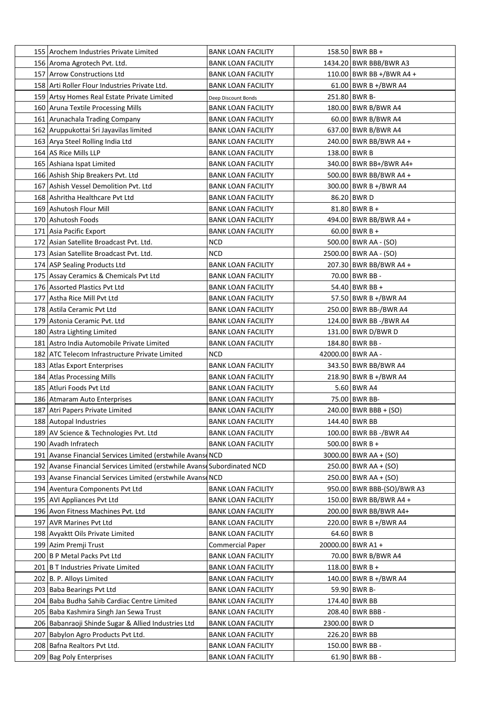| 155 Arochem Industries Private Limited                                   | <b>BANK LOAN FACILITY</b>                              |               | $158.50$ BWR BB +          |
|--------------------------------------------------------------------------|--------------------------------------------------------|---------------|----------------------------|
| 156 Aroma Agrotech Pvt. Ltd.                                             | <b>BANK LOAN FACILITY</b>                              |               | 1434.20 BWR BBB/BWR A3     |
| 157 Arrow Constructions Ltd                                              | <b>BANK LOAN FACILITY</b>                              |               | 110.00 BWR BB +/BWR A4 +   |
| 158 Arti Roller Flour Industries Private Ltd.                            | <b>BANK LOAN FACILITY</b>                              |               | 61.00 BWR B +/BWR A4       |
| 159 Artsy Homes Real Estate Private Limited                              | Deep Discount Bonds                                    |               | 251.80 BWR B-              |
| 160 Aruna Textile Processing Mills                                       | <b>BANK LOAN FACILITY</b>                              |               | 180.00 BWR B/BWR A4        |
| 161   Arunachala Trading Company                                         | <b>BANK LOAN FACILITY</b>                              |               | 60.00 BWR B/BWR A4         |
| 162 Aruppukottai Sri Jayavilas limited                                   | <b>BANK LOAN FACILITY</b>                              |               | 637.00 BWR B/BWR A4        |
| 163   Arya Steel Rolling India Ltd                                       | <b>BANK LOAN FACILITY</b>                              |               | 240.00 BWR BB/BWR A4 +     |
| 164   AS Rice Mills LLP                                                  | <b>BANK LOAN FACILITY</b>                              |               | 138.00 BWR B               |
| 165   Ashiana Ispat Limited                                              | <b>BANK LOAN FACILITY</b>                              |               | 340.00 BWR BB+/BWR A4+     |
| 166 Ashish Ship Breakers Pvt. Ltd                                        | <b>BANK LOAN FACILITY</b>                              |               | 500.00 BWR BB/BWR A4 +     |
| 167 Ashish Vessel Demolition Pvt. Ltd                                    | <b>BANK LOAN FACILITY</b>                              |               | 300.00 BWR B +/BWR A4      |
| 168 Ashritha Healthcare Pvt Ltd                                          | <b>BANK LOAN FACILITY</b>                              |               | 86.20 BWR D                |
| 169 Ashutosh Flour Mill                                                  | <b>BANK LOAN FACILITY</b>                              |               | 81.80   BWR B +            |
| 170 Ashutosh Foods                                                       | <b>BANK LOAN FACILITY</b>                              |               | 494.00 BWR BB/BWR A4 +     |
| 171 Asia Pacific Export                                                  | <b>BANK LOAN FACILITY</b>                              |               | $60.00$ BWR B +            |
| 172 Asian Satellite Broadcast Pvt. Ltd.                                  | <b>NCD</b>                                             |               | 500.00 BWR AA - (SO)       |
| 173 Asian Satellite Broadcast Pvt. Ltd.                                  | <b>NCD</b>                                             |               | 2500.00 BWR AA - (SO)      |
| 174 ASP Sealing Products Ltd                                             | <b>BANK LOAN FACILITY</b>                              |               | 207.30 BWR BB/BWR A4 +     |
| 175 Assay Ceramics & Chemicals Pvt Ltd                                   | <b>BANK LOAN FACILITY</b>                              |               | 70.00 BWR BB -             |
| 176 Assorted Plastics Pvt Ltd                                            | <b>BANK LOAN FACILITY</b>                              |               | 54.40 BWR BB +             |
| 177 Astha Rice Mill Pvt Ltd                                              | <b>BANK LOAN FACILITY</b>                              |               | 57.50 BWR B +/BWR A4       |
| 178 Astila Ceramic Pvt Ltd                                               | <b>BANK LOAN FACILITY</b>                              |               | 250.00 BWR BB-/BWR A4      |
| 179 Astonia Ceramic Pvt. Ltd                                             | <b>BANK LOAN FACILITY</b>                              |               | 124.00 BWR BB -/BWR A4     |
| 180 Astra Lighting Limited                                               | <b>BANK LOAN FACILITY</b>                              |               | 131.00 BWR D/BWR D         |
| 181 Astro India Automobile Private Limited                               | <b>BANK LOAN FACILITY</b>                              |               | 184.80 BWR BB -            |
| 182 ATC Telecom Infrastructure Private Limited                           | <b>NCD</b>                                             |               | 42000.00 BWR AA -          |
| 183 Atlas Export Enterprises                                             | <b>BANK LOAN FACILITY</b>                              |               | 343.50 BWR BB/BWR A4       |
| 184   Atlas Processing Mills                                             | <b>BANK LOAN FACILITY</b>                              |               | 218.90 BWR B +/BWR A4      |
| 185 Atluri Foods Pvt Ltd                                                 | <b>BANK LOAN FACILITY</b>                              |               | 5.60 BWR A4                |
| 186 Atmaram Auto Enterprises                                             | <b>BANK LOAN FACILITY</b>                              |               | 75.00 BWR BB-              |
| 187 Atri Papers Private Limited                                          |                                                        |               | $240.00$ BWR BBB + (SO)    |
|                                                                          | <b>BANK LOAN FACILITY</b>                              |               | 144.40 BWR BB              |
| 188   Autopal Industries                                                 | <b>BANK LOAN FACILITY</b><br><b>BANK LOAN FACILITY</b> |               | 100.00 BWR BB -/BWR A4     |
| 189 AV Science & Technologies Pvt. Ltd                                   |                                                        |               |                            |
| 190 Avadh Infratech                                                      | <b>BANK LOAN FACILITY</b>                              |               | $500.00$ BWR B +           |
| 191 Avanse Financial Services Limited (erstwhile Avanse NCD              |                                                        |               | 3000.00 BWR AA + (SO)      |
| 192 Avanse Financial Services Limited (erstwhile Avanse Subordinated NCD |                                                        |               | $250.00$ BWR AA + (SO)     |
| 193 Avanse Financial Services Limited (erstwhile Avanse NCD              |                                                        |               | $250.00$ BWR AA + (SO)     |
| 194 Aventura Components Pvt Ltd                                          | <b>BANK LOAN FACILITY</b>                              |               | 950.00 BWR BBB-(SO)/BWR A3 |
| 195   AVI Appliances Pvt Ltd                                             | <b>BANK LOAN FACILITY</b>                              |               | 150.00 BWR BB/BWR A4 +     |
| 196 Avon Fitness Machines Pvt. Ltd                                       | <b>BANK LOAN FACILITY</b>                              |               | 200.00 BWR BB/BWR A4+      |
| 197 AVR Marines Pvt Ltd                                                  | <b>BANK LOAN FACILITY</b>                              |               | 220.00 BWR B +/BWR A4      |
| 198 Avyaktt Oils Private Limited                                         | <b>BANK LOAN FACILITY</b>                              |               | 64.60 BWR B                |
| 199 Azim Premji Trust                                                    | <b>Commercial Paper</b>                                |               | 20000.00 BWR A1 +          |
| 200 B P Metal Packs Pvt Ltd                                              | <b>BANK LOAN FACILITY</b>                              |               | 70.00 BWR B/BWR A4         |
| 201   B T Industries Private Limited                                     | <b>BANK LOAN FACILITY</b>                              |               | 118.00 BWR B +             |
| 202 B. P. Alloys Limited                                                 | <b>BANK LOAN FACILITY</b>                              |               | 140.00 BWR B +/BWR A4      |
| 203 Baba Bearings Pvt Ltd                                                | <b>BANK LOAN FACILITY</b>                              |               | 59.90 BWR B-               |
| 204 Baba Budha Sahib Cardiac Centre Limited                              | <b>BANK LOAN FACILITY</b>                              |               | 174.40 BWR BB              |
| 205 Baba Kashmira Singh Jan Sewa Trust                                   | <b>BANK LOAN FACILITY</b>                              |               | 208.40 BWR BBB -           |
| 206 Babanraoji Shinde Sugar & Allied Industries Ltd                      | <b>BANK LOAN FACILITY</b>                              | 2300.00 BWR D |                            |
| 207 Babylon Agro Products Pvt Ltd.                                       | <b>BANK LOAN FACILITY</b>                              |               | 226.20 BWR BB              |
| 208 Bafna Realtors Pvt Ltd.                                              | <b>BANK LOAN FACILITY</b>                              |               | 150.00 BWR BB -            |
| 209 Bag Poly Enterprises                                                 | <b>BANK LOAN FACILITY</b>                              |               | $61.90$ BWR BB -           |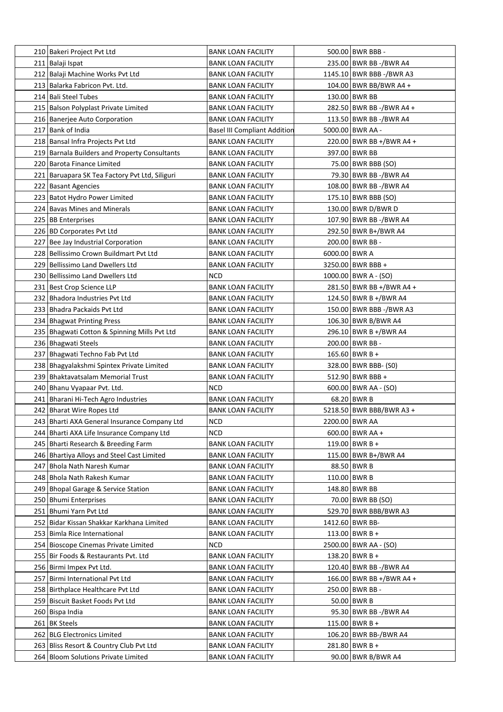| 210 Bakeri Project Pvt Ltd                     | <b>BANK LOAN FACILITY</b>           |               | 500.00 BWR BBB -         |
|------------------------------------------------|-------------------------------------|---------------|--------------------------|
| 211 Balaji Ispat                               | <b>BANK LOAN FACILITY</b>           |               | 235.00 BWR BB -/BWR A4   |
| 212 Balaji Machine Works Pvt Ltd               | <b>BANK LOAN FACILITY</b>           |               | 1145.10 BWR BBB -/BWR A3 |
| 213   Balarka Fabricon Pvt. Ltd.               | <b>BANK LOAN FACILITY</b>           |               | 104.00 BWR BB/BWR A4 +   |
| 214 Bali Steel Tubes                           | <b>BANK LOAN FACILITY</b>           |               | 130.00 BWR BB            |
| 215 Balson Polyplast Private Limited           | <b>BANK LOAN FACILITY</b>           |               | 282.50 BWR BB -/BWR A4 + |
| 216 Banerjee Auto Corporation                  | <b>BANK LOAN FACILITY</b>           |               | 113.50 BWR BB -/BWR A4   |
| 217 Bank of India                              | <b>Basel III Compliant Addition</b> |               | 5000.00 BWR AA -         |
| 218 Bansal Infra Projects Pvt Ltd              | <b>BANK LOAN FACILITY</b>           |               | 220.00 BWR BB +/BWR A4 + |
| 219 Barnala Builders and Property Consultants  | <b>BANK LOAN FACILITY</b>           |               | 397.00 BWR BB            |
| 220 Barota Finance Limited                     | BANK LOAN FACILITY                  |               | 75.00   BWR BBB (SO)     |
| 221 Baruapara SK Tea Factory Pvt Ltd, Siliguri | BANK LOAN FACILITY                  |               | 79.30 BWR BB -/BWR A4    |
| 222 Basant Agencies                            | <b>BANK LOAN FACILITY</b>           |               | 108.00 BWR BB -/BWR A4   |
| 223 Batot Hydro Power Limited                  | <b>BANK LOAN FACILITY</b>           |               | 175.10 BWR BBB (SO)      |
| 224 Bavas Mines and Minerals                   | <b>BANK LOAN FACILITY</b>           |               | 130.00 BWR D/BWR D       |
| 225 BB Enterprises                             | <b>BANK LOAN FACILITY</b>           |               | 107.90 BWR BB -/BWR A4   |
| 226 BD Corporates Pvt Ltd                      | <b>BANK LOAN FACILITY</b>           |               | 292.50 BWR B+/BWR A4     |
| 227 Bee Jay Industrial Corporation             | <b>BANK LOAN FACILITY</b>           |               | 200.00 BWR BB -          |
| 228 Bellissimo Crown Buildmart Pvt Ltd         | <b>BANK LOAN FACILITY</b>           | 6000.00 BWR A |                          |
| 229 Bellissimo Land Dwellers Ltd               | <b>BANK LOAN FACILITY</b>           |               | 3250.00   BWR BBB +      |
| 230 Bellissimo Land Dwellers Ltd               |                                     |               | 1000.00 BWR A - (SO)     |
|                                                | NCD                                 |               |                          |
| 231 Best Crop Science LLP                      | <b>BANK LOAN FACILITY</b>           |               | 281.50 BWR BB +/BWR A4 + |
| 232   Bhadora Industries Pvt Ltd               | <b>BANK LOAN FACILITY</b>           |               | 124.50 BWR B +/BWR A4    |
| 233 Bhadra Packaids Pvt Ltd                    | <b>BANK LOAN FACILITY</b>           |               | 150.00 BWR BBB -/BWR A3  |
| 234 Bhagwat Printing Press                     | <b>BANK LOAN FACILITY</b>           |               | 106.30 BWR B/BWR A4      |
| 235 Bhagwati Cotton & Spinning Mills Pvt Ltd   | <b>BANK LOAN FACILITY</b>           |               | 296.10 BWR B +/BWR A4    |
| 236 Bhagwati Steels                            | <b>BANK LOAN FACILITY</b>           |               | 200.00 BWR BB -          |
| 237 Bhagwati Techno Fab Pvt Ltd                | <b>BANK LOAN FACILITY</b>           |               | 165.60 BWR B +           |
| 238   Bhagyalakshmi Spintex Private Limited    | <b>BANK LOAN FACILITY</b>           |               | 328.00   BWR BBB- (S0)   |
| 239 Bhaktavatsalam Memorial Trust              | <b>BANK LOAN FACILITY</b>           |               | 512.90 BWR BBB +         |
| 240 Bhanu Vyapaar Pvt. Ltd.                    | NCD                                 |               | $600.00$ BWR AA - (SO)   |
| 241 Bharani Hi-Tech Agro Industries            | <b>BANK LOAN FACILITY</b>           |               | 68.20 BWR B              |
| 242 Bharat Wire Ropes Ltd                      | <b>BANK LOAN FACILITY</b>           |               | 5218.50 BWR BBB/BWR A3 + |
| 243 Bharti AXA General Insurance Company Ltd   | <b>NCD</b>                          |               | 2200.00 BWR AA           |
| 244 Bharti AXA Life Insurance Company Ltd      | <b>NCD</b>                          |               | $600.00$ BWR AA +        |
| 245   Bharti Research & Breeding Farm          | <b>BANK LOAN FACILITY</b>           |               | 119.00 BWR B +           |
| 246 Bhartiya Alloys and Steel Cast Limited     | <b>BANK LOAN FACILITY</b>           |               | 115.00 BWR B+/BWR A4     |
| 247 Bhola Nath Naresh Kumar                    | <b>BANK LOAN FACILITY</b>           |               | 88.50 BWR B              |
| 248 Bhola Nath Rakesh Kumar                    | <b>BANK LOAN FACILITY</b>           |               | 110.00 BWR B             |
| 249 Bhopal Garage & Service Station            | <b>BANK LOAN FACILITY</b>           |               | 148.80 BWR BB            |
| 250 Bhumi Enterprises                          | <b>BANK LOAN FACILITY</b>           |               | 70.00 BWR BB (SO)        |
| 251 Bhumi Yarn Pvt Ltd                         | <b>BANK LOAN FACILITY</b>           |               | 529.70 BWR BBB/BWR A3    |
| 252 Bidar Kissan Shakkar Karkhana Limited      | <b>BANK LOAN FACILITY</b>           |               | 1412.60 BWR BB-          |
| 253 Bimla Rice International                   | <b>BANK LOAN FACILITY</b>           |               | 113.00 BWR B +           |
| 254 Bioscope Cinemas Private Limited           | NCD                                 |               | 2500.00 BWR AA - (SO)    |
| 255 Bir Foods & Restaurants Pvt. Ltd           | <b>BANK LOAN FACILITY</b>           |               | 138.20 BWR B +           |
| 256 Birmi Impex Pvt Ltd.                       | <b>BANK LOAN FACILITY</b>           |               | 120.40 BWR BB -/BWR A4   |
| 257 Birmi International Pvt Ltd                | <b>BANK LOAN FACILITY</b>           |               | 166.00 BWR BB +/BWR A4 + |
| 258 Birthplace Healthcare Pvt Ltd              | <b>BANK LOAN FACILITY</b>           |               | 250.00 BWR BB -          |
| 259 Biscuit Basket Foods Pvt Ltd               | <b>BANK LOAN FACILITY</b>           |               | 50.00 BWR B              |
| 260 Bispa India                                | <b>BANK LOAN FACILITY</b>           |               | 95.30 BWR BB -/BWR A4    |
| 261 BK Steels                                  | <b>BANK LOAN FACILITY</b>           |               | 115.00 BWR B +           |
| 262 BLG Electronics Limited                    | <b>BANK LOAN FACILITY</b>           |               | 106.20 BWR BB-/BWR A4    |
| 263 Bliss Resort & Country Club Pvt Ltd        | <b>BANK LOAN FACILITY</b>           |               | $281.80$ BWR B +         |
| 264 Bloom Solutions Private Limited            | <b>BANK LOAN FACILITY</b>           |               | 90.00 BWR B/BWR A4       |
|                                                |                                     |               |                          |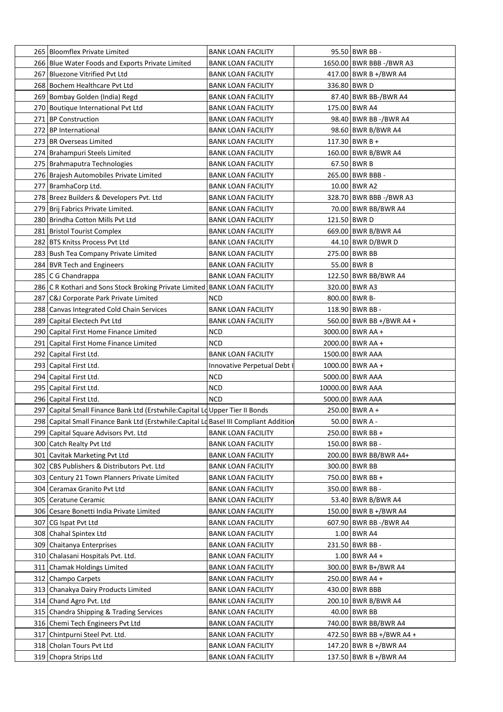| 265 Bloomflex Private Limited                                                         | <b>BANK LOAN FACILITY</b>   | 95.50 BWR BB -           |
|---------------------------------------------------------------------------------------|-----------------------------|--------------------------|
| 266 Blue Water Foods and Exports Private Limited                                      | <b>BANK LOAN FACILITY</b>   | 1650.00 BWR BBB -/BWR A3 |
| 267 Bluezone Vitrified Pvt Ltd                                                        | <b>BANK LOAN FACILITY</b>   | 417.00 BWR B +/BWR A4    |
| 268 Bochem Healthcare Pvt Ltd                                                         | <b>BANK LOAN FACILITY</b>   | 336.80 BWR D             |
| 269 Bombay Golden (India) Regd                                                        | <b>BANK LOAN FACILITY</b>   | 87.40 BWR BB-/BWR A4     |
| 270 Boutique International Pvt Ltd                                                    | <b>BANK LOAN FACILITY</b>   | 175.00 BWR A4            |
| 271 BP Construction                                                                   | <b>BANK LOAN FACILITY</b>   | 98.40 BWR BB -/BWR A4    |
| 272 BP International                                                                  | <b>BANK LOAN FACILITY</b>   | 98.60 BWR B/BWR A4       |
| 273 BR Overseas Limited                                                               | <b>BANK LOAN FACILITY</b>   | 117.30 BWR B +           |
| 274 Brahampuri Steels Limited                                                         | <b>BANK LOAN FACILITY</b>   | 160.00 BWR B/BWR A4      |
| 275   Brahmaputra Technologies                                                        | <b>BANK LOAN FACILITY</b>   | $67.50$ BWR B            |
| 276 Brajesh Automobiles Private Limited                                               | <b>BANK LOAN FACILITY</b>   | 265.00 BWR BBB -         |
| 277   BramhaCorp Ltd.                                                                 | <b>BANK LOAN FACILITY</b>   | 10.00 BWR A2             |
| 278 Breez Builders & Developers Pvt. Ltd                                              | <b>BANK LOAN FACILITY</b>   | 328.70 BWR BBB -/BWR A3  |
| 279 Brij Fabrics Private Limited.                                                     | <b>BANK LOAN FACILITY</b>   | 70.00 BWR BB/BWR A4      |
| 280 Brindha Cotton Mills Pvt Ltd                                                      | <b>BANK LOAN FACILITY</b>   | 121.50 BWR D             |
| 281 Bristol Tourist Complex                                                           | <b>BANK LOAN FACILITY</b>   | 669.00 BWR B/BWR A4      |
| 282 BTS Knitss Process Pvt Ltd                                                        | <b>BANK LOAN FACILITY</b>   | 44.10 BWR D/BWR D        |
| 283 Bush Tea Company Private Limited                                                  | <b>BANK LOAN FACILITY</b>   | 275.00 BWR BB            |
| 284 BVR Tech and Engineers                                                            | <b>BANK LOAN FACILITY</b>   | 55.00 BWR B              |
| 285   C G Chandrappa                                                                  | <b>BANK LOAN FACILITY</b>   | 122.50 BWR BB/BWR A4     |
|                                                                                       |                             | 320.00 BWR A3            |
| 286 C R Kothari and Sons Stock Broking Private Limited BANK LOAN FACILITY             |                             | 800.00 BWR B-            |
| 287 C&J Corporate Park Private Limited                                                | NCD                         |                          |
| 288 Canvas Integrated Cold Chain Services                                             | <b>BANK LOAN FACILITY</b>   | 118.90 BWR BB -          |
| 289 Capital Electech Pvt Ltd                                                          | <b>BANK LOAN FACILITY</b>   | 560.00 BWR BB +/BWR A4 + |
| 290 Capital First Home Finance Limited                                                | NCD                         | 3000.00 BWR AA +         |
| 291 Capital First Home Finance Limited                                                | <b>NCD</b>                  | 2000.00 BWR AA +         |
| 292 Capital First Ltd.                                                                | <b>BANK LOAN FACILITY</b>   | 1500.00 BWR AAA          |
| 293 Capital First Ltd.                                                                | Innovative Perpetual Debt I | 1000.00 BWR AA +         |
| 294 Capital First Ltd.                                                                | NCD                         | 5000.00 BWR AAA          |
| 295 Capital First Ltd.                                                                | <b>NCD</b>                  | 10000.00 BWR AAA         |
| 296 Capital First Ltd.                                                                | <b>NCD</b>                  | 5000.00 BWR AAA          |
| 297 Capital Small Finance Bank Ltd (Erstwhile: Capital Ld Upper Tier II Bonds         |                             | 250.00 BWR A +           |
| 298 Capital Small Finance Bank Ltd (Erstwhile:Capital Ld Basel III Compliant Addition |                             | $50.00$ BWR A -          |
| 299 Capital Square Advisors Pvt. Ltd                                                  | <b>BANK LOAN FACILITY</b>   | 250.00 BWR BB +          |
| 300 Catch Realty Pvt Ltd                                                              | <b>BANK LOAN FACILITY</b>   | 150.00 BWR BB -          |
| 301 Cavitak Marketing Pvt Ltd                                                         | <b>BANK LOAN FACILITY</b>   | 200.00 BWR BB/BWR A4+    |
| 302 CBS Publishers & Distributors Pvt. Ltd                                            | <b>BANK LOAN FACILITY</b>   | 300.00 BWR BB            |
| 303 Century 21 Town Planners Private Limited                                          | <b>BANK LOAN FACILITY</b>   | 750.00 BWR BB +          |
| 304 Ceramax Granito Pvt Ltd                                                           | <b>BANK LOAN FACILITY</b>   | 350.00 BWR BB -          |
| 305 Ceratune Ceramic                                                                  | <b>BANK LOAN FACILITY</b>   | 53.40 BWR B/BWR A4       |
| 306 Cesare Bonetti India Private Limited                                              | <b>BANK LOAN FACILITY</b>   | 150.00 BWR B +/BWR A4    |
| 307 CG Ispat Pvt Ltd                                                                  | <b>BANK LOAN FACILITY</b>   | 607.90 BWR BB -/BWR A4   |
| 308 Chahal Spintex Ltd                                                                | <b>BANK LOAN FACILITY</b>   | 1.00 BWR A4              |
| 309 Chaitanya Enterprises                                                             | <b>BANK LOAN FACILITY</b>   | 231.50 BWR BB -          |
| 310 Chalasani Hospitals Pvt. Ltd.                                                     | <b>BANK LOAN FACILITY</b>   | $1.00$ BWR A4 +          |
| 311 Chamak Holdings Limited                                                           | <b>BANK LOAN FACILITY</b>   | 300.00 BWR B+/BWR A4     |
| 312 Champo Carpets                                                                    | <b>BANK LOAN FACILITY</b>   | 250.00 BWR A4 +          |
| 313 Chanakya Dairy Products Limited                                                   | <b>BANK LOAN FACILITY</b>   | 430.00 BWR BBB           |
| 314 Chand Agro Pvt. Ltd                                                               | <b>BANK LOAN FACILITY</b>   | 200.10 BWR B/BWR A4      |
| 315 Chandra Shipping & Trading Services                                               | <b>BANK LOAN FACILITY</b>   | 40.00 BWR BB             |
| 316 Chemi Tech Engineers Pvt Ltd                                                      | <b>BANK LOAN FACILITY</b>   | 740.00 BWR BB/BWR A4     |
| 317 Chintpurni Steel Pvt. Ltd.                                                        | <b>BANK LOAN FACILITY</b>   | 472.50 BWR BB +/BWR A4 + |
| 318 Cholan Tours Pvt Ltd                                                              | <b>BANK LOAN FACILITY</b>   | 147.20 BWR B +/BWR A4    |
| 319 Chopra Strips Ltd                                                                 | <b>BANK LOAN FACILITY</b>   | 137.50 BWR B +/BWR A4    |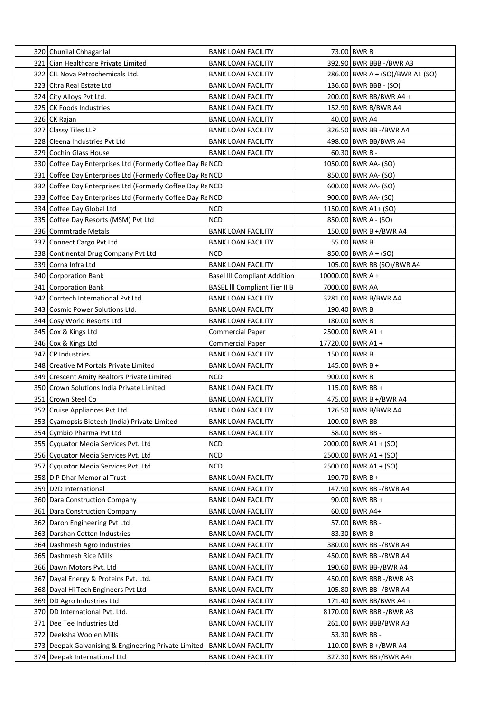| 320 Chunilal Chhaganlal                                    | <b>BANK LOAN FACILITY</b>            |                    | 73.00 BWR B                     |
|------------------------------------------------------------|--------------------------------------|--------------------|---------------------------------|
| 321 Cian Healthcare Private Limited                        | <b>BANK LOAN FACILITY</b>            |                    | 392.90 BWR BBB -/BWR A3         |
| 322 CIL Nova Petrochemicals Ltd.                           | <b>BANK LOAN FACILITY</b>            |                    | 286.00 BWR A + (SO)/BWR A1 (SO) |
| 323 Citra Real Estate Ltd                                  | <b>BANK LOAN FACILITY</b>            |                    | 136.60 BWR BBB - (SO)           |
| 324 City Alloys Pvt Ltd.                                   | <b>BANK LOAN FACILITY</b>            |                    | 200.00 BWR BB/BWR A4 +          |
| 325 CK Foods Industries                                    | <b>BANK LOAN FACILITY</b>            |                    | 152.90 BWR B/BWR A4             |
| 326 CK Rajan                                               | <b>BANK LOAN FACILITY</b>            |                    | 40.00 BWR A4                    |
| 327 Classy Tiles LLP                                       | <b>BANK LOAN FACILITY</b>            |                    | 326.50 BWR BB -/BWR A4          |
| 328 Cleena Industries Pyt Ltd                              | <b>BANK LOAN FACILITY</b>            |                    | 498.00 BWR BB/BWR A4            |
| 329 Cochin Glass House                                     | <b>BANK LOAN FACILITY</b>            |                    | $60.30$ BWR B -                 |
| 330 Coffee Day Enterprises Ltd (Formerly Coffee Day Rd NCD |                                      |                    | 1050.00 BWR AA- (SO)            |
| 331 Coffee Day Enterprises Ltd (Formerly Coffee Day Rd NCD |                                      |                    | 850.00 BWR AA- (SO)             |
| 332 Coffee Day Enterprises Ltd (Formerly Coffee Day Rd NCD |                                      |                    | 600.00 BWR AA- (SO)             |
| 333 Coffee Day Enterprises Ltd (Formerly Coffee Day Rd NCD |                                      |                    | 900.00 BWR AA- (S0)             |
| 334 Coffee Day Global Ltd                                  | <b>NCD</b>                           |                    | 1150.00 BWR A1+ (SO)            |
| 335 Coffee Day Resorts (MSM) Pvt Ltd                       | NCD                                  |                    | 850.00   BWR A - (SO)           |
| 336 Commtrade Metals                                       | <b>BANK LOAN FACILITY</b>            |                    | 150.00 BWR B +/BWR A4           |
| 337 Connect Cargo Pvt Ltd                                  | <b>BANK LOAN FACILITY</b>            |                    | 55.00 BWR B                     |
| 338 Continental Drug Company Pvt Ltd                       | <b>NCD</b>                           |                    | $850.00$ BWR A + (SO)           |
| 339 Corna Infra Ltd                                        | <b>BANK LOAN FACILITY</b>            |                    | 105.00 BWR BB (SO)/BWR A4       |
| 340 Corporation Bank                                       | <b>Basel III Compliant Addition</b>  | $10000.00$ BWR A + |                                 |
| 341 Corporation Bank                                       | <b>BASEL III Compliant Tier II B</b> |                    | 7000.00 BWR AA                  |
| 342 Corrtech International Pvt Ltd                         | <b>BANK LOAN FACILITY</b>            |                    | 3281.00 BWR B/BWR A4            |
| 343 Cosmic Power Solutions Ltd.                            |                                      |                    |                                 |
|                                                            | <b>BANK LOAN FACILITY</b>            |                    | 190.40 BWR B                    |
| 344 Cosy World Resorts Ltd                                 | <b>BANK LOAN FACILITY</b>            |                    | 180.00 BWR B                    |
| 345 Cox & Kings Ltd                                        | Commercial Paper                     |                    | 2500.00   BWR A1 +              |
| 346 Cox & Kings Ltd                                        | <b>Commercial Paper</b>              |                    | 17720.00 BWR A1 +               |
| 347 CP Industries                                          | <b>BANK LOAN FACILITY</b>            |                    | 150.00 BWR B                    |
| 348   Creative M Portals Private Limited                   | <b>BANK LOAN FACILITY</b>            |                    | 145.00 BWR B +                  |
| 349 Crescent Amity Realtors Private Limited                | NCD                                  |                    | 900.00 BWR B                    |
| 350 Crown Solutions India Private Limited                  | <b>BANK LOAN FACILITY</b>            |                    | 115.00 BWR BB +                 |
| 351 Crown Steel Co                                         | <b>BANK LOAN FACILITY</b>            |                    | 475.00 BWR B +/BWR A4           |
| 352 Cruise Appliances Pvt Ltd                              | <b>BANK LOAN FACILITY</b>            |                    | 126.50 BWR B/BWR A4             |
| 353   Cyamopsis Biotech (India) Private Limited            | <b>BANK LOAN FACILITY</b>            |                    | 100.00 BWR BB -                 |
| 354 Cymbio Pharma Pvt Ltd                                  | <b>BANK LOAN FACILITY</b>            |                    | 58.00 BWR BB -                  |
| 355   Cyquator Media Services Pvt. Ltd                     | <b>NCD</b>                           |                    | 2000.00 BWR A1 + (SO)           |
| 356 Cyquator Media Services Pvt. Ltd                       | <b>NCD</b>                           |                    | $2500.00$ BWR A1 + (SO)         |
| 357 Cyquator Media Services Pvt. Ltd                       | <b>NCD</b>                           |                    | $2500.00$   BWR A1 + (SO)       |
| 358 D P Dhar Memorial Trust                                | <b>BANK LOAN FACILITY</b>            |                    | $190.70$ BWR B +                |
| 359 D2D International                                      | <b>BANK LOAN FACILITY</b>            |                    | 147.90 BWR BB -/BWR A4          |
| 360 Dara Construction Company                              | <b>BANK LOAN FACILITY</b>            |                    | 90.00 BWR BB +                  |
| 361 Dara Construction Company                              | <b>BANK LOAN FACILITY</b>            |                    | 60.00 BWR A4+                   |
| 362 Daron Engineering Pvt Ltd                              | <b>BANK LOAN FACILITY</b>            |                    | 57.00 BWR BB -                  |
| 363 Darshan Cotton Industries                              | <b>BANK LOAN FACILITY</b>            |                    | 83.30 BWR B-                    |
| 364 Dashmesh Agro Industries                               | <b>BANK LOAN FACILITY</b>            |                    | 380.00 BWR BB -/BWR A4          |
| 365 Dashmesh Rice Mills                                    | <b>BANK LOAN FACILITY</b>            |                    | 450.00 BWR BB -/BWR A4          |
| 366 Dawn Motors Pvt. Ltd                                   | <b>BANK LOAN FACILITY</b>            |                    | 190.60 BWR BB-/BWR A4           |
| 367 Dayal Energy & Proteins Pvt. Ltd.                      | <b>BANK LOAN FACILITY</b>            |                    | 450.00 BWR BBB -/BWR A3         |
| 368 Dayal Hi Tech Engineers Pvt Ltd                        | <b>BANK LOAN FACILITY</b>            |                    | 105.80 BWR BB -/BWR A4          |
| 369 DD Agro Industries Ltd                                 | <b>BANK LOAN FACILITY</b>            |                    | 171.40 BWR BB/BWR A4 +          |
| 370 DD International Pvt. Ltd.                             | <b>BANK LOAN FACILITY</b>            |                    | 8170.00 BWR BBB -/BWR A3        |
| 371 Dee Tee Industries Ltd                                 | <b>BANK LOAN FACILITY</b>            |                    | 261.00 BWR BBB/BWR A3           |
| 372 Deeksha Woolen Mills                                   | <b>BANK LOAN FACILITY</b>            |                    | 53.30 BWR BB -                  |
| 373 Deepak Galvanising & Engineering Private Limited       | <b>BANK LOAN FACILITY</b>            |                    | 110.00 BWR B +/BWR A4           |
| 374 Deepak International Ltd                               | <b>BANK LOAN FACILITY</b>            |                    | 327.30 BWR BB+/BWR A4+          |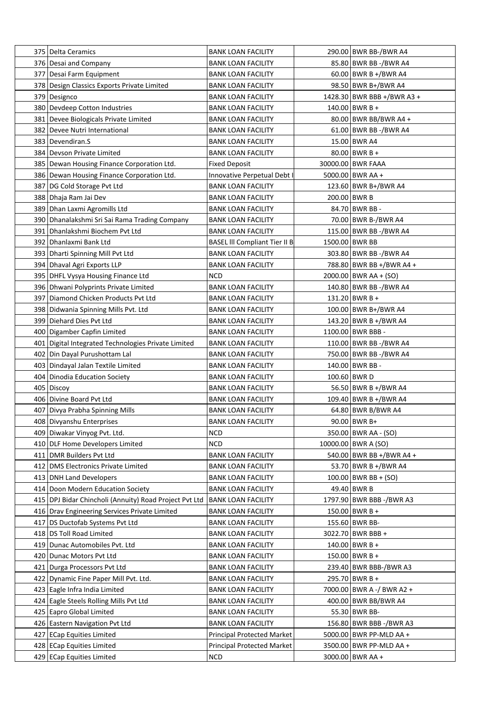| 375   Delta Ceramics                                   | <b>BANK LOAN FACILITY</b>            | 290.00 BWR BB-/BWR A4      |
|--------------------------------------------------------|--------------------------------------|----------------------------|
| 376 Desai and Company                                  | <b>BANK LOAN FACILITY</b>            | 85.80 BWR BB -/BWR A4      |
| 377 Desai Farm Equipment                               | <b>BANK LOAN FACILITY</b>            | $60.00$ BWR B +/BWR A4     |
| 378 Design Classics Exports Private Limited            | <b>BANK LOAN FACILITY</b>            | 98.50 BWR B+/BWR A4        |
| 379 Designco                                           | <b>BANK LOAN FACILITY</b>            | 1428.30 BWR BBB +/BWR A3 + |
| 380 Devdeep Cotton Industries                          | <b>BANK LOAN FACILITY</b>            | $140.00$ BWR B +           |
| 381 Devee Biologicals Private Limited                  | <b>BANK LOAN FACILITY</b>            | 80.00 BWR BB/BWR A4 +      |
| 382 Devee Nutri International                          | <b>BANK LOAN FACILITY</b>            | 61.00 BWR BB -/BWR A4      |
| 383 Devendiran.S                                       | <b>BANK LOAN FACILITY</b>            | 15.00 BWR A4               |
| 384 Devson Private Limited                             | <b>BANK LOAN FACILITY</b>            | $80.00$ BWR B +            |
| 385   Dewan Housing Finance Corporation Ltd.           | <b>Fixed Deposit</b>                 | 30000.00 BWR FAAA          |
| 386 Dewan Housing Finance Corporation Ltd.             | Innovative Perpetual Debt I          | 5000.00 BWR AA +           |
| 387 DG Cold Storage Pvt Ltd                            | <b>BANK LOAN FACILITY</b>            | 123.60 BWR B+/BWR A4       |
| 388 Dhaja Ram Jai Dev                                  | <b>BANK LOAN FACILITY</b>            | 200.00 BWR B               |
| 389 Dhan Laxmi Agromills Ltd                           | <b>BANK LOAN FACILITY</b>            | 84.70 BWR BB -             |
| 390 Dhanalakshmi Sri Sai Rama Trading Company          | <b>BANK LOAN FACILITY</b>            | 70.00 BWR B-/BWR A4        |
| 391 Dhanlakshmi Biochem Pvt Ltd                        | <b>BANK LOAN FACILITY</b>            | 115.00 BWR BB -/BWR A4     |
| 392 Dhanlaxmi Bank Ltd                                 | <b>BASEL III Compliant Tier II B</b> | 1500.00 BWR BB             |
| 393 Dharti Spinning Mill Pvt Ltd                       | <b>BANK LOAN FACILITY</b>            | 303.80 BWR BB -/BWR A4     |
| 394 Dhaval Agri Exports LLP                            | <b>BANK LOAN FACILITY</b>            | 788.80 BWR BB +/BWR A4 +   |
| 395 DHFL Vysya Housing Finance Ltd                     | NCD                                  | $2000.00$ BWR AA + (SO)    |
| 396 Dhwani Polyprints Private Limited                  | <b>BANK LOAN FACILITY</b>            | 140.80 BWR BB -/BWR A4     |
| 397 Diamond Chicken Products Pvt Ltd                   |                                      | 131.20 BWR B +             |
|                                                        | <b>BANK LOAN FACILITY</b>            |                            |
| 398   Didwania Spinning Mills Pvt. Ltd                 | <b>BANK LOAN FACILITY</b>            | 100.00 BWR B+/BWR A4       |
| 399 Diehard Dies Pvt Ltd                               | <b>BANK LOAN FACILITY</b>            | 143.20 BWR B +/BWR A4      |
| 400   Digamber Capfin Limited                          | <b>BANK LOAN FACILITY</b>            | 1100.00 BWR BBB -          |
| 401   Digital Integrated Technologies Private Limited  | <b>BANK LOAN FACILITY</b>            | 110.00 BWR BB -/BWR A4     |
| 402 Din Dayal Purushottam Lal                          | <b>BANK LOAN FACILITY</b>            | 750.00 BWR BB -/BWR A4     |
| 403   Dindayal Jalan Textile Limited                   | <b>BANK LOAN FACILITY</b>            | 140.00 BWR BB -            |
| 404 Dinodia Education Society                          | <b>BANK LOAN FACILITY</b>            | 100.60 BWR D               |
| 405 Discoy                                             | <b>BANK LOAN FACILITY</b>            | 56.50 BWR B +/BWR A4       |
| 406 Divine Board Pvt Ltd                               | <b>BANK LOAN FACILITY</b>            | 109.40 BWR B +/BWR A4      |
| 407 Divya Prabha Spinning Mills                        | <b>BANK LOAN FACILITY</b>            | 64.80 BWR B/BWR A4         |
| 408 Divyanshu Enterprises                              | <b>BANK LOAN FACILITY</b>            | 90.00 BWR B+               |
| 409 Diwakar Vinyog Pvt. Ltd.                           | <b>NCD</b>                           | 350.00 BWR AA - (SO)       |
| 410 DLF Home Developers Limited                        | <b>NCD</b>                           | 10000.00 BWR A (SO)        |
| 411 DMR Builders Pvt Ltd                               | <b>BANK LOAN FACILITY</b>            | 540.00 BWR BB +/BWR A4 +   |
| 412   DMS Electronics Private Limited                  | <b>BANK LOAN FACILITY</b>            | 53.70 BWR B +/BWR A4       |
| 413 DNH Land Developers                                | <b>BANK LOAN FACILITY</b>            | $100.00$ BWR BB + (SO)     |
| 414   Doon Modern Education Society                    | <b>BANK LOAN FACILITY</b>            | 49.40 BWR B                |
| 415 DPJ Bidar Chincholi (Annuity) Road Project Pvt Ltd | <b>BANK LOAN FACILITY</b>            | 1797.90 BWR BBB -/BWR A3   |
| 416   Drav Engineering Services Private Limited        | <b>BANK LOAN FACILITY</b>            | $150.00$ BWR B +           |
| 417   DS Ductofab Systems Pvt Ltd                      | <b>BANK LOAN FACILITY</b>            | 155.60 BWR BB-             |
| 418 DS Toll Road Limited                               | <b>BANK LOAN FACILITY</b>            | 3022.70 BWR BBB +          |
| 419 Dunac Automobiles Pvt. Ltd                         | <b>BANK LOAN FACILITY</b>            | $140.00$ BWR B +           |
| 420 Dunac Motors Pvt Ltd                               | <b>BANK LOAN FACILITY</b>            | $150.00$ BWR B +           |
| 421 Durga Processors Pvt Ltd                           | <b>BANK LOAN FACILITY</b>            | 239.40 BWR BBB-/BWR A3     |
| 422 Dynamic Fine Paper Mill Pvt. Ltd.                  | <b>BANK LOAN FACILITY</b>            | 295.70 BWR B +             |
| 423 Eagle Infra India Limited                          | <b>BANK LOAN FACILITY</b>            | 7000.00 BWR A -/ BWR A2 +  |
| 424 Eagle Steels Rolling Mills Pvt Ltd                 | <b>BANK LOAN FACILITY</b>            | 400.00 BWR BB/BWR A4       |
| 425 Eapro Global Limited                               | <b>BANK LOAN FACILITY</b>            | 55.30 BWR BB-              |
| 426 Eastern Navigation Pvt Ltd                         | <b>BANK LOAN FACILITY</b>            | 156.80 BWR BBB -/BWR A3    |
| 427 ECap Equities Limited                              | <b>Principal Protected Market</b>    | 5000.00 BWR PP-MLD AA +    |
| 428 ECap Equities Limited                              | <b>Principal Protected Market</b>    | 3500.00 BWR PP-MLD AA +    |
| 429 ECap Equities Limited                              | <b>NCD</b>                           | 3000.00 BWR AA +           |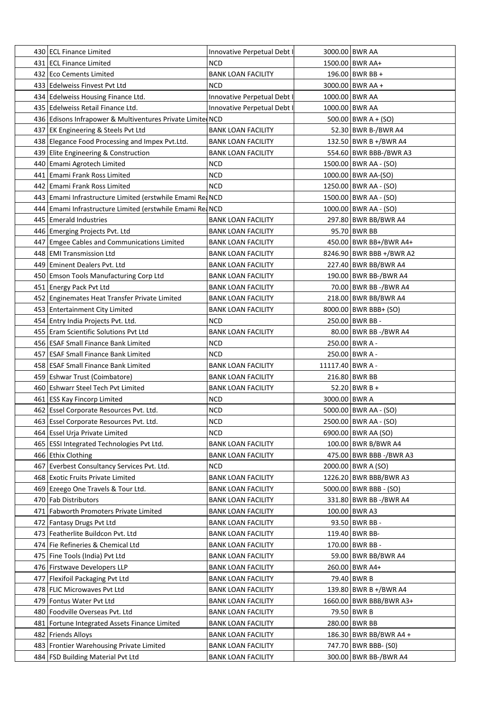| 430 ECL Finance Limited                                   | Innovative Perpetual Debt I |                  | 3000.00 BWR AA           |
|-----------------------------------------------------------|-----------------------------|------------------|--------------------------|
| 431 ECL Finance Limited                                   | NCD                         |                  | 1500.00 BWR AA+          |
| 432 Eco Cements Limited                                   | <b>BANK LOAN FACILITY</b>   |                  | 196.00 BWR BB +          |
| 433 Edelweiss Finvest Pvt Ltd                             | <b>NCD</b>                  |                  | 3000.00 BWR AA +         |
| 434 Edelweiss Housing Finance Ltd.                        | Innovative Perpetual Debt I |                  | 1000.00 BWR AA           |
| 435 Edelweiss Retail Finance Ltd.                         | Innovative Perpetual Debt I |                  | 1000.00 BWR AA           |
| 436 Edisons Infrapower & Multiventures Private Limite NCD |                             |                  | $500.00$ BWR A + (SO)    |
| 437 EK Engineering & Steels Pvt Ltd                       | <b>BANK LOAN FACILITY</b>   |                  | 52.30 BWR B-/BWR A4      |
| 438 Elegance Food Processing and Impex Pvt.Ltd.           | <b>BANK LOAN FACILITY</b>   |                  | 132.50 BWR B +/BWR A4    |
| 439 Elite Engineering & Construction                      | <b>BANK LOAN FACILITY</b>   |                  | 554.60 BWR BBB-/BWR A3   |
| 440 Emami Agrotech Limited                                | NCD                         |                  | 1500.00 BWR AA - (SO)    |
| 441 Emami Frank Ross Limited                              | NCD                         |                  | 1000.00 BWR AA-(SO)      |
| 442 Emami Frank Ross Limited                              | <b>NCD</b>                  |                  | 1250.00 BWR AA - (SO)    |
| 443 Emami Infrastructure Limited (erstwhile Emami Rea NCD |                             |                  | 1500.00 BWR AA - (SO)    |
| 444 Emami Infrastructure Limited (erstwhile Emami Re NCD  |                             |                  | 1000.00 BWR AA - (SO)    |
| 445 Emerald Industries                                    | <b>BANK LOAN FACILITY</b>   |                  | 297.80 BWR BB/BWR A4     |
| 446 Emerging Projects Pvt. Ltd                            | <b>BANK LOAN FACILITY</b>   |                  | 95.70 BWR BB             |
| 447 Emgee Cables and Communications Limited               | <b>BANK LOAN FACILITY</b>   |                  | 450.00 BWR BB+/BWR A4+   |
| 448 EMI Transmission Ltd                                  | <b>BANK LOAN FACILITY</b>   |                  | 8246.90 BWR BBB +/BWR A2 |
| 449 Eminent Dealers Pvt. Ltd                              | <b>BANK LOAN FACILITY</b>   |                  | 227.40 BWR BB/BWR A4     |
|                                                           | <b>BANK LOAN FACILITY</b>   |                  | 190.00 BWR BB-/BWR A4    |
| 450 Emson Tools Manufacturing Corp Ltd                    | <b>BANK LOAN FACILITY</b>   |                  |                          |
| 451 Energy Pack Pvt Ltd                                   |                             |                  | 70.00 BWR BB -/BWR A4    |
| 452 Enginemates Heat Transfer Private Limited             | <b>BANK LOAN FACILITY</b>   |                  | 218.00 BWR BB/BWR A4     |
| 453 Entertainment City Limited                            | <b>BANK LOAN FACILITY</b>   |                  | 8000.00 BWR BBB+ (SO)    |
| 454 Entry India Projects Pvt. Ltd.                        | NCD                         |                  | 250.00 BWR BB -          |
| 455   Eram Scientific Solutions Pvt Ltd                   | <b>BANK LOAN FACILITY</b>   |                  | 80.00 BWR BB -/BWR A4    |
| 456 ESAF Small Finance Bank Limited                       | <b>NCD</b>                  |                  | 250.00 BWR A -           |
| 457 ESAF Small Finance Bank Limited                       | <b>NCD</b>                  |                  | 250.00 BWR A -           |
| 458 ESAF Small Finance Bank Limited                       | <b>BANK LOAN FACILITY</b>   | 11117.40 BWR A - |                          |
| 459 Eshwar Trust (Coimbatore)                             | <b>BANK LOAN FACILITY</b>   |                  | 216.80 BWR BB            |
| 460 Eshwarr Steel Tech Pvt Limited                        | <b>BANK LOAN FACILITY</b>   |                  | 52.20 BWR B +            |
| 461 ESS Kay Fincorp Limited                               | <b>NCD</b>                  | 3000.00 BWR A    |                          |
| 462 Essel Corporate Resources Pvt. Ltd.                   | <b>NCD</b>                  |                  | 5000.00 BWR AA - (SO)    |
| 463 Essel Corporate Resources Pvt. Ltd.                   | <b>NCD</b>                  |                  | 2500.00 BWR AA - (SO)    |
| 464 Essel Urja Private Limited                            | NCD                         |                  | 6900.00 BWR AA (SO)      |
| 465 ESSI Integrated Technologies Pvt Ltd.                 | <b>BANK LOAN FACILITY</b>   |                  | 100.00 BWR B/BWR A4      |
| 466 Ethix Clothing                                        | <b>BANK LOAN FACILITY</b>   |                  | 475.00 BWR BBB -/BWR A3  |
| 467 Everbest Consultancy Services Pvt. Ltd.               | <b>NCD</b>                  |                  | 2000.00 BWR A (SO)       |
| 468 Exotic Fruits Private Limited                         | <b>BANK LOAN FACILITY</b>   |                  | 1226.20 BWR BBB/BWR A3   |
| 469 Ezeego One Travels & Tour Ltd.                        | <b>BANK LOAN FACILITY</b>   |                  | 5000.00   BWR BBB - (SO) |
| 470 Fab Distributors                                      | <b>BANK LOAN FACILITY</b>   |                  | 331.80 BWR BB -/BWR A4   |
| 471 Fabworth Promoters Private Limited                    | <b>BANK LOAN FACILITY</b>   |                  | 100.00 BWR A3            |
| 472 Fantasy Drugs Pvt Ltd                                 | <b>BANK LOAN FACILITY</b>   |                  | 93.50 BWR BB -           |
| 473 Featherlite Buildcon Pvt. Ltd                         | <b>BANK LOAN FACILITY</b>   |                  | 119.40 BWR BB-           |
| 474 Fie Refineries & Chemical Ltd                         | <b>BANK LOAN FACILITY</b>   |                  | 170.00 BWR BB -          |
| 475   Fine Tools (India) Pvt Ltd                          | <b>BANK LOAN FACILITY</b>   |                  | 59.00 BWR BB/BWR A4      |
| 476 Firstwave Developers LLP                              | <b>BANK LOAN FACILITY</b>   |                  | 260.00 BWR A4+           |
| 477 Flexifoil Packaging Pvt Ltd                           | <b>BANK LOAN FACILITY</b>   |                  | 79.40 BWR B              |
| 478 FLIC Microwaves Pvt Ltd                               | <b>BANK LOAN FACILITY</b>   |                  | 139.80 BWR B +/BWR A4    |
| 479 Fontus Water Pvt Ltd                                  | <b>BANK LOAN FACILITY</b>   |                  | 1660.00 BWR BBB/BWR A3+  |
| 480 Foodville Overseas Pvt. Ltd                           | <b>BANK LOAN FACILITY</b>   |                  | 79.50 BWR B              |
| 481   Fortune Integrated Assets Finance Limited           | <b>BANK LOAN FACILITY</b>   |                  | 280.00 BWR BB            |
| 482 Friends Alloys                                        | <b>BANK LOAN FACILITY</b>   |                  | 186.30 BWR BB/BWR A4 +   |
| 483 Frontier Warehousing Private Limited                  | <b>BANK LOAN FACILITY</b>   |                  | 747.70 BWR BBB- (S0)     |
| 484 FSD Building Material Pvt Ltd                         | <b>BANK LOAN FACILITY</b>   |                  | 300.00 BWR BB-/BWR A4    |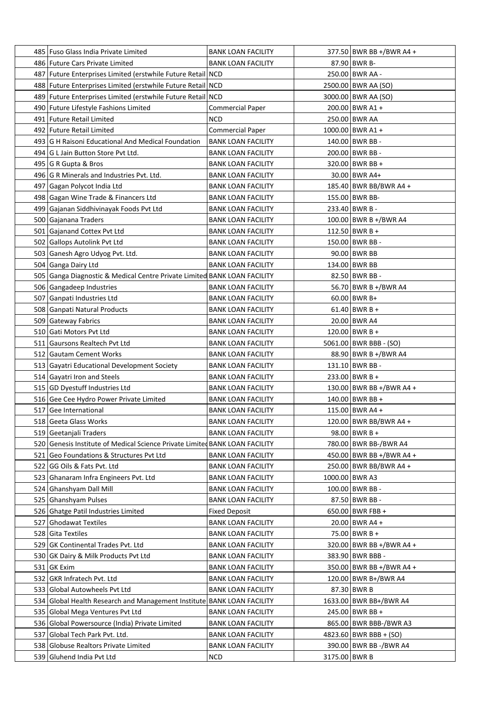| 485 Fuso Glass India Private Limited                                        | <b>BANK LOAN FACILITY</b> |               | 377.50 BWR BB +/BWR A4 + |
|-----------------------------------------------------------------------------|---------------------------|---------------|--------------------------|
| 486 Future Cars Private Limited                                             | <b>BANK LOAN FACILITY</b> |               | 87.90 BWR B-             |
| 487 Future Enterprises Limited (erstwhile Future Retail NCD                 |                           |               | 250.00 BWR AA -          |
| 488 Future Enterprises Limited (erstwhile Future Retail NCD                 |                           |               | 2500.00 BWR AA (SO)      |
| 489 Future Enterprises Limited (erstwhile Future Retail                     | NCD                       |               | 3000.00 BWR AA (SO)      |
| 490 Future Lifestyle Fashions Limited                                       | <b>Commercial Paper</b>   |               | 200.00 BWR A1 +          |
| 491 Future Retail Limited                                                   | NCD                       |               | 250.00 BWR AA            |
| 492 Future Retail Limited                                                   | <b>Commercial Paper</b>   |               | 1000.00 BWR A1 +         |
| 493 G H Raisoni Educational And Medical Foundation                          | <b>BANK LOAN FACILITY</b> |               | 140.00 BWR BB -          |
| 494 G L Jain Button Store Pvt Ltd.                                          | <b>BANK LOAN FACILITY</b> |               | 200.00 BWR BB -          |
| 495 G R Gupta & Bros                                                        | <b>BANK LOAN FACILITY</b> |               | 320.00 BWR BB +          |
| 496 G R Minerals and Industries Pvt. Ltd.                                   | <b>BANK LOAN FACILITY</b> |               | 30.00 BWR A4+            |
| 497 Gagan Polycot India Ltd                                                 | <b>BANK LOAN FACILITY</b> |               | 185.40 BWR BB/BWR A4 +   |
| 498 Gagan Wine Trade & Financers Ltd                                        | <b>BANK LOAN FACILITY</b> |               | 155.00 BWR BB-           |
| 499 Gajanan Siddhivinayak Foods Pvt Ltd                                     | <b>BANK LOAN FACILITY</b> |               | 233.40 BWR B -           |
| 500 Gajanana Traders                                                        | <b>BANK LOAN FACILITY</b> |               | 100.00 BWR B +/BWR A4    |
| 501 Gajanand Cottex Pvt Ltd                                                 | <b>BANK LOAN FACILITY</b> |               | 112.50 BWR B +           |
| 502 Gallops Autolink Pvt Ltd                                                | <b>BANK LOAN FACILITY</b> |               | 150.00 BWR BB -          |
| 503 Ganesh Agro Udyog Pvt. Ltd.                                             | <b>BANK LOAN FACILITY</b> |               | 90.00 BWR BB             |
| 504 Ganga Dairy Ltd                                                         | <b>BANK LOAN FACILITY</b> |               | 134.00 BWR BB            |
| 505 Ganga Diagnostic & Medical Centre Private Limited BANK LOAN FACILITY    |                           |               | 82.50 BWR BB -           |
| 506 Gangadeep Industries                                                    | <b>BANK LOAN FACILITY</b> |               | 56.70 BWR B +/BWR A4     |
| 507 Ganpati Industries Ltd                                                  | <b>BANK LOAN FACILITY</b> |               | $60.00$ BWR B+           |
| 508 Ganpati Natural Products                                                | <b>BANK LOAN FACILITY</b> |               | $61.40$ BWR B +          |
| 509 Gateway Fabrics                                                         | <b>BANK LOAN FACILITY</b> |               | 20.00 BWR A4             |
| 510 Gati Motors Pvt Ltd                                                     | <b>BANK LOAN FACILITY</b> |               | $120.00$ BWR B +         |
| 511 Gaursons Realtech Pvt Ltd                                               | <b>BANK LOAN FACILITY</b> |               | 5061.00 BWR BBB - (SO)   |
| 512 Gautam Cement Works                                                     | <b>BANK LOAN FACILITY</b> |               | 88.90 BWR B +/BWR A4     |
| 513 Gayatri Educational Development Society                                 | <b>BANK LOAN FACILITY</b> |               | 131.10 BWR BB -          |
| 514 Gayatri Iron and Steels                                                 | <b>BANK LOAN FACILITY</b> |               | 233.00 BWR B +           |
| 515 GD Dyestuff Industries Ltd                                              | <b>BANK LOAN FACILITY</b> |               | 130.00 BWR BB +/BWR A4 + |
| 516 Gee Cee Hydro Power Private Limited                                     | <b>BANK LOAN FACILITY</b> |               | $140.00$ BWR BB +        |
| 517 Gee International                                                       | <b>BANK LOAN FACILITY</b> |               | 115.00 BWR A4 +          |
| 518 Geeta Glass Works                                                       | <b>BANK LOAN FACILITY</b> |               | 120.00 BWR BB/BWR A4 +   |
| 519 Geetanjali Traders                                                      | <b>BANK LOAN FACILITY</b> |               | 98.00 BWR B +            |
| 520 Genesis Institute of Medical Science Private Limited BANK LOAN FACILITY |                           |               | 780.00 BWR BB-/BWR A4    |
| 521 Geo Foundations & Structures Pvt Ltd                                    | <b>BANK LOAN FACILITY</b> |               | 450.00 BWR BB +/BWR A4 + |
| 522 GG Oils & Fats Pvt. Ltd                                                 | <b>BANK LOAN FACILITY</b> |               | 250.00 BWR BB/BWR A4 +   |
| 523 Ghanaram Infra Engineers Pvt. Ltd                                       | <b>BANK LOAN FACILITY</b> |               | 1000.00 BWR A3           |
| 524 Ghanshyam Dall Mill                                                     | <b>BANK LOAN FACILITY</b> |               | 100.00 BWR BB -          |
| 525 Ghanshyam Pulses                                                        | <b>BANK LOAN FACILITY</b> |               | 87.50 BWR BB -           |
| 526 Ghatge Patil Industries Limited                                         | <b>Fixed Deposit</b>      |               | 650.00 BWR FBB +         |
| 527 Ghodawat Textiles                                                       | <b>BANK LOAN FACILITY</b> |               | 20.00 BWR A4 +           |
| 528 Gita Textiles                                                           | <b>BANK LOAN FACILITY</b> |               | 75.00 BWR B +            |
| 529 GK Continental Trades Pvt. Ltd                                          | <b>BANK LOAN FACILITY</b> |               | 320.00 BWR BB +/BWR A4 + |
| 530 GK Dairy & Milk Products Pvt Ltd                                        | <b>BANK LOAN FACILITY</b> |               | 383.90 BWR BBB -         |
| 531 GK Exim                                                                 | <b>BANK LOAN FACILITY</b> |               | 350.00 BWR BB +/BWR A4 + |
| 532 GKR Infratech Pvt. Ltd                                                  | <b>BANK LOAN FACILITY</b> |               | 120.00 BWR B+/BWR A4     |
| 533 Global Autowheels Pvt Ltd                                               | <b>BANK LOAN FACILITY</b> |               | 87.30 BWR B              |
| 534 Global Health Research and Management Institute BANK LOAN FACILITY      |                           |               | 1633.00 BWR BB+/BWR A4   |
| 535 Global Mega Ventures Pvt Ltd                                            | <b>BANK LOAN FACILITY</b> |               | 245.00 BWR BB +          |
| 536 Global Powersource (India) Private Limited                              | <b>BANK LOAN FACILITY</b> |               | 865.00 BWR BBB-/BWR A3   |
| 537 Global Tech Park Pvt. Ltd.                                              | <b>BANK LOAN FACILITY</b> |               | $4823.60$ BWR BBB + (SO) |
| 538 Globuse Realtors Private Limited                                        | <b>BANK LOAN FACILITY</b> |               | 390.00 BWR BB -/BWR A4   |
| 539 Gluhend India Pvt Ltd                                                   | <b>NCD</b>                | 3175.00 BWR B |                          |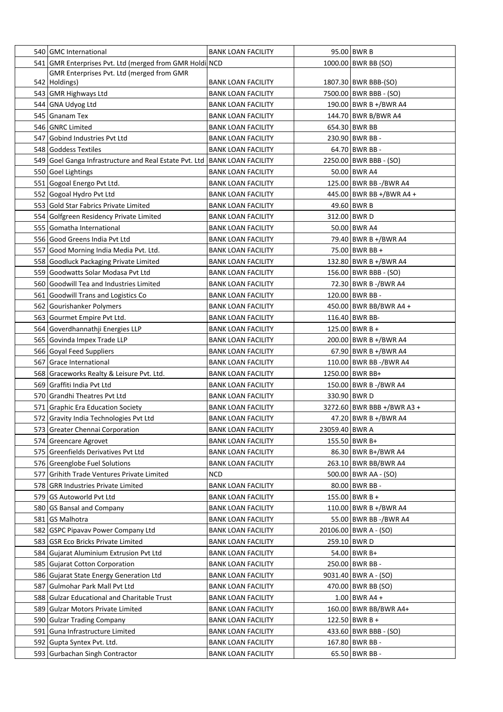| 540 GMC International                                   | <b>BANK LOAN FACILITY</b> |                | 95.00 BWR B                |
|---------------------------------------------------------|---------------------------|----------------|----------------------------|
| 541 GMR Enterprises Pvt. Ltd (merged from GMR Holdi NCD |                           |                | 1000.00 BWR BB (SO)        |
| GMR Enterprises Pvt. Ltd (merged from GMR               |                           |                |                            |
| 542   Holdings)                                         | <b>BANK LOAN FACILITY</b> |                | 1807.30 BWR BBB-(SO)       |
| 543 GMR Highways Ltd                                    | <b>BANK LOAN FACILITY</b> |                | 7500.00 BWR BBB - (SO)     |
| 544 GNA Udyog Ltd                                       | <b>BANK LOAN FACILITY</b> |                | 190.00 BWR B +/BWR A4      |
| 545 Gnanam Tex                                          | <b>BANK LOAN FACILITY</b> |                | 144.70 BWR B/BWR A4        |
| 546 GNRC Limited                                        | <b>BANK LOAN FACILITY</b> |                | 654.30 BWR BB              |
| 547 Gobind Industries Pvt Ltd                           | <b>BANK LOAN FACILITY</b> |                | 230.90 BWR BB -            |
| 548 Goddess Textiles                                    | <b>BANK LOAN FACILITY</b> |                | 64.70 BWR BB -             |
| 549 Goel Ganga Infrastructure and Real Estate Pvt. Ltd  | BANK LOAN FACILITY        |                | 2250.00 BWR BBB - (SO)     |
| 550 Goel Lightings                                      | <b>BANK LOAN FACILITY</b> |                | 50.00 BWR A4               |
| 551 Gogoal Energo Pvt Ltd.                              | <b>BANK LOAN FACILITY</b> |                | 125.00 BWR BB -/BWR A4     |
| 552 Gogoal Hydro Pvt Ltd                                | <b>BANK LOAN FACILITY</b> |                | 445.00 BWR BB +/BWR A4 +   |
| 553 Gold Star Fabrics Private Limited                   | <b>BANK LOAN FACILITY</b> |                | 49.60 BWR B                |
| 554 Golfgreen Residency Private Limited                 | <b>BANK LOAN FACILITY</b> |                | 312.00 BWR D               |
| 555 Gomatha International                               | <b>BANK LOAN FACILITY</b> |                | 50.00 BWR A4               |
| 556 Good Greens India Pvt Ltd                           | <b>BANK LOAN FACILITY</b> |                | 79.40 BWR B +/BWR A4       |
| 557 Good Morning India Media Pvt. Ltd.                  | <b>BANK LOAN FACILITY</b> |                | 75.00 BWR BB +             |
| 558 Goodluck Packaging Private Limited                  | <b>BANK LOAN FACILITY</b> |                | 132.80 BWR B +/BWR A4      |
| 559 Goodwatts Solar Modasa Pvt Ltd                      | <b>BANK LOAN FACILITY</b> |                | 156.00 BWR BBB - (SO)      |
| 560 Goodwill Tea and Industries Limited                 | <b>BANK LOAN FACILITY</b> |                | 72.30 BWR B -/BWR A4       |
| 561 Goodwill Trans and Logistics Co                     | <b>BANK LOAN FACILITY</b> |                | 120.00 BWR BB -            |
| 562 Gourishanker Polymers                               | <b>BANK LOAN FACILITY</b> |                | 450.00 BWR BB/BWR A4 +     |
| 563 Gourmet Empire Pvt Ltd.                             | <b>BANK LOAN FACILITY</b> |                | 116.40 BWR BB-             |
| 564 Goverdhannathji Energies LLP                        | <b>BANK LOAN FACILITY</b> |                | 125.00 BWR B +             |
| 565 Govinda Impex Trade LLP                             | <b>BANK LOAN FACILITY</b> |                | 200.00 BWR B +/BWR A4      |
| 566 Goyal Feed Suppliers                                | <b>BANK LOAN FACILITY</b> |                | 67.90 BWR B +/BWR A4       |
| 567 Grace International                                 | <b>BANK LOAN FACILITY</b> |                | 110.00 BWR BB -/BWR A4     |
| 568 Graceworks Realty & Leisure Pvt. Ltd.               | <b>BANK LOAN FACILITY</b> |                | 1250.00 BWR BB+            |
| 569 Graffiti India Pvt Ltd                              | <b>BANK LOAN FACILITY</b> |                | 150.00 BWR B -/BWR A4      |
| 570 Grandhi Theatres Pvt Ltd                            | <b>BANK LOAN FACILITY</b> |                | 330.90 BWR D               |
| 571 Graphic Era Education Society                       | <b>BANK LOAN FACILITY</b> |                | 3272.60 BWR BBB +/BWR A3 + |
| 572 Gravity India Technologies Pvt Ltd                  | <b>BANK LOAN FACILITY</b> |                | 47.20 BWR B +/BWR A4       |
| 573 Greater Chennai Corporation                         | <b>BANK LOAN FACILITY</b> | 23059.40 BWR A |                            |
| 574 Greencare Agrovet                                   | <b>BANK LOAN FACILITY</b> |                | 155.50 BWR B+              |
| 575 Greenfields Derivatives Pvt Ltd                     | <b>BANK LOAN FACILITY</b> |                | 86.30 BWR B+/BWR A4        |
| 576 Greenglobe Fuel Solutions                           | <b>BANK LOAN FACILITY</b> |                | 263.10 BWR BB/BWR A4       |
| 577 Grihith Trade Ventures Private Limited              | NCD                       |                | 500.00   BWR AA - (SO)     |
| 578 GRR Industries Private Limited                      | <b>BANK LOAN FACILITY</b> |                | 80.00 BWR BB -             |
| 579 GS Autoworld Pvt Ltd                                | <b>BANK LOAN FACILITY</b> |                | 155.00 BWR B +             |
| 580 GS Bansal and Company                               | <b>BANK LOAN FACILITY</b> |                | 110.00 BWR B +/BWR A4      |
| 581 GS Malhotra                                         | <b>BANK LOAN FACILITY</b> |                | 55.00 BWR BB -/BWR A4      |
| 582 GSPC Pipavav Power Company Ltd                      | <b>BANK LOAN FACILITY</b> |                | 20106.00 BWR A - (SO)      |
| 583 GSR Eco Bricks Private Limited                      | <b>BANK LOAN FACILITY</b> |                | 259.10 BWR D               |
| 584 Gujarat Aluminium Extrusion Pvt Ltd                 | <b>BANK LOAN FACILITY</b> |                | 54.00 BWR B+               |
| 585 Gujarat Cotton Corporation                          | <b>BANK LOAN FACILITY</b> |                | 250.00 BWR BB -            |
| 586 Gujarat State Energy Generation Ltd                 | <b>BANK LOAN FACILITY</b> |                | 9031.40 BWR A - (SO)       |
| 587 Gulmohar Park Mall Pvt Ltd                          | <b>BANK LOAN FACILITY</b> |                | 470.00 BWR BB (SO)         |
| 588 Gulzar Educational and Charitable Trust             | <b>BANK LOAN FACILITY</b> |                | $1.00$ BWR A4 +            |
| 589 Gulzar Motors Private Limited                       | <b>BANK LOAN FACILITY</b> |                | 160.00 BWR BB/BWR A4+      |
| 590 Gulzar Trading Company                              | <b>BANK LOAN FACILITY</b> |                | 122.50 BWR B +             |
| 591 Guna Infrastructure Limited                         | <b>BANK LOAN FACILITY</b> |                | 433.60 BWR BBB - (SO)      |
| 592 Gupta Syntex Pvt. Ltd.                              | <b>BANK LOAN FACILITY</b> |                | 167.80 BWR BB -            |
| 593 Gurbachan Singh Contractor                          | <b>BANK LOAN FACILITY</b> |                | 65.50 BWR BB -             |
|                                                         |                           |                |                            |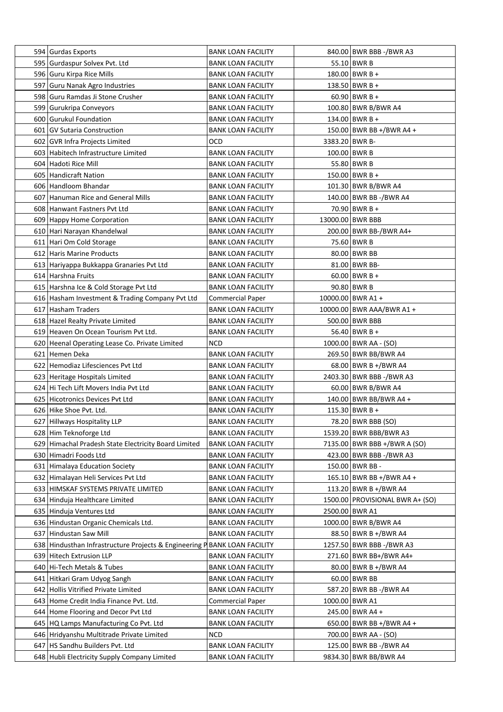| 594 Gurdas Exports                                                        | <b>BANK LOAN FACILITY</b> |                | 840.00 BWR BBB -/BWR A3         |
|---------------------------------------------------------------------------|---------------------------|----------------|---------------------------------|
| 595 Gurdaspur Solvex Pvt. Ltd                                             | <b>BANK LOAN FACILITY</b> |                | 55.10 BWR B                     |
| 596 Guru Kirpa Rice Mills                                                 | <b>BANK LOAN FACILITY</b> |                | 180.00 BWR B +                  |
| 597 Guru Nanak Agro Industries                                            | <b>BANK LOAN FACILITY</b> |                | 138.50 BWR B +                  |
| 598 Guru Ramdas Ji Stone Crusher                                          | <b>BANK LOAN FACILITY</b> |                | $60.90$ BWR B +                 |
| 599 Gurukripa Conveyors                                                   | <b>BANK LOAN FACILITY</b> |                | 100.80 BWR B/BWR A4             |
| 600 Gurukul Foundation                                                    | <b>BANK LOAN FACILITY</b> |                | 134.00 BWR B +                  |
| 601 GV Sutaria Construction                                               | <b>BANK LOAN FACILITY</b> |                | 150.00 BWR BB +/BWR A4 +        |
| 602 GVR Infra Projects Limited                                            | OCD                       | 3383.20 BWR B- |                                 |
| 603 Habitech Infrastructure Limited                                       | <b>BANK LOAN FACILITY</b> |                | 100.00 BWR B                    |
| 604 Hadoti Rice Mill                                                      | <b>BANK LOAN FACILITY</b> |                | 55.80 BWR B                     |
| 605 Handicraft Nation                                                     | <b>BANK LOAN FACILITY</b> |                | $150.00$ BWR B +                |
| 606 Handloom Bhandar                                                      | <b>BANK LOAN FACILITY</b> |                | 101.30 BWR B/BWR A4             |
| 607 Hanuman Rice and General Mills                                        | <b>BANK LOAN FACILITY</b> |                | 140.00 BWR BB -/BWR A4          |
| 608 Hanwant Fastners Pvt Ltd                                              | <b>BANK LOAN FACILITY</b> |                | 70.90 BWR B +                   |
| 609 Happy Home Corporation                                                | <b>BANK LOAN FACILITY</b> |                | 13000.00 BWR BBB                |
| 610 Hari Narayan Khandelwal                                               | <b>BANK LOAN FACILITY</b> |                | 200.00 BWR BB-/BWR A4+          |
| 611 Hari Om Cold Storage                                                  | <b>BANK LOAN FACILITY</b> |                | 75.60 BWR B                     |
| 612 Haris Marine Products                                                 | <b>BANK LOAN FACILITY</b> |                | 80.00 BWR BB                    |
| 613 Hariyappa Bukkappa Granaries Pvt Ltd                                  | <b>BANK LOAN FACILITY</b> |                | 81.00 BWR BB-                   |
| 614 Harshna Fruits                                                        | <b>BANK LOAN FACILITY</b> |                | $60.00$ BWR B +                 |
| 615 Harshna Ice & Cold Storage Pvt Ltd                                    | <b>BANK LOAN FACILITY</b> |                | 90.80 BWR B                     |
| 616 Hasham Investment & Trading Company Pvt Ltd                           | Commercial Paper          |                | 10000.00 BWR A1 +               |
| 617 Hasham Traders                                                        | <b>BANK LOAN FACILITY</b> |                | 10000.00 BWR AAA/BWR A1 +       |
| 618   Hazel Realty Private Limited                                        | <b>BANK LOAN FACILITY</b> |                | 500.00 BWR BBB                  |
| 619 Heaven On Ocean Tourism Pvt Ltd.                                      | <b>BANK LOAN FACILITY</b> |                | 56.40 BWR B +                   |
| 620 Heenal Operating Lease Co. Private Limited                            | <b>NCD</b>                |                | 1000.00 BWR AA - (SO)           |
| 621 Hemen Deka                                                            | <b>BANK LOAN FACILITY</b> |                | 269.50 BWR BB/BWR A4            |
| 622 Hemodiaz Lifesciences Pvt Ltd                                         | <b>BANK LOAN FACILITY</b> |                | 68.00 BWR B +/BWR A4            |
| 623 Heritage Hospitals Limited                                            | <b>BANK LOAN FACILITY</b> |                | 2403.30 BWR BBB -/BWR A3        |
| 624 Hi Tech Lift Movers India Pvt Ltd                                     | <b>BANK LOAN FACILITY</b> |                | 60.00 BWR B/BWR A4              |
| 625 Hicotronics Devices Pvt Ltd                                           | <b>BANK LOAN FACILITY</b> |                | 140.00 BWR BB/BWR A4 +          |
| 626 Hike Shoe Pvt. Ltd.                                                   | <b>BANK LOAN FACILITY</b> |                | 115.30 BWR B +                  |
| 627 Hillways Hospitality LLP                                              | <b>BANK LOAN FACILITY</b> |                | 78.20 BWR BBB (SO)              |
| 628 Him Teknoforge Ltd                                                    | <b>BANK LOAN FACILITY</b> |                | 1539.20 BWR BBB/BWR A3          |
| 629 Himachal Pradesh State Electricity Board Limited                      | <b>BANK LOAN FACILITY</b> |                | 7135.00 BWR BBB +/BWR A (SO)    |
| 630 Himadri Foods Ltd                                                     | <b>BANK LOAN FACILITY</b> |                | 423.00 BWR BBB -/BWR A3         |
| 631 Himalaya Education Society                                            | <b>BANK LOAN FACILITY</b> |                | 150.00 BWR BB -                 |
| 632 Himalayan Heli Services Pvt Ltd                                       | <b>BANK LOAN FACILITY</b> |                | 165.10 BWR BB +/BWR A4 +        |
| 633 HIMSKAF SYSTEMS PRIVATE LIMITED                                       | <b>BANK LOAN FACILITY</b> |                | 113.20 BWR B +/BWR A4           |
| 634 Hinduja Healthcare Limited                                            | <b>BANK LOAN FACILITY</b> |                | 1500.00 PROVISIONAL BWR A+ (SO) |
| 635 Hinduja Ventures Ltd                                                  | <b>BANK LOAN FACILITY</b> |                | 2500.00 BWR A1                  |
| 636 Hindustan Organic Chemicals Ltd.                                      | <b>BANK LOAN FACILITY</b> |                | 1000.00 BWR B/BWR A4            |
| 637 Hindustan Saw Mill                                                    | <b>BANK LOAN FACILITY</b> |                | 88.50 BWR B +/BWR A4            |
| 638 Hindusthan Infrastructure Projects & Engineering P BANK LOAN FACILITY |                           |                | 1257.50 BWR BBB -/BWR A3        |
| 639 Hitech Extrusion LLP                                                  | <b>BANK LOAN FACILITY</b> |                | 271.60 BWR BB+/BWR A4+          |
| 640 Hi-Tech Metals & Tubes                                                | <b>BANK LOAN FACILITY</b> |                | 80.00 BWR B +/BWR A4            |
| 641 Hitkari Gram Udyog Sangh                                              | <b>BANK LOAN FACILITY</b> |                | 60.00 BWR BB                    |
| 642 Hollis Vitrified Private Limited                                      | <b>BANK LOAN FACILITY</b> |                | 587.20 BWR BB -/BWR A4          |
| 643 Home Credit India Finance Pvt. Ltd.                                   | <b>Commercial Paper</b>   |                | 1000.00 BWR A1                  |
| 644 Home Flooring and Decor Pvt Ltd                                       | <b>BANK LOAN FACILITY</b> |                | 245.00 BWR A4 +                 |
| 645 HQ Lamps Manufacturing Co Pvt. Ltd                                    | <b>BANK LOAN FACILITY</b> |                | $650.00$ BWR BB +/BWR A4 +      |
| 646 Hridyanshu Multitrade Private Limited                                 | <b>NCD</b>                |                | 700.00   BWR AA - (SO)          |
| 647   HS Sandhu Builders Pvt. Ltd                                         | <b>BANK LOAN FACILITY</b> |                | 125.00 BWR BB -/BWR A4          |
| 648 Hubli Electricity Supply Company Limited                              | <b>BANK LOAN FACILITY</b> |                | 9834.30 BWR BB/BWR A4           |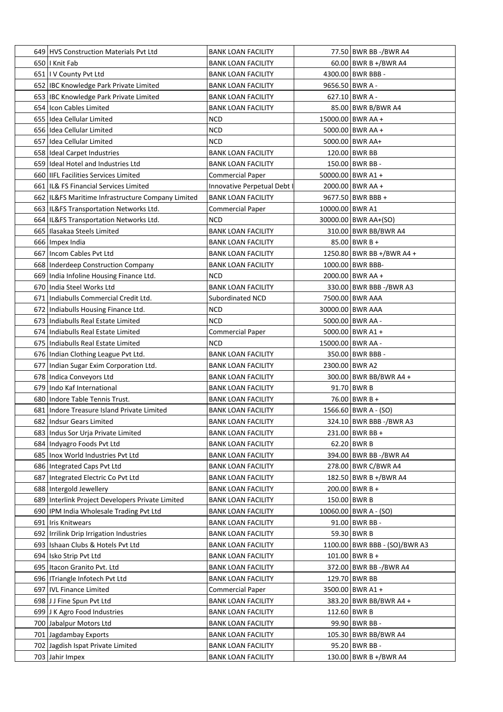| 649 HVS Construction Materials Pvt Ltd                                      | <b>BANK LOAN FACILITY</b>   |                 | 77.50 BWR BB -/BWR A4         |
|-----------------------------------------------------------------------------|-----------------------------|-----------------|-------------------------------|
| 650   Knit Fab                                                              | <b>BANK LOAN FACILITY</b>   |                 | 60.00 BWR B +/BWR A4          |
| 651   I V County Pvt Ltd                                                    | <b>BANK LOAN FACILITY</b>   |                 | 4300.00 BWR BBB -             |
| 652   IBC Knowledge Park Private Limited                                    | <b>BANK LOAN FACILITY</b>   |                 | 9656.50 BWR A -               |
| 653   IBC Knowledge Park Private Limited                                    | <b>BANK LOAN FACILITY</b>   |                 | 627.10 BWR A -                |
| 654 Icon Cables Limited                                                     | <b>BANK LOAN FACILITY</b>   |                 | 85.00 BWR B/BWR A4            |
| 655 Idea Cellular Limited                                                   | <b>NCD</b>                  |                 | 15000.00 BWR AA +             |
| 656 Idea Cellular Limited                                                   | <b>NCD</b>                  |                 | 5000.00 BWR AA +              |
| 657 Idea Cellular Limited                                                   | <b>NCD</b>                  |                 | 5000.00 BWR AA+               |
| 658 Ideal Carpet Industries                                                 | <b>BANK LOAN FACILITY</b>   |                 | 120.00 BWR BB                 |
| 659 Ideal Hotel and Industries Ltd                                          | <b>BANK LOAN FACILITY</b>   |                 | 150.00 BWR BB -               |
| 660   IIFL Facilities Services Limited                                      | <b>Commercial Paper</b>     |                 | 50000.00 BWR A1 +             |
| 661   IL& FS Financial Services Limited                                     | Innovative Perpetual Debt I |                 | 2000.00 BWR AA +              |
| 662 IL&FS Maritime Infrastructure Company Limited                           | <b>BANK LOAN FACILITY</b>   |                 | 9677.50 BWR BBB +             |
| 663   IL&FS Transportation Networks Ltd.                                    | <b>Commercial Paper</b>     | 10000.00 BWR A1 |                               |
| 664   IL&FS Transportation Networks Ltd.                                    | NCD                         |                 | 30000.00 BWR AA+(SO)          |
| 665   Ilasakaa Steels Limited                                               | <b>BANK LOAN FACILITY</b>   |                 | 310.00 BWR BB/BWR A4          |
| 666 Impex India                                                             | <b>BANK LOAN FACILITY</b>   |                 | 85.00 BWR B +                 |
| 667   Incom Cables Pvt Ltd                                                  | <b>BANK LOAN FACILITY</b>   |                 | 1250.80 BWR BB +/BWR A4 +     |
| 668   Inderdeep Construction Company                                        | <b>BANK LOAN FACILITY</b>   |                 | 1000.00 BWR BBB-              |
| 669 India Infoline Housing Finance Ltd.                                     | NCD                         |                 | 2000.00 BWR AA +              |
| 670 India Steel Works Ltd                                                   | <b>BANK LOAN FACILITY</b>   |                 | 330.00 BWR BBB -/BWR A3       |
| 671   Indiabulls Commercial Credit Ltd.                                     | <b>Subordinated NCD</b>     |                 | 7500.00 BWR AAA               |
|                                                                             | <b>NCD</b>                  |                 |                               |
| 672   Indiabulls Housing Finance Ltd.<br>673 Indiabulls Real Estate Limited | <b>NCD</b>                  |                 | 30000.00 BWR AAA              |
|                                                                             |                             |                 | 5000.00 BWR AA -              |
| 674   Indiabulls Real Estate Limited                                        | <b>Commercial Paper</b>     |                 | 5000.00 BWR A1 +              |
| 675 Indiabulls Real Estate Limited                                          | <b>NCD</b>                  |                 | 15000.00 BWR AA -             |
| 676 Indian Clothing League Pvt Ltd.                                         | <b>BANK LOAN FACILITY</b>   |                 | 350.00 BWR BBB -              |
| 677 Indian Sugar Exim Corporation Ltd.                                      | <b>BANK LOAN FACILITY</b>   |                 | 2300.00 BWR A2                |
| 678 Indica Conveyors Ltd                                                    | <b>BANK LOAN FACILITY</b>   |                 | 300.00 BWR BB/BWR A4 +        |
| 679 Indo Kaf International                                                  | <b>BANK LOAN FACILITY</b>   |                 | 91.70 BWR B                   |
| 680 Indore Table Tennis Trust.                                              | <b>BANK LOAN FACILITY</b>   |                 | 76.00 BWR B +                 |
| 681 Indore Treasure Island Private Limited                                  | <b>BANK LOAN FACILITY</b>   |                 | 1566.60 BWR A - (SO)          |
| 682   Indsur Gears Limited                                                  | <b>BANK LOAN FACILITY</b>   |                 | 324.10 BWR BBB -/BWR A3       |
| 683   Indus Sor Urja Private Limited                                        | <b>BANK LOAN FACILITY</b>   |                 | 231.00 BWR BB +               |
| 684 Indyagro Foods Pvt Ltd                                                  | <b>BANK LOAN FACILITY</b>   |                 | $62.20$ BWR B                 |
| 685   Inox World Industries Pvt Ltd                                         | <b>BANK LOAN FACILITY</b>   |                 | 394.00 BWR BB -/BWR A4        |
| 686 Integrated Caps Pvt Ltd                                                 | <b>BANK LOAN FACILITY</b>   |                 | 278.00 BWR C/BWR A4           |
| 687 Integrated Electric Co Pvt Ltd                                          | <b>BANK LOAN FACILITY</b>   |                 | 182.50 BWR B +/BWR A4         |
| 688 Intergold Jewellery                                                     | <b>BANK LOAN FACILITY</b>   |                 | $200.00$ BWR B +              |
| 689 Interlink Project Developers Private Limited                            | <b>BANK LOAN FACILITY</b>   |                 | 150.00 BWR B                  |
| 690 IPM India Wholesale Trading Pvt Ltd                                     | <b>BANK LOAN FACILITY</b>   |                 | $10060.00$ BWR A - (SO)       |
| 691 Iris Knitwears                                                          | <b>BANK LOAN FACILITY</b>   |                 | 91.00 BWR BB -                |
| 692   Irrilink Drip Irrigation Industries                                   | <b>BANK LOAN FACILITY</b>   |                 | 59.30 BWR B                   |
| 693   Ishaan Clubs & Hotels Pvt Ltd                                         | <b>BANK LOAN FACILITY</b>   |                 | 1100.00 BWR BBB - (SO)/BWR A3 |
| 694 Isko Strip Pvt Ltd                                                      | <b>BANK LOAN FACILITY</b>   |                 | $101.00$ BWR B +              |
| 695   Itacon Granito Pvt. Ltd                                               | <b>BANK LOAN FACILITY</b>   |                 | 372.00 BWR BB -/BWR A4        |
| 696   ITriangle Infotech Pvt Ltd                                            | <b>BANK LOAN FACILITY</b>   |                 | 129.70 BWR BB                 |
| 697   IVL Finance Limited                                                   | <b>Commercial Paper</b>     |                 | 3500.00 BWR A1 +              |
| 698 J J Fine Spun Pvt Ltd                                                   | <b>BANK LOAN FACILITY</b>   |                 | 383.20 BWR BB/BWR A4 +        |
| 699 J K Agro Food Industries                                                | <b>BANK LOAN FACILITY</b>   |                 | 112.60 BWR B                  |
| 700 Jabalpur Motors Ltd                                                     | <b>BANK LOAN FACILITY</b>   |                 | 99.90 BWR BB -                |
| 701 Jagdambay Exports                                                       | <b>BANK LOAN FACILITY</b>   |                 | 105.30 BWR BB/BWR A4          |
| 702 Jagdish Ispat Private Limited                                           | <b>BANK LOAN FACILITY</b>   |                 | 95.20 BWR BB -                |
| 703 Jahir Impex                                                             | <b>BANK LOAN FACILITY</b>   |                 | 130.00 BWR B +/BWR A4         |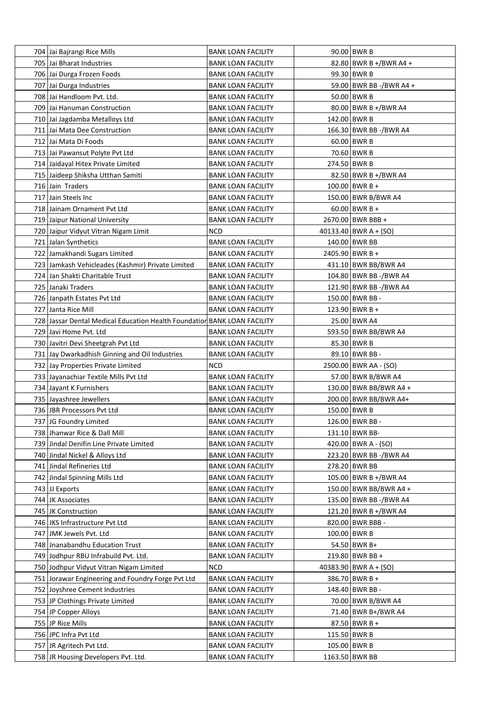| 704 Jai Bajrangi Rice Mills                                              | BANK LOAN FACILITY        | $90.00$ BWR B           |
|--------------------------------------------------------------------------|---------------------------|-------------------------|
| 705 Jai Bharat Industries                                                | BANK LOAN FACILITY        | 82.80 BWR B +/BWR A4 +  |
| 706 Jai Durga Frozen Foods                                               | <b>BANK LOAN FACILITY</b> | 99.30 BWR B             |
| 707 Jai Durga Industries                                                 | <b>BANK LOAN FACILITY</b> | 59.00 BWR BB -/BWR A4 + |
| 708 Jai Handloom Pvt. Ltd.                                               | <b>BANK LOAN FACILITY</b> | $50.00$ BWR B           |
| 709 Jai Hanuman Construction                                             | BANK LOAN FACILITY        | 80.00 BWR B +/BWR A4    |
| 710 Jai Jagdamba Metalloys Ltd                                           | BANK LOAN FACILITY        | 142.00 BWR B            |
| 711 Jai Mata Dee Construction                                            | <b>BANK LOAN FACILITY</b> | 166.30 BWR BB -/BWR A4  |
| 712 Jai Mata Di Foods                                                    | <b>BANK LOAN FACILITY</b> | $60.00$ BWR B           |
| 713 Jai Pawansut Polyte Pvt Ltd                                          | <b>BANK LOAN FACILITY</b> | 70.60 BWR B             |
| 714 Jaidayal Hitex Private Limited                                       | BANK LOAN FACILITY        | 274.50 BWR B            |
| 715 Jaideep Shiksha Utthan Samiti                                        | <b>BANK LOAN FACILITY</b> | 82.50 BWR B +/BWR A4    |
| 716 Jain Traders                                                         | <b>BANK LOAN FACILITY</b> | $100.00$ BWR B +        |
| 717 Jain Steels Inc                                                      | <b>BANK LOAN FACILITY</b> | 150.00 BWR B/BWR A4     |
| 718 Jainam Ornament Pvt Ltd                                              | <b>BANK LOAN FACILITY</b> | $60.00$ BWR B +         |
| 719 Jaipur National University                                           | BANK LOAN FACILITY        | 2670.00 BWR BBB +       |
| 720 Jaipur Vidyut Vitran Nigam Limit                                     | NCD                       | 40133.40   BWR A + (SO) |
| 721 Jalan Synthetics                                                     | <b>BANK LOAN FACILITY</b> | 140.00 BWR BB           |
| 722 Jamakhandi Sugars Limited                                            | <b>BANK LOAN FACILITY</b> | 2405.90 BWR B +         |
| 723 Jamkash Vehicleades (Kashmir) Private Limited                        | <b>BANK LOAN FACILITY</b> | 431.10 BWR BB/BWR A4    |
| 724 Jan Shakti Charitable Trust                                          | <b>BANK LOAN FACILITY</b> | 104.80 BWR BB -/BWR A4  |
| 725 Janaki Traders                                                       | <b>BANK LOAN FACILITY</b> | 121.90 BWR BB -/BWR A4  |
| 726 Janpath Estates Pvt Ltd                                              | <b>BANK LOAN FACILITY</b> | 150.00 BWR BB -         |
| 727 Janta Rice Mill                                                      | <b>BANK LOAN FACILITY</b> | 123.90 BWR B +          |
| 728 Jassar Dental Medical Education Health Foundation BANK LOAN FACILITY |                           | 25.00 BWR A4            |
| 729 Javi Home Pvt. Ltd                                                   | BANK LOAN FACILITY        | 593.50 BWR BB/BWR A4    |
| 730 Javitri Devi Sheetgrah Pvt Ltd                                       | <b>BANK LOAN FACILITY</b> | 85.30 BWR B             |
| 731 Jay Dwarkadhish Ginning and Oil Industries                           | <b>BANK LOAN FACILITY</b> | 89.10 BWR BB -          |
| 732 Jay Properties Private Limited                                       | NCD                       | 2500.00 BWR AA - (SO)   |
| 733 Jayanachiar Textile Mills Pvt Ltd                                    | <b>BANK LOAN FACILITY</b> | 57.00 BWR B/BWR A4      |
| 734 Jayant K Furnishers                                                  | BANK LOAN FACILITY        | 130.00 BWR BB/BWR A4 +  |
| 735 Jayashree Jewellers                                                  | <b>BANK LOAN FACILITY</b> | 200.00 BWR BB/BWR A4+   |
| 736 JBR Processors Pvt Ltd                                               | <b>BANK LOAN FACILITY</b> | 150.00 BWR B            |
| 737 JG Foundry Limited                                                   | <b>BANK LOAN FACILITY</b> | 126.00 BWR BB -         |
| 738 Jhanwar Rice & Dall Mill                                             | <b>BANK LOAN FACILITY</b> | 131.10 BWR BB-          |
| 739 Jindal Denifin Line Private Limited                                  | <b>BANK LOAN FACILITY</b> | 420.00 BWR A - (SO)     |
| 740 Jindal Nickel & Alloys Ltd                                           | <b>BANK LOAN FACILITY</b> | 223.20 BWR BB -/BWR A4  |
| 741 Jindal Refineries Ltd                                                | <b>BANK LOAN FACILITY</b> | 278.20 BWR BB           |
| 742 Jindal Spinning Mills Ltd                                            | <b>BANK LOAN FACILITY</b> | 105.00 BWR B +/BWR A4   |
| 743 JJ Exports                                                           | <b>BANK LOAN FACILITY</b> | 150.00 BWR BB/BWR A4 +  |
| 744 JK Associates                                                        | <b>BANK LOAN FACILITY</b> | 135.00 BWR BB -/BWR A4  |
| 745 JK Construction                                                      | <b>BANK LOAN FACILITY</b> | 121.20 BWR B +/BWR A4   |
| 746 JKS Infrastructure Pvt Ltd                                           | <b>BANK LOAN FACILITY</b> | 820.00 BWR BBB -        |
| 747 JMK Jewels Pvt. Ltd                                                  | <b>BANK LOAN FACILITY</b> | $100.00$ BWR B          |
| 748 Jnanabandhu Education Trust                                          | <b>BANK LOAN FACILITY</b> | 54.50 BWR B+            |
| 749 Jodhpur RBU Infrabuild Pvt. Ltd.                                     | <b>BANK LOAN FACILITY</b> | $219.80$ BWR BB +       |
| 750 Jodhpur Vidyut Vitran Nigam Limited                                  | NCD                       | 40383.90 BWR A + (SO)   |
| 751 Jorawar Engineering and Foundry Forge Pvt Ltd                        | <b>BANK LOAN FACILITY</b> | 386.70 BWR B +          |
| 752 Joyshree Cement Industries                                           | <b>BANK LOAN FACILITY</b> | 148.40 BWR BB -         |
|                                                                          |                           |                         |
| 753 JP Clothings Private Limited                                         | <b>BANK LOAN FACILITY</b> | 70.00 BWR B/BWR A4      |
| 754 JP Copper Alloys                                                     | <b>BANK LOAN FACILITY</b> | 71.40 BWR B+/BWR A4     |
| 755 JP Rice Mills                                                        | <b>BANK LOAN FACILITY</b> | 87.50 BWR B +           |
| 756 JPC Infra Pvt Ltd                                                    | <b>BANK LOAN FACILITY</b> | $115.50$ BWR B          |
| 757 JR Agritech Pvt Ltd.                                                 | <b>BANK LOAN FACILITY</b> | 105.00 BWR B            |
| 758 JR Housing Developers Pvt. Ltd.                                      | <b>BANK LOAN FACILITY</b> | 1163.50 BWR BB          |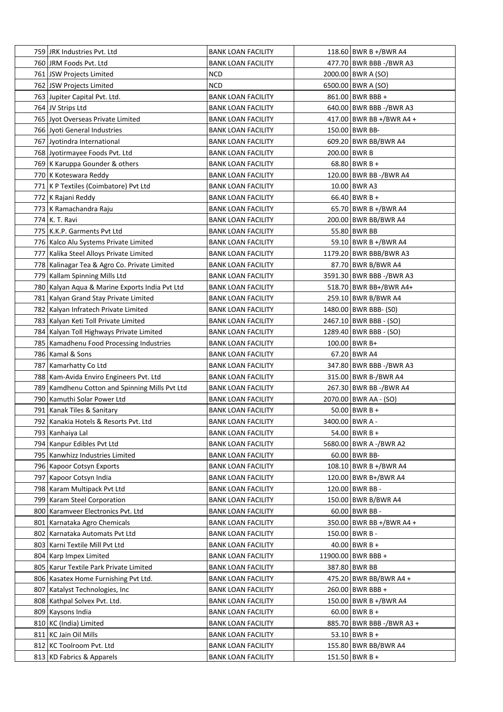| 759 JRK Industries Pvt. Ltd                    | <b>BANK LOAN FACILITY</b> | 118.60 BWR B +/BWR A4     |
|------------------------------------------------|---------------------------|---------------------------|
| 760 JRM Foods Pvt. Ltd                         | <b>BANK LOAN FACILITY</b> | 477.70 BWR BBB -/BWR A3   |
| 761 JSW Projects Limited                       | <b>NCD</b>                | 2000.00 BWR A (SO)        |
| 762 JSW Projects Limited                       | <b>NCD</b>                | 6500.00 BWR A (SO)        |
| 763 Jupiter Capital Pvt. Ltd.                  | <b>BANK LOAN FACILITY</b> | 861.00 BWR BBB +          |
| 764 JV Strips Ltd                              | <b>BANK LOAN FACILITY</b> | 640.00 BWR BBB -/BWR A3   |
| 765 Jyot Overseas Private Limited              | <b>BANK LOAN FACILITY</b> | 417.00 BWR BB +/BWR A4 +  |
| 766 Jyoti General Industries                   | <b>BANK LOAN FACILITY</b> | 150.00 BWR BB-            |
| 767 Jyotindra International                    | <b>BANK LOAN FACILITY</b> | 609.20 BWR BB/BWR A4      |
| 768 Jyotirmayee Foods Pvt. Ltd                 | <b>BANK LOAN FACILITY</b> | 200.00 BWR B              |
| 769 K Karuppa Gounder & others                 | <b>BANK LOAN FACILITY</b> | $68.80$ BWR B +           |
| 770 K Koteswara Reddy                          | <b>BANK LOAN FACILITY</b> | 120.00 BWR BB -/BWR A4    |
| 771 K P Textiles (Coimbatore) Pvt Ltd          | <b>BANK LOAN FACILITY</b> | 10.00 BWR A3              |
| 772 K Rajani Reddy                             | <b>BANK LOAN FACILITY</b> | $66.40$ BWR B +           |
| 773   K Ramachandra Raju                       | <b>BANK LOAN FACILITY</b> | 65.70 BWR B +/BWR A4      |
| 774 K. T. Ravi                                 | <b>BANK LOAN FACILITY</b> | 200.00 BWR BB/BWR A4      |
| 775   K.K.P. Garments Pvt Ltd                  | <b>BANK LOAN FACILITY</b> | 55.80 BWR BB              |
| 776 Kalco Alu Systems Private Limited          | <b>BANK LOAN FACILITY</b> | 59.10 BWR B +/BWR A4      |
| 777 Kalika Steel Alloys Private Limited        | <b>BANK LOAN FACILITY</b> | 1179.20 BWR BBB/BWR A3    |
| 778 Kalinagar Tea & Agro Co. Private Limited   | <b>BANK LOAN FACILITY</b> | 87.70 BWR B/BWR A4        |
| 779 Kallam Spinning Mills Ltd                  | <b>BANK LOAN FACILITY</b> | 3591.30 BWR BBB -/BWR A3  |
| 780 Kalyan Aqua & Marine Exports India Pvt Ltd | <b>BANK LOAN FACILITY</b> | 518.70 BWR BB+/BWR A4+    |
| 781 Kalyan Grand Stay Private Limited          | <b>BANK LOAN FACILITY</b> | 259.10 BWR B/BWR A4       |
| 782 Kalyan Infratech Private Limited           | <b>BANK LOAN FACILITY</b> | 1480.00   BWR BBB- (S0)   |
| 783 Kalyan Keti Toll Private Limited           | <b>BANK LOAN FACILITY</b> | 2467.10 BWR BBB - (SO)    |
| 784 Kalyan Toll Highways Private Limited       | <b>BANK LOAN FACILITY</b> | 1289.40   BWR BBB - (SO)  |
| 785   Kamadhenu Food Processing Industries     | <b>BANK LOAN FACILITY</b> | 100.00 BWR B+             |
| 786 Kamal & Sons                               | <b>BANK LOAN FACILITY</b> | 67.20 BWR A4              |
| 787 Kamarhatty Co Ltd                          | <b>BANK LOAN FACILITY</b> | 347.80 BWR BBB -/BWR A3   |
| 788 Kam-Avida Enviro Engineers Pvt. Ltd        | <b>BANK LOAN FACILITY</b> | 315.00 BWR B-/BWR A4      |
| 789 Kamdhenu Cotton and Spinning Mills Pvt Ltd | <b>BANK LOAN FACILITY</b> | 267.30 BWR BB -/BWR A4    |
| 790 Kamuthi Solar Power Ltd                    | <b>BANK LOAN FACILITY</b> | 2070.00 BWR AA - (SO)     |
| 791 Kanak Tiles & Sanitary                     | <b>BANK LOAN FACILITY</b> | 50.00 BWR B +             |
| 792 Kanakia Hotels & Resorts Pvt. Ltd          |                           | 3400.00 BWR A -           |
| 793 Kanhaiya Lal                               | <b>BANK LOAN FACILITY</b> | 54.00 BWR B +             |
|                                                | <b>BANK LOAN FACILITY</b> |                           |
| 794 Kanpur Edibles Pvt Ltd                     | <b>BANK LOAN FACILITY</b> | 5680.00 BWR A -/BWR A2    |
| 795   Kanwhizz Industries Limited              | <b>BANK LOAN FACILITY</b> | 60.00 BWR BB-             |
| 796   Kapoor Cotsyn Exports                    | <b>BANK LOAN FACILITY</b> | 108.10 BWR B +/BWR A4     |
| 797 Kapoor Cotsyn India                        | <b>BANK LOAN FACILITY</b> | 120.00 BWR B+/BWR A4      |
| 798 Karam Multipack Pvt Ltd                    | <b>BANK LOAN FACILITY</b> | 120.00 BWR BB -           |
| 799 Karam Steel Corporation                    | <b>BANK LOAN FACILITY</b> | 150.00 BWR B/BWR A4       |
| 800 Karamveer Electronics Pvt. Ltd             | <b>BANK LOAN FACILITY</b> | $60.00$ BWR BB -          |
| 801   Karnataka Agro Chemicals                 | <b>BANK LOAN FACILITY</b> | 350.00 BWR BB +/BWR A4 +  |
| 802   Karnataka Automats Pvt Ltd               | <b>BANK LOAN FACILITY</b> | 150.00 BWR B -            |
| 803   Karni Textile Mill Pvt Ltd               | <b>BANK LOAN FACILITY</b> | 40.00 BWR B +             |
| 804   Karp Impex Limited                       | <b>BANK LOAN FACILITY</b> | 11900.00 BWR BBB +        |
| 805   Karur Textile Park Private Limited       | <b>BANK LOAN FACILITY</b> | 387.80 BWR BB             |
| 806   Kasatex Home Furnishing Pvt Ltd.         | <b>BANK LOAN FACILITY</b> | 475.20 BWR BB/BWR A4 +    |
| 807   Katalyst Technologies, Inc               | <b>BANK LOAN FACILITY</b> | 260.00 BWR BBB +          |
| 808   Kathpal Solvex Pvt. Ltd.                 | <b>BANK LOAN FACILITY</b> | 150.00 BWR B +/BWR A4     |
| 809 Kaysons India                              | <b>BANK LOAN FACILITY</b> | $60.00$ BWR B +           |
| 810 KC (India) Limited                         | <b>BANK LOAN FACILITY</b> | 885.70 BWR BBB -/BWR A3 + |
| 811 KC Jain Oil Mills                          | <b>BANK LOAN FACILITY</b> | 53.10 BWR B +             |
| 812 KC Toolroom Pvt. Ltd                       | <b>BANK LOAN FACILITY</b> | 155.80 BWR BB/BWR A4      |
| 813 KD Fabrics & Apparels                      | <b>BANK LOAN FACILITY</b> | $151.50$ BWR B +          |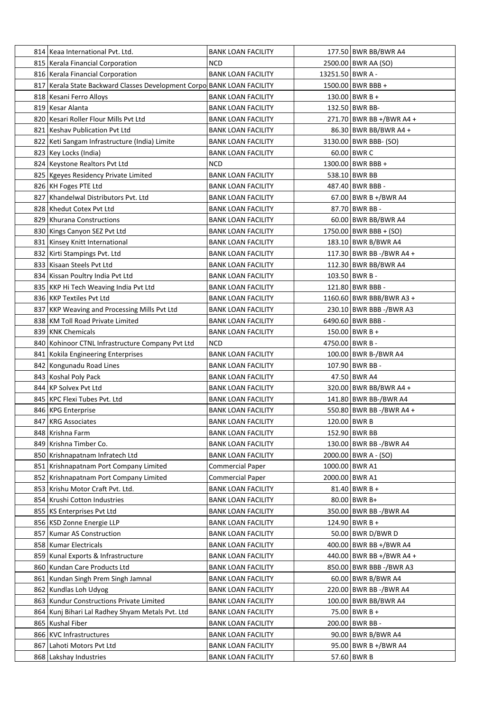|     | 814 Keaa International Pvt. Ltd.                                       | <b>BANK LOAN FACILITY</b>                              |                  | 177.50 BWR BB/BWR A4                         |
|-----|------------------------------------------------------------------------|--------------------------------------------------------|------------------|----------------------------------------------|
|     | 815   Kerala Financial Corporation                                     | NCD                                                    |                  | 2500.00 BWR AA (SO)                          |
|     | 816   Kerala Financial Corporation                                     | <b>BANK LOAN FACILITY</b>                              | 13251.50 BWR A - |                                              |
|     | 817 Kerala State Backward Classes Development Corpo BANK LOAN FACILITY |                                                        |                  | 1500.00 BWR BBB +                            |
|     | 818   Kesani Ferro Alloys                                              | <b>BANK LOAN FACILITY</b>                              |                  | 130.00 BWR B +                               |
|     | 819 Kesar Alanta                                                       | <b>BANK LOAN FACILITY</b>                              |                  | 132.50 BWR BB-                               |
|     | 820 Kesari Roller Flour Mills Pvt Ltd                                  | <b>BANK LOAN FACILITY</b>                              |                  | 271.70 BWR BB +/BWR A4 +                     |
|     | 821 Keshav Publication Pvt Ltd                                         | <b>BANK LOAN FACILITY</b>                              |                  | 86.30 BWR BB/BWR A4 +                        |
|     | 822 Keti Sangam Infrastructure (India) Limite                          | <b>BANK LOAN FACILITY</b>                              |                  | 3130.00   BWR BBB- (SO)                      |
|     | 823 Key Locks (India)                                                  | <b>BANK LOAN FACILITY</b>                              |                  | 60.00 BWR C                                  |
|     | 824 Keystone Realtors Pvt Ltd                                          | NCD                                                    |                  | 1300.00 BWR BBB +                            |
|     | 825   Kgeyes Residency Private Limited                                 | BANK LOAN FACILITY                                     |                  | 538.10 BWR BB                                |
|     | 826 KH Foges PTE Ltd                                                   | <b>BANK LOAN FACILITY</b>                              |                  | 487.40 BWR BBB -                             |
|     | 827 Khandelwal Distributors Pvt. Ltd                                   | BANK LOAN FACILITY                                     |                  | 67.00 BWR B +/BWR A4                         |
|     | 828 Khedut Cotex Pvt Ltd                                               | <b>BANK LOAN FACILITY</b>                              |                  | 87.70   BWR BB -                             |
|     | 829   Khurana Constructions                                            | <b>BANK LOAN FACILITY</b>                              |                  | 60.00 BWR BB/BWR A4                          |
|     | 830 Kings Canyon SEZ Pvt Ltd                                           | <b>BANK LOAN FACILITY</b>                              |                  | 1750.00   BWR BBB + (SO)                     |
|     | 831 Kinsey Knitt International                                         | <b>BANK LOAN FACILITY</b>                              |                  | 183.10 BWR B/BWR A4                          |
|     | 832 Kirti Stampings Pvt. Ltd                                           | <b>BANK LOAN FACILITY</b>                              |                  | 117.30 BWR BB -/BWR A4 +                     |
|     | 833 Kisaan Steels Pvt Ltd                                              | <b>BANK LOAN FACILITY</b>                              |                  | 112.30 BWR BB/BWR A4                         |
|     | 834 Kissan Poultry India Pvt Ltd                                       | <b>BANK LOAN FACILITY</b>                              |                  | 103.50 BWR B -                               |
|     | 835 KKP Hi Tech Weaving India Pvt Ltd                                  | <b>BANK LOAN FACILITY</b>                              |                  | 121.80 BWR BBB -                             |
|     | 836 KKP Textiles Pvt Ltd                                               | <b>BANK LOAN FACILITY</b>                              |                  | 1160.60 BWR BBB/BWR A3 +                     |
|     | 837 KKP Weaving and Processing Mills Pvt Ltd                           |                                                        |                  |                                              |
|     | 838 KM Toll Road Private Limited                                       | <b>BANK LOAN FACILITY</b><br><b>BANK LOAN FACILITY</b> |                  | 230.10 BWR BBB -/BWR A3<br>6490.60 BWR BBB - |
|     | 839 KNK Chemicals                                                      |                                                        |                  | $150.00$ BWR B +                             |
|     |                                                                        | <b>BANK LOAN FACILITY</b>                              |                  |                                              |
|     | 840 Kohinoor CTNL Infrastructure Company Pvt Ltd                       | NCD                                                    |                  | 4750.00 BWR B -                              |
|     | 841 Kokila Engineering Enterprises                                     | <b>BANK LOAN FACILITY</b>                              |                  | 100.00 BWR B-/BWR A4                         |
|     | 842 Kongunadu Road Lines                                               | <b>BANK LOAN FACILITY</b>                              |                  | 107.90 BWR BB -<br>47.50 BWR A4              |
|     | 843   Koshal Poly Pack<br>844 KP Solvex Pvt Ltd                        | BANK LOAN FACILITY                                     |                  |                                              |
|     |                                                                        | BANK LOAN FACILITY                                     |                  | 320.00 BWR BB/BWR A4 +                       |
|     | 845   KPC Flexi Tubes Pvt. Ltd                                         | <b>BANK LOAN FACILITY</b>                              |                  | 141.80 BWR BB-/BWR A4                        |
|     | 846 KPG Enterprise                                                     | <b>BANK LOAN FACILITY</b>                              |                  | 550.80 BWR BB -/BWR A4 +                     |
|     | 847 KRG Associates                                                     | <b>BANK LOAN FACILITY</b>                              |                  | 120.00 BWR B                                 |
|     | 848 Krishna Farm                                                       | <b>BANK LOAN FACILITY</b>                              |                  | 152.90 BWR BB                                |
|     | 849 Krishna Timber Co.                                                 | BANK LOAN FACILITY                                     |                  | 130.00 BWR BB -/BWR A4                       |
|     | 850 Krishnapatnam Infratech Ltd                                        | <b>BANK LOAN FACILITY</b>                              |                  | 2000.00 BWR A - (SO)                         |
|     | 851 Krishnapatnam Port Company Limited                                 | <b>Commercial Paper</b>                                |                  | 1000.00 BWR A1                               |
|     | 852 Krishnapatnam Port Company Limited                                 | <b>Commercial Paper</b>                                |                  | 2000.00 BWR A1                               |
|     | 853 Krishu Motor Craft Pvt. Ltd.                                       | <b>BANK LOAN FACILITY</b>                              |                  | $81.40$ BWR B +                              |
|     | 854 Krushi Cotton Industries                                           | <b>BANK LOAN FACILITY</b>                              |                  | 80.00 BWR B+                                 |
|     | 855 KS Enterprises Pvt Ltd                                             | <b>BANK LOAN FACILITY</b>                              |                  | 350.00 BWR BB -/BWR A4                       |
|     | 856 KSD Zonne Energie LLP                                              | <b>BANK LOAN FACILITY</b>                              |                  | 124.90 BWR B +                               |
|     | 857   Kumar AS Construction                                            | <b>BANK LOAN FACILITY</b>                              |                  | 50.00 BWR D/BWR D                            |
|     | 858   Kumar Electricals                                                | BANK LOAN FACILITY                                     |                  | 400.00 BWR BB +/BWR A4                       |
|     | 859 Kunal Exports & Infrastructure                                     | <b>BANK LOAN FACILITY</b>                              |                  | 440.00 BWR BB +/BWR A4 +                     |
| 860 | Kundan Care Products Ltd                                               | <b>BANK LOAN FACILITY</b>                              |                  | 850.00 BWR BBB -/BWR A3                      |
| 861 | Kundan Singh Prem Singh Jamnal                                         | <b>BANK LOAN FACILITY</b>                              |                  | 60.00 BWR B/BWR A4                           |
|     | 862 Kundlas Loh Udyog                                                  | <b>BANK LOAN FACILITY</b>                              |                  | 220.00 BWR BB -/BWR A4                       |
|     | 863   Kundur Constructions Private Limited                             | <b>BANK LOAN FACILITY</b>                              |                  | 100.00 BWR BB/BWR A4                         |
| 864 | Kunj Bihari Lal Radhey Shyam Metals Pvt. Ltd                           | <b>BANK LOAN FACILITY</b>                              |                  | 75.00 BWR B +                                |
|     | 865 Kushal Fiber                                                       | <b>BANK LOAN FACILITY</b>                              |                  | 200.00 BWR BB -                              |
|     | 866 KVC Infrastructures                                                | <b>BANK LOAN FACILITY</b>                              |                  | 90.00 BWR B/BWR A4                           |
|     | 867 Lahoti Motors Pvt Ltd                                              | <b>BANK LOAN FACILITY</b>                              |                  | 95.00 BWR B +/BWR A4                         |
|     | 868   Lakshay Industries                                               | <b>BANK LOAN FACILITY</b>                              |                  | 57.60 BWR B                                  |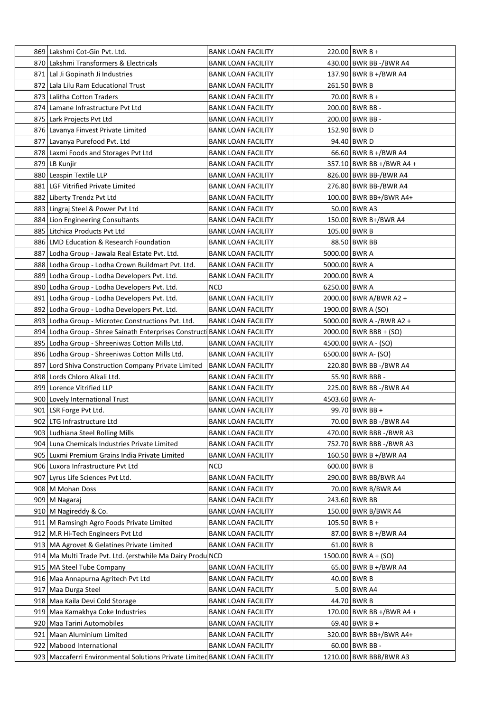| 869 Lakshmi Cot-Gin Pvt. Ltd.                                               | <b>BANK LOAN FACILITY</b> |                | $220.00$ BWR B +         |
|-----------------------------------------------------------------------------|---------------------------|----------------|--------------------------|
| 870 Lakshmi Transformers & Electricals                                      | <b>BANK LOAN FACILITY</b> |                | 430.00 BWR BB -/BWR A4   |
| 871 Lal Ji Gopinath Ji Industries                                           | <b>BANK LOAN FACILITY</b> |                | 137.90 BWR B +/BWR A4    |
| 872 Lala Lilu Ram Educational Trust                                         | <b>BANK LOAN FACILITY</b> |                | 261.50 BWR B             |
| 873 Lalitha Cotton Traders                                                  | <b>BANK LOAN FACILITY</b> |                | 70.00 BWR B +            |
| 874 Lamane Infrastructure Pvt Ltd                                           | <b>BANK LOAN FACILITY</b> |                | 200.00 BWR BB -          |
| 875 Lark Projects Pvt Ltd                                                   | <b>BANK LOAN FACILITY</b> |                | 200.00 BWR BB -          |
| 876 Lavanya Finvest Private Limited                                         | <b>BANK LOAN FACILITY</b> |                | 152.90 BWR D             |
| 877 Lavanya Purefood Pvt. Ltd                                               | <b>BANK LOAN FACILITY</b> |                | 94.40 BWR D              |
| 878 Laxmi Foods and Storages Pvt Ltd                                        | <b>BANK LOAN FACILITY</b> |                | 66.60 BWR B +/BWR A4     |
| 879 LB Kunjir                                                               | <b>BANK LOAN FACILITY</b> |                | 357.10 BWR BB +/BWR A4 + |
| 880 Leaspin Textile LLP                                                     | <b>BANK LOAN FACILITY</b> |                | 826.00 BWR BB-/BWR A4    |
| 881 LGF Vitrified Private Limited                                           | <b>BANK LOAN FACILITY</b> |                | 276.80 BWR BB-/BWR A4    |
| 882 Liberty Trendz Pvt Ltd                                                  | <b>BANK LOAN FACILITY</b> |                | 100.00 BWR BB+/BWR A4+   |
| 883 Lingraj Steel & Power Pvt Ltd                                           | <b>BANK LOAN FACILITY</b> |                | 50.00 BWR A3             |
| 884 Lion Engineering Consultants                                            | <b>BANK LOAN FACILITY</b> |                | 150.00   BWR B+/BWR A4   |
| 885 Litchica Products Pvt Ltd                                               | <b>BANK LOAN FACILITY</b> |                | 105.00 BWR B             |
| 886 LMD Education & Research Foundation                                     | <b>BANK LOAN FACILITY</b> |                | 88.50 BWR BB             |
| 887 Lodha Group - Jawala Real Estate Pvt. Ltd.                              | <b>BANK LOAN FACILITY</b> | 5000.00 BWR A  |                          |
| 888 Lodha Group - Lodha Crown Buildmart Pvt. Ltd.                           | <b>BANK LOAN FACILITY</b> | 5000.00 BWR A  |                          |
| 889 Lodha Group - Lodha Developers Pvt. Ltd.                                | <b>BANK LOAN FACILITY</b> | 2000.00 BWR A  |                          |
| 890 Lodha Group - Lodha Developers Pvt. Ltd.                                | <b>NCD</b>                | 6250.00 BWR A  |                          |
| 891 Lodha Group - Lodha Developers Pvt. Ltd.                                | <b>BANK LOAN FACILITY</b> |                | 2000.00 BWR A/BWR A2 +   |
| 892 Lodha Group - Lodha Developers Pvt. Ltd.                                | <b>BANK LOAN FACILITY</b> |                | 1900.00 BWR A (SO)       |
| 893 Lodha Group - Microtec Constructions Pvt. Ltd.                          | <b>BANK LOAN FACILITY</b> |                | 5000.00 BWR A -/BWR A2 + |
| 894   Lodha Group - Shree Sainath Enterprises Construct BANK LOAN FACILITY  |                           |                | 2000.00   BWR BBB + (SO) |
| 895 Lodha Group - Shreeniwas Cotton Mills Ltd.                              | <b>BANK LOAN FACILITY</b> |                | 4500.00 BWR A - (SO)     |
| 896   Lodha Group - Shreeniwas Cotton Mills Ltd.                            | <b>BANK LOAN FACILITY</b> |                | 6500.00   BWR A- (SO)    |
| 897 Lord Shiva Construction Company Private Limited                         | <b>BANK LOAN FACILITY</b> |                | 220.80 BWR BB -/BWR A4   |
| 898 Lords Chloro Alkali Ltd.                                                | <b>BANK LOAN FACILITY</b> |                | 55.90 BWR BBB -          |
| 899 Lorence Vitrified LLP                                                   | <b>BANK LOAN FACILITY</b> |                | 225.00 BWR BB -/BWR A4   |
| 900 Lovely International Trust                                              | <b>BANK LOAN FACILITY</b> | 4503.60 BWR A- |                          |
| 901 LSR Forge Pvt Ltd.                                                      | <b>BANK LOAN FACILITY</b> |                | 99.70 BWR BB +           |
| 902 LTG Infrastructure Ltd                                                  | <b>BANK LOAN FACILITY</b> |                | 70.00 BWR BB -/BWR A4    |
| 903 Ludhiana Steel Rolling Mills                                            | <b>BANK LOAN FACILITY</b> |                | 470.00 BWR BBB -/BWR A3  |
| 904 Luna Chemicals Industries Private Limited                               | <b>BANK LOAN FACILITY</b> |                | 752.70 BWR BBB -/BWR A3  |
| 905 Luxmi Premium Grains India Private Limited                              | <b>BANK LOAN FACILITY</b> |                | 160.50 BWR B +/BWR A4    |
| 906 Luxora Infrastructure Pvt Ltd                                           | <b>NCD</b>                |                | 600.00 BWR B             |
| 907 Lyrus Life Sciences Pvt Ltd.                                            | <b>BANK LOAN FACILITY</b> |                | 290.00 BWR BB/BWR A4     |
| 908   M Mohan Doss                                                          | <b>BANK LOAN FACILITY</b> |                | 70.00 BWR B/BWR A4       |
| 909   M Nagaraj                                                             | <b>BANK LOAN FACILITY</b> |                | 243.60 BWR BB            |
| 910   M Nagireddy & Co.                                                     | <b>BANK LOAN FACILITY</b> |                | 150.00 BWR B/BWR A4      |
| 911   M Ramsingh Agro Foods Private Limited                                 | <b>BANK LOAN FACILITY</b> |                | $105.50$ BWR B +         |
| 912 M.R Hi-Tech Engineers Pvt Ltd                                           | <b>BANK LOAN FACILITY</b> |                | 87.00 BWR B +/BWR A4     |
| 913   MA Agrovet & Gelatines Private Limited                                | <b>BANK LOAN FACILITY</b> |                | 61.00 BWR B              |
| 914   Ma Multi Trade Pvt. Ltd. (erstwhile Ma Dairy Produ NCD                |                           |                | $1500.00$ BWR A + (SO)   |
| 915   MA Steel Tube Company                                                 | <b>BANK LOAN FACILITY</b> |                | 65.00 BWR B +/BWR A4     |
| 916 Maa Annapurna Agritech Pvt Ltd                                          | <b>BANK LOAN FACILITY</b> |                | 40.00 BWR B              |
| 917 Maa Durga Steel                                                         | <b>BANK LOAN FACILITY</b> |                | 5.00 BWR A4              |
| 918   Maa Kaila Devi Cold Storage                                           | <b>BANK LOAN FACILITY</b> |                | 44.70 BWR B              |
| 919 Maa Kamakhya Coke Industries                                            | <b>BANK LOAN FACILITY</b> |                | 170.00 BWR BB +/BWR A4 + |
| 920   Maa Tarini Automobiles                                                | <b>BANK LOAN FACILITY</b> |                | 69.40   BWR B +          |
| 921 Maan Aluminium Limited                                                  | <b>BANK LOAN FACILITY</b> |                | 320.00 BWR BB+/BWR A4+   |
| 922 Mabood International                                                    | <b>BANK LOAN FACILITY</b> |                | $60.00$ BWR BB -         |
| 923   Maccaferri Environmental Solutions Private Limited BANK LOAN FACILITY |                           |                | 1210.00 BWR BBB/BWR A3   |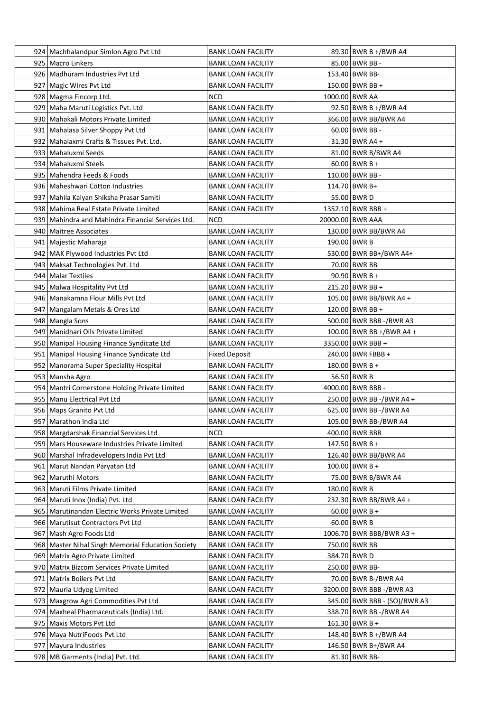| 924   Machhalandpur Simlon Agro Pvt Ltd                  | <b>BANK LOAN FACILITY</b>                              | 89.30 BWR B +/BWR A4         |
|----------------------------------------------------------|--------------------------------------------------------|------------------------------|
| 925 Macro Linkers                                        | <b>BANK LOAN FACILITY</b>                              | 85.00 BWR BB -               |
| 926 Madhuram Industries Pyt Ltd                          | <b>BANK LOAN FACILITY</b>                              | 153.40 BWR BB-               |
| 927   Magic Wires Pvt Ltd                                | <b>BANK LOAN FACILITY</b>                              | $150.00$ BWR BB +            |
| 928   Magma Fincorp Ltd.                                 | <b>NCD</b>                                             | 1000.00 BWR AA               |
| 929 Maha Maruti Logistics Pvt. Ltd                       | <b>BANK LOAN FACILITY</b>                              | 92.50 BWR B +/BWR A4         |
| 930   Mahakali Motors Private Limited                    | <b>BANK LOAN FACILITY</b>                              | 366.00 BWR BB/BWR A4         |
| 931   Mahalasa Silver Shoppy Pvt Ltd                     | <b>BANK LOAN FACILITY</b>                              | $60.00$ BWR BB -             |
| 932   Mahalaxmi Crafts & Tissues Pvt. Ltd.               | <b>BANK LOAN FACILITY</b>                              | $31.30$ BWR A4 +             |
| 933   Mahaluxmi Seeds                                    | <b>BANK LOAN FACILITY</b>                              | 81.00 BWR B/BWR A4           |
| 934   Mahaluxmi Steels                                   | <b>BANK LOAN FACILITY</b>                              | $60.00$ BWR B +              |
| 935   Mahendra Feeds & Foods                             | <b>BANK LOAN FACILITY</b>                              | 110.00 BWR BB -              |
| 936   Maheshwari Cotton Industries                       | <b>BANK LOAN FACILITY</b>                              | 114.70 BWR B+                |
| 937 Mahila Kalyan Shiksha Prasar Samiti                  | <b>BANK LOAN FACILITY</b>                              | 55.00 BWR D                  |
| 938   Mahima Real Estate Private Limited                 | <b>BANK LOAN FACILITY</b>                              | $1352.10$ BWR BBB +          |
| 939 Mahindra and Mahindra Financial Services Ltd.        | NCD                                                    | 20000.00 BWR AAA             |
| 940 Maitree Associates                                   | <b>BANK LOAN FACILITY</b>                              | 130.00 BWR BB/BWR A4         |
| 941   Majestic Maharaja                                  | <b>BANK LOAN FACILITY</b>                              | 190.00 BWR B                 |
| 942 MAK Plywood Industries Pvt Ltd                       | <b>BANK LOAN FACILITY</b>                              | 530.00 BWR BB+/BWR A4+       |
| 943   Maksat Technologies Pvt. Ltd                       | <b>BANK LOAN FACILITY</b>                              | 70.00 BWR BB                 |
| 944   Malar Textiles                                     | <b>BANK LOAN FACILITY</b>                              | $90.90$ BWR B +              |
| 945 Malwa Hospitality Pvt Ltd                            | <b>BANK LOAN FACILITY</b>                              | 215.20 BWR BB +              |
| 946   Manakamna Flour Mills Pvt Ltd                      | <b>BANK LOAN FACILITY</b>                              | 105.00 BWR BB/BWR A4 +       |
| 947 Mangalam Metals & Ores Ltd                           | <b>BANK LOAN FACILITY</b>                              | 120.00 BWR BB +              |
| 948   Mangla Sons                                        | <b>BANK LOAN FACILITY</b>                              | 500.00 BWR BBB -/BWR A3      |
| 949   Manidhari Oils Private Limited                     | <b>BANK LOAN FACILITY</b>                              | 100.00 BWR BB +/BWR A4 +     |
| 950 Manipal Housing Finance Syndicate Ltd                | <b>BANK LOAN FACILITY</b>                              | 3350.00 BWR BBB +            |
| 951   Manipal Housing Finance Syndicate Ltd              | <b>Fixed Deposit</b>                                   | 240.00 BWR FBBB +            |
| 952 Manorama Super Speciality Hospital                   | <b>BANK LOAN FACILITY</b>                              | 180.00 BWR B +               |
| 953 Mansha Agro                                          | <b>BANK LOAN FACILITY</b>                              | 56.50 BWR B                  |
| 954 Mantri Cornerstone Holding Private Limited           | <b>BANK LOAN FACILITY</b>                              | 4000.00 BWR BBB -            |
| 955   Manu Electrical Pvt Ltd                            | <b>BANK LOAN FACILITY</b>                              | 250.00 BWR BB -/BWR A4 +     |
| 956 Maps Granito Pvt Ltd                                 | <b>BANK LOAN FACILITY</b>                              | 625.00 BWR BB -/BWR A4       |
| 957   Marathon India Ltd                                 | <b>BANK LOAN FACILITY</b>                              | 105.00 BWR BB-/BWR A4        |
| 958 Margdarshak Financial Services Ltd                   | NCD                                                    | 400.00 BWR BBB               |
| 959 Mars Houseware Industries Private Limited            | <b>BANK LOAN FACILITY</b>                              | 147.50 BWR B +               |
| 960 Marshal Infradevelopers India Pvt Ltd                | <b>BANK LOAN FACILITY</b>                              | 126.40 BWR BB/BWR A4         |
| 961   Marut Nandan Paryatan Ltd                          | <b>BANK LOAN FACILITY</b>                              | $100.00$ BWR B +             |
|                                                          | <b>BANK LOAN FACILITY</b>                              | 75.00 BWR B/BWR A4           |
| 962 Maruthi Motors<br>963   Maruti Films Private Limited |                                                        | 180.00 BWR B                 |
| 964   Maruti Inox (India) Pvt. Ltd                       | <b>BANK LOAN FACILITY</b><br><b>BANK LOAN FACILITY</b> | 232.30 BWR BB/BWR A4 +       |
| 965   Marutinandan Electric Works Private Limited        | <b>BANK LOAN FACILITY</b>                              | $60.00$ BWR B +              |
|                                                          |                                                        | $60.00$ BWR B                |
| 966   Marutisut Contractors Pvt Ltd                      | <b>BANK LOAN FACILITY</b>                              |                              |
| 967 Mash Agro Foods Ltd                                  | <b>BANK LOAN FACILITY</b>                              | 1006.70 BWR BBB/BWR A3 +     |
| 968 Master Nihal Singh Memorial Education Society        | <b>BANK LOAN FACILITY</b>                              | 750.00 BWR BB                |
| 969 Matrix Agro Private Limited                          | <b>BANK LOAN FACILITY</b>                              | 384.70 BWR D                 |
| 970 Matrix Bizcom Services Private Limited               | <b>BANK LOAN FACILITY</b>                              | 250.00 BWR BB-               |
| 971   Matrix Boilers Pvt Ltd                             | <b>BANK LOAN FACILITY</b>                              | 70.00 BWR B-/BWR A4          |
| 972 Mauria Udyog Limited                                 | <b>BANK LOAN FACILITY</b>                              | 3200.00 BWR BBB -/BWR A3     |
| 973   Maxgrow Agri Commodities Pvt Ltd                   | <b>BANK LOAN FACILITY</b>                              | 345.00 BWR BBB - (SO)/BWR A3 |
| 974   Maxheal Pharmaceuticals (India) Ltd.               | <b>BANK LOAN FACILITY</b>                              | 338.70 BWR BB -/BWR A4       |
| 975 Maxis Motors Pvt Ltd                                 | <b>BANK LOAN FACILITY</b>                              | 161.30 BWR B +               |
| 976   Maya NutriFoods Pvt Ltd                            | <b>BANK LOAN FACILITY</b>                              | 148.40 BWR B +/BWR A4        |
| 977   Mayura Industries                                  | <b>BANK LOAN FACILITY</b>                              | 146.50 BWR B+/BWR A4         |
| 978   MB Garments (India) Pvt. Ltd.                      | <b>BANK LOAN FACILITY</b>                              | 81.30 BWR BB-                |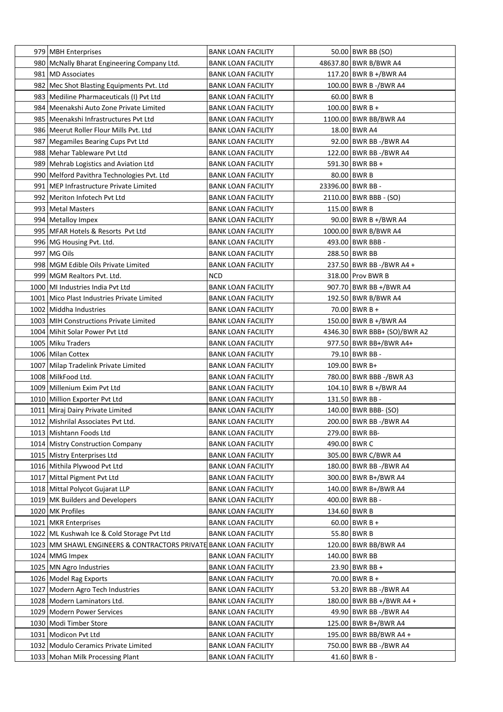| 979 MBH Enterprises                                                | <b>BANK LOAN FACILITY</b>                              | 50.00 BWR BB (SO)                        |
|--------------------------------------------------------------------|--------------------------------------------------------|------------------------------------------|
| 980   McNally Bharat Engineering Company Ltd.                      | <b>BANK LOAN FACILITY</b>                              | 48637.80 BWR B/BWR A4                    |
| 981   MD Associates                                                | <b>BANK LOAN FACILITY</b>                              | 117.20 BWR B +/BWR A4                    |
| 982 Mec Shot Blasting Equipments Pvt. Ltd                          | <b>BANK LOAN FACILITY</b>                              | 100.00 BWR B -/BWR A4                    |
| 983 Mediline Pharmaceuticals (I) Pvt Ltd                           | <b>BANK LOAN FACILITY</b>                              | $60.00$ BWR B                            |
| 984   Meenakshi Auto Zone Private Limited                          | <b>BANK LOAN FACILITY</b>                              | $100.00$ BWR B +                         |
| 985 Meenakshi Infrastructures Pvt Ltd                              | <b>BANK LOAN FACILITY</b>                              | 1100.00 BWR BB/BWR A4                    |
| 986   Meerut Roller Flour Mills Pvt. Ltd                           | <b>BANK LOAN FACILITY</b>                              | 18.00 BWR A4                             |
| 987   Megamiles Bearing Cups Pvt Ltd                               | <b>BANK LOAN FACILITY</b>                              | 92.00 BWR BB -/BWR A4                    |
| 988 Mehar Tableware Pvt Ltd                                        | <b>BANK LOAN FACILITY</b>                              | 122.00 BWR BB -/BWR A4                   |
| 989 Mehrab Logistics and Aviation Ltd                              | <b>BANK LOAN FACILITY</b>                              | 591.30 BWR BB +                          |
| 990 Melford Pavithra Technologies Pvt. Ltd                         | <b>BANK LOAN FACILITY</b>                              | 80.00 BWR B                              |
| 991   MEP Infrastructure Private Limited                           | <b>BANK LOAN FACILITY</b>                              | 23396.00 BWR BB -                        |
| 992 Meriton Infotech Pvt Ltd                                       | <b>BANK LOAN FACILITY</b>                              | 2110.00 BWR BBB - (SO)                   |
| 993   Metal Masters                                                | <b>BANK LOAN FACILITY</b>                              | 115.00 BWR B                             |
| 994 Metalloy Impex                                                 | <b>BANK LOAN FACILITY</b>                              | 90.00 BWR B +/BWR A4                     |
| 995 MFAR Hotels & Resorts Pvt Ltd                                  | <b>BANK LOAN FACILITY</b>                              | 1000.00 BWR B/BWR A4                     |
| 996 MG Housing Pvt. Ltd.                                           | <b>BANK LOAN FACILITY</b>                              | 493.00 BWR BBB -                         |
| 997 MG Oils                                                        | <b>BANK LOAN FACILITY</b>                              | 288.50 BWR BB                            |
| 998 MGM Edible Oils Private Limited                                | <b>BANK LOAN FACILITY</b>                              | 237.50 BWR BB -/BWR A4 +                 |
| 999   MGM Realtors Pvt. Ltd.                                       | NCD                                                    | 318.00 Prov BWR B                        |
| 1000 MI Industries India Pvt Ltd                                   | <b>BANK LOAN FACILITY</b>                              | 907.70 BWR BB +/BWR A4                   |
| 1001 Mico Plast Industries Private Limited                         | <b>BANK LOAN FACILITY</b>                              | 192.50 BWR B/BWR A4                      |
| 1002 Middha Industries                                             | <b>BANK LOAN FACILITY</b>                              | 70.00 BWR B +                            |
| 1003 MIH Constructions Private Limited                             | <b>BANK LOAN FACILITY</b>                              | 150.00 BWR B +/BWR A4                    |
| 1004 Mihit Solar Power Pvt Ltd                                     | <b>BANK LOAN FACILITY</b>                              | 4346.30 BWR BBB+ (SO)/BWR A2             |
| 1005 Miku Traders                                                  | <b>BANK LOAN FACILITY</b>                              | 977.50 BWR BB+/BWR A4+                   |
| 1006 Milan Cottex                                                  | <b>BANK LOAN FACILITY</b>                              | 79.10 BWR BB -                           |
| 1007 Milap Tradelink Private Limited                               | <b>BANK LOAN FACILITY</b>                              | 109.00 BWR B+                            |
| 1008 MilkFood Ltd.                                                 |                                                        |                                          |
| 1009 Millenium Exim Pvt Ltd                                        | <b>BANK LOAN FACILITY</b><br><b>BANK LOAN FACILITY</b> | 780.00 BWR BBB -/BWR A3                  |
| 1010 Million Exporter Pvt Ltd                                      |                                                        | 104.10 BWR B +/BWR A4                    |
|                                                                    | <b>BANK LOAN FACILITY</b>                              | 131.50 BWR BB -                          |
| 1011 Miraj Dairy Private Limited                                   | <b>BANK LOAN FACILITY</b>                              | 140.00 BWR BBB- (SO)                     |
| 1012 Mishrilal Associates Pvt Ltd.                                 | <b>BANK LOAN FACILITY</b>                              | 200.00 BWR BB -/BWR A4<br>279.00 BWR BB- |
| 1013 Mishtann Foods Ltd                                            | <b>BANK LOAN FACILITY</b>                              |                                          |
| 1014 Mistry Construction Company                                   | <b>BANK LOAN FACILITY</b>                              | 490.00 BWR C                             |
| 1015 Mistry Enterprises Ltd                                        | <b>BANK LOAN FACILITY</b>                              | 305.00 BWR C/BWR A4                      |
| 1016 Mithila Plywood Pvt Ltd                                       | <b>BANK LOAN FACILITY</b>                              | 180.00 BWR BB -/BWR A4                   |
| 1017 Mittal Pigment Pvt Ltd                                        | <b>BANK LOAN FACILITY</b>                              | 300.00 BWR B+/BWR A4                     |
| 1018 Mittal Polycot Gujarat LLP                                    | <b>BANK LOAN FACILITY</b>                              | 140.00 BWR B+/BWR A4                     |
| 1019 MK Builders and Developers                                    | <b>BANK LOAN FACILITY</b>                              | 400.00 BWR BB -                          |
| 1020 MK Profiles                                                   | <b>BANK LOAN FACILITY</b>                              | 134.60 BWR B                             |
| 1021 MKR Enterprises                                               | <b>BANK LOAN FACILITY</b>                              | $60.00$ BWR B +                          |
| 1022 ML Kushwah Ice & Cold Storage Pvt Ltd                         | <b>BANK LOAN FACILITY</b>                              | 55.80 BWR B                              |
| 1023   MM SHAWL ENGINEERS & CONTRACTORS PRIVATE BANK LOAN FACILITY |                                                        | 120.00 BWR BB/BWR A4                     |
| 1024 MMG Impex                                                     | <b>BANK LOAN FACILITY</b>                              | 140.00 BWR BB                            |
| 1025 MN Agro Industries                                            | <b>BANK LOAN FACILITY</b>                              | $23.90$ BWR BB +                         |
| 1026   Model Rag Exports                                           | <b>BANK LOAN FACILITY</b>                              | $70.00$ BWR B +                          |
| 1027 Modern Agro Tech Industries                                   | <b>BANK LOAN FACILITY</b>                              | 53.20 BWR BB -/BWR A4                    |
| 1028 Modern Laminators Ltd.                                        | <b>BANK LOAN FACILITY</b>                              | 180.00 BWR BB +/BWR A4 +                 |
| 1029 Modern Power Services                                         | <b>BANK LOAN FACILITY</b>                              | 49.90 BWR BB -/BWR A4                    |
| 1030 Modi Timber Store                                             | <b>BANK LOAN FACILITY</b>                              | 125.00 BWR B+/BWR A4                     |
| 1031 Modicon Pvt Ltd                                               | <b>BANK LOAN FACILITY</b>                              | 195.00 BWR BB/BWR A4 +                   |
| 1032 Modulo Ceramics Private Limited                               | <b>BANK LOAN FACILITY</b>                              | 750.00 BWR BB -/BWR A4                   |
| 1033 Mohan Milk Processing Plant                                   | <b>BANK LOAN FACILITY</b>                              | 41.60 BWR B -                            |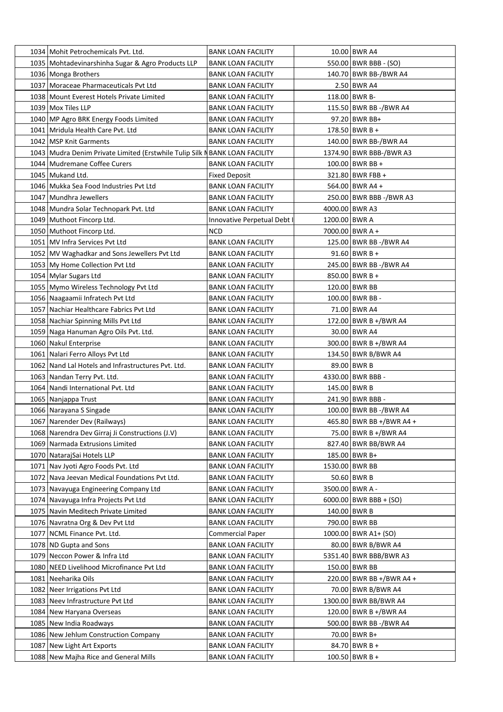| 1034   Mohit Petrochemicals Pvt. Ltd.                                         | <b>BANK LOAN FACILITY</b>   |               | 10.00 BWR A4             |
|-------------------------------------------------------------------------------|-----------------------------|---------------|--------------------------|
| 1035   Mohtadevinarshinha Sugar & Agro Products LLP                           | <b>BANK LOAN FACILITY</b>   |               | 550.00 BWR BBB - (SO)    |
| 1036 Monga Brothers                                                           | <b>BANK LOAN FACILITY</b>   |               | 140.70 BWR BB-/BWR A4    |
| 1037 Moraceae Pharmaceuticals Pvt Ltd                                         | <b>BANK LOAN FACILITY</b>   |               | 2.50 BWR A4              |
| 1038 Mount Everest Hotels Private Limited                                     | <b>BANK LOAN FACILITY</b>   |               | 118.00 BWR B-            |
| 1039 Mox Tiles LLP                                                            | <b>BANK LOAN FACILITY</b>   |               | 115.50 BWR BB -/BWR A4   |
| 1040 MP Agro BRK Energy Foods Limited                                         | <b>BANK LOAN FACILITY</b>   |               | 97.20 BWR BB+            |
| 1041 Mridula Health Care Pvt. Ltd                                             | <b>BANK LOAN FACILITY</b>   |               | 178.50 BWR B +           |
| 1042   MSP Knit Garments                                                      | <b>BANK LOAN FACILITY</b>   |               | 140.00 BWR BB-/BWR A4    |
| 1043   Mudra Denim Private Limited (Erstwhile Tulip Silk N BANK LOAN FACILITY |                             |               | 1374.90 BWR BBB-/BWR A3  |
| 1044 Mudremane Coffee Curers                                                  | <b>BANK LOAN FACILITY</b>   |               | $100.00$ BWR BB +        |
| 1045 Mukand Ltd.                                                              | <b>Fixed Deposit</b>        |               | 321.80 BWR FBB +         |
| 1046 Mukka Sea Food Industries Pvt Ltd                                        | <b>BANK LOAN FACILITY</b>   |               | 564.00 BWR A4 +          |
| 1047 Mundhra Jewellers                                                        | <b>BANK LOAN FACILITY</b>   |               | 250.00 BWR BBB -/BWR A3  |
| 1048 Mundra Solar Technopark Pvt. Ltd                                         | <b>BANK LOAN FACILITY</b>   |               | 4000.00 BWR A3           |
| 1049 Muthoot Fincorp Ltd.                                                     | Innovative Perpetual Debt I | 1200.00 BWR A |                          |
| 1050 Muthoot Fincorp Ltd.                                                     | <b>NCD</b>                  |               | 7000.00 BWR A +          |
| 1051   MV Infra Services Pvt Ltd                                              | <b>BANK LOAN FACILITY</b>   |               | 125.00 BWR BB -/BWR A4   |
| 1052 MV Waghadkar and Sons Jewellers Pvt Ltd                                  | <b>BANK LOAN FACILITY</b>   |               | 91.60 BWR B +            |
| 1053 My Home Collection Pvt Ltd                                               | <b>BANK LOAN FACILITY</b>   |               | 245.00 BWR BB -/BWR A4   |
| 1054 Mylar Sugars Ltd                                                         | <b>BANK LOAN FACILITY</b>   |               | $850.00$ BWR B +         |
| 1055 Mymo Wireless Technology Pvt Ltd                                         | <b>BANK LOAN FACILITY</b>   |               | 120.00 BWR BB            |
| 1056 Naagaamii Infratech Pvt Ltd                                              | <b>BANK LOAN FACILITY</b>   |               | 100.00 BWR BB -          |
| 1057 Nachiar Healthcare Fabrics Pvt Ltd                                       | <b>BANK LOAN FACILITY</b>   |               | 71.00 BWR A4             |
| 1058 Nachiar Spinning Mills Pvt Ltd                                           | <b>BANK LOAN FACILITY</b>   |               | 172.00 BWR B +/BWR A4    |
| 1059 Naga Hanuman Agro Oils Pvt. Ltd.                                         | <b>BANK LOAN FACILITY</b>   |               | 30.00 BWR A4             |
| 1060 Nakul Enterprise                                                         | <b>BANK LOAN FACILITY</b>   |               | 300.00 BWR B +/BWR A4    |
| 1061 Nalari Ferro Alloys Pvt Ltd                                              | <b>BANK LOAN FACILITY</b>   |               | 134.50 BWR B/BWR A4      |
| 1062 Nand Lal Hotels and Infrastructures Pvt. Ltd.                            | <b>BANK LOAN FACILITY</b>   |               | 89.00 BWR B              |
| 1063 Nandan Terry Pvt. Ltd.                                                   | <b>BANK LOAN FACILITY</b>   |               | 4330.00 BWR BBB -        |
| 1064 Nandi International Pvt. Ltd                                             | <b>BANK LOAN FACILITY</b>   |               | 145.00 BWR B             |
| 1065 Nanjappa Trust                                                           | <b>BANK LOAN FACILITY</b>   |               | 241.90 BWR BBB -         |
| 1066 Narayana S Singade                                                       | <b>BANK LOAN FACILITY</b>   |               | 100.00 BWR BB -/BWR A4   |
| 1067 Narender Dev (Railways)                                                  | <b>BANK LOAN FACILITY</b>   |               | 465.80 BWR BB +/BWR A4 + |
| 1068   Narendra Dev Girraj Ji Constructions (J.V)                             | <b>BANK LOAN FACILITY</b>   |               | 75.00 BWR B +/BWR A4     |
| 1069 Narmada Extrusions Limited                                               | <b>BANK LOAN FACILITY</b>   |               | 827.40 BWR BB/BWR A4     |
| 1070 NatarajSai Hotels LLP                                                    | <b>BANK LOAN FACILITY</b>   |               | 185.00 BWR B+            |
| 1071 Nav Jyoti Agro Foods Pvt. Ltd                                            | <b>BANK LOAN FACILITY</b>   |               | 1530.00 BWR BB           |
| 1072 Nava Jeevan Medical Foundations Pvt Ltd.                                 | <b>BANK LOAN FACILITY</b>   |               | 50.60 BWR B              |
| 1073 Navayuga Engineering Company Ltd                                         | <b>BANK LOAN FACILITY</b>   |               | 3500.00 BWR A -          |
| 1074 Navayuga Infra Projects Pvt Ltd                                          | <b>BANK LOAN FACILITY</b>   |               | $6000.00$ BWR BBB + (SO) |
| 1075 Navin Meditech Private Limited                                           | <b>BANK LOAN FACILITY</b>   |               | 140.00 BWR B             |
| 1076 Navratna Org & Dev Pvt Ltd                                               | <b>BANK LOAN FACILITY</b>   |               | 790.00 BWR BB            |
| 1077 NCML Finance Pvt. Ltd.                                                   | <b>Commercial Paper</b>     |               | 1000.00 BWR A1+ (SO)     |
| 1078 ND Gupta and Sons                                                        | <b>BANK LOAN FACILITY</b>   |               | 80.00 BWR B/BWR A4       |
| 1079 Neccon Power & Infra Ltd                                                 | <b>BANK LOAN FACILITY</b>   |               | 5351.40 BWR BBB/BWR A3   |
| 1080 NEED Livelihood Microfinance Pvt Ltd                                     | <b>BANK LOAN FACILITY</b>   |               | 150.00 BWR BB            |
| 1081 Neeharika Oils                                                           | <b>BANK LOAN FACILITY</b>   |               | 220.00 BWR BB +/BWR A4 + |
| 1082 Neer Irrigations Pvt Ltd                                                 | <b>BANK LOAN FACILITY</b>   |               | 70.00 BWR B/BWR A4       |
| 1083 Neev Infrastructure Pvt Ltd                                              | <b>BANK LOAN FACILITY</b>   |               | 1300.00 BWR BB/BWR A4    |
| 1084 New Haryana Overseas                                                     | <b>BANK LOAN FACILITY</b>   |               | 120.00 BWR B +/BWR A4    |
| 1085 New India Roadways                                                       | <b>BANK LOAN FACILITY</b>   |               | 500.00 BWR BB -/BWR A4   |
| 1086 New Jehlum Construction Company                                          | <b>BANK LOAN FACILITY</b>   |               | 70.00 BWR B+             |
| 1087 New Light Art Exports                                                    | <b>BANK LOAN FACILITY</b>   |               | 84.70 BWR B +            |
| 1088 New Majha Rice and General Mills                                         | <b>BANK LOAN FACILITY</b>   |               | $100.50$ BWR B +         |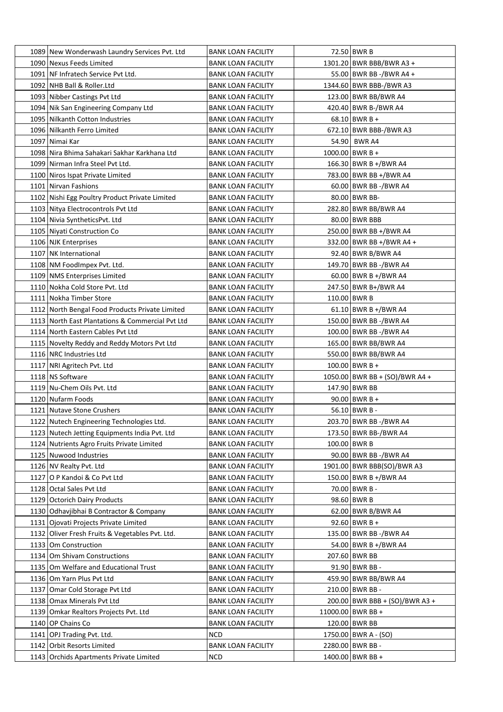| 1089 New Wonderwash Laundry Services Pvt. Ltd                          | <b>BANK LOAN FACILITY</b>                              | 72.50 BWR B                    |
|------------------------------------------------------------------------|--------------------------------------------------------|--------------------------------|
| 1090 Nexus Feeds Limited                                               | <b>BANK LOAN FACILITY</b>                              | 1301.20 BWR BBB/BWR A3 +       |
| 1091 NF Infratech Service Pvt Ltd.                                     | <b>BANK LOAN FACILITY</b>                              | 55.00 BWR BB -/BWR A4 +        |
| 1092 NHB Ball & Roller.Ltd                                             | <b>BANK LOAN FACILITY</b>                              | 1344.60 BWR BBB-/BWR A3        |
| 1093 Nibber Castings Pvt Ltd                                           | <b>BANK LOAN FACILITY</b>                              | 123.00 BWR BB/BWR A4           |
| 1094 Nik San Engineering Company Ltd                                   | <b>BANK LOAN FACILITY</b>                              | 420.40 BWR B-/BWR A4           |
| 1095 Nilkanth Cotton Industries                                        | <b>BANK LOAN FACILITY</b>                              | $68.10$ BWR B +                |
| 1096 Nilkanth Ferro Limited                                            | <b>BANK LOAN FACILITY</b>                              | 672.10 BWR BBB-/BWR A3         |
| 1097   Nimai Kar                                                       | <b>BANK LOAN FACILITY</b>                              | 54.90 BWR A4                   |
| 1098   Nira Bhima Sahakari Sakhar Karkhana Ltd                         | <b>BANK LOAN FACILITY</b>                              | $1000.00$ BWR B +              |
| 1099 Nirman Infra Steel Pyt Ltd.                                       | <b>BANK LOAN FACILITY</b>                              | 166.30 BWR B +/BWR A4          |
| 1100 Niros Ispat Private Limited                                       | BANK LOAN FACILITY                                     | 783.00 BWR BB +/BWR A4         |
| 1101 Nirvan Fashions                                                   | <b>BANK LOAN FACILITY</b>                              | 60.00 BWR BB -/BWR A4          |
| 1102 Nishi Egg Poultry Product Private Limited                         | <b>BANK LOAN FACILITY</b>                              | 80.00 BWR BB-                  |
| 1103 Nitya Electrocontrols Pvt Ltd                                     | <b>BANK LOAN FACILITY</b>                              | 282.80 BWR BB/BWR A4           |
| 1104 Nivia SyntheticsPvt. Ltd                                          | <b>BANK LOAN FACILITY</b>                              | 80.00 BWR BBB                  |
| 1105 Niyati Construction Co                                            | <b>BANK LOAN FACILITY</b>                              | 250.00 BWR BB +/BWR A4         |
| 1106 NJK Enterprises                                                   | <b>BANK LOAN FACILITY</b>                              | 332.00 BWR BB +/BWR A4 +       |
| 1107 NK International                                                  | <b>BANK LOAN FACILITY</b>                              | 92.40 BWR B/BWR A4             |
| 1108 NM FoodImpex Pvt. Ltd.                                            | <b>BANK LOAN FACILITY</b>                              | 149.70 BWR BB -/BWR A4         |
| 1109 NMS Enterprises Limited                                           | <b>BANK LOAN FACILITY</b>                              | 60.00 BWR B +/BWR A4           |
| 1110 Nokha Cold Store Pvt. Ltd                                         | <b>BANK LOAN FACILITY</b>                              | 247.50 BWR B+/BWR A4           |
| 1111 Nokha Timber Store                                                | <b>BANK LOAN FACILITY</b>                              | 110.00 BWR B                   |
| 1112 North Bengal Food Products Private Limited                        | <b>BANK LOAN FACILITY</b>                              | 61.10 BWR B +/BWR A4           |
| 1113 North East Plantations & Commercial Pvt Ltd                       | <b>BANK LOAN FACILITY</b>                              | 150.00 BWR BB -/BWR A4         |
| 1114 North Eastern Cables Pvt Ltd                                      | <b>BANK LOAN FACILITY</b>                              | 100.00 BWR BB -/BWR A4         |
|                                                                        | <b>BANK LOAN FACILITY</b>                              | 165.00 BWR BB/BWR A4           |
| 1115 Novelty Reddy and Reddy Motors Pvt Ltd<br>1116 NRC Industries Ltd |                                                        | 550.00 BWR BB/BWR A4           |
| 1117 NRI Agritech Pvt. Ltd                                             | <b>BANK LOAN FACILITY</b><br><b>BANK LOAN FACILITY</b> | $100.00$ BWR B +               |
| 1118   NS Software                                                     |                                                        | 1050.00 BWR BB + (SO)/BWR A4 + |
| 1119 Nu-Chem Oils Pvt. Ltd                                             | <b>BANK LOAN FACILITY</b>                              | 147.90 BWR BB                  |
| 1120 Nufarm Foods                                                      | <b>BANK LOAN FACILITY</b>                              | $90.00$ BWR B +                |
|                                                                        | <b>BANK LOAN FACILITY</b>                              | $56.10$ BWR B -                |
| 1121 Nutave Stone Crushers                                             | <b>BANK LOAN FACILITY</b>                              | 203.70 BWR BB -/BWR A4         |
| 1122 Nutech Engineering Technologies Ltd.                              | <b>BANK LOAN FACILITY</b>                              |                                |
| 1123 Nutech Jetting Equipments India Pvt. Ltd                          | <b>BANK LOAN FACILITY</b>                              | 173.50 BWR BB-/BWR A4          |
| 1124 Nutrients Agro Fruits Private Limited<br>1125 Nuwood Industries   | <b>BANK LOAN FACILITY</b>                              | 100.00 BWR B                   |
|                                                                        | <b>BANK LOAN FACILITY</b>                              | 90.00 BWR BB -/BWR A4          |
| 1126 NV Realty Pvt. Ltd                                                | <b>BANK LOAN FACILITY</b>                              | 1901.00 BWR BBB(SO)/BWR A3     |
| 1127 O P Kandoi & Co Pvt Ltd                                           | <b>BANK LOAN FACILITY</b>                              | 150.00 BWR B +/BWR A4          |
| 1128 Octal Sales Pvt Ltd                                               | <b>BANK LOAN FACILITY</b>                              | 70.00 BWR B -                  |
| 1129 Octorich Dairy Products                                           | <b>BANK LOAN FACILITY</b>                              | 98.60 BWR B                    |
| 1130 Odhavjibhai B Contractor & Company                                | <b>BANK LOAN FACILITY</b>                              | 62.00 BWR B/BWR A4             |
| 1131 Ojovati Projects Private Limited                                  | <b>BANK LOAN FACILITY</b>                              | $92.60$ BWR B +                |
| 1132 Oliver Fresh Fruits & Vegetables Pvt. Ltd.                        | <b>BANK LOAN FACILITY</b>                              | 135.00 BWR BB -/BWR A4         |
| 1133 Om Construction                                                   | <b>BANK LOAN FACILITY</b>                              | 54.00 BWR B +/BWR A4           |
| 1134 Om Shivam Constructions                                           | <b>BANK LOAN FACILITY</b>                              | 207.60 BWR BB                  |
| 1135 Om Welfare and Educational Trust                                  | <b>BANK LOAN FACILITY</b>                              | 91.90 BWR BB -                 |
| 1136 Om Yarn Plus Pvt Ltd                                              | <b>BANK LOAN FACILITY</b>                              | 459.90 BWR BB/BWR A4           |
| 1137 Omar Cold Storage Pvt Ltd                                         | <b>BANK LOAN FACILITY</b>                              | 210.00 BWR BB -                |
| 1138 Omax Minerals Pvt Ltd                                             | <b>BANK LOAN FACILITY</b>                              | 200.00 BWR BBB + (SO)/BWR A3 + |
| 1139 Omkar Realtors Projects Pvt. Ltd                                  | <b>BANK LOAN FACILITY</b>                              | 11000.00 BWR BB +              |
| 1140 OP Chains Co                                                      | <b>BANK LOAN FACILITY</b>                              | 120.00 BWR BB                  |
| 1141 OPJ Trading Pvt. Ltd.                                             | <b>NCD</b>                                             | 1750.00 BWR A - (SO)           |
| 1142 Orbit Resorts Limited                                             | <b>BANK LOAN FACILITY</b>                              | 2280.00 BWR BB -               |
| 1143 Orchids Apartments Private Limited                                | <b>NCD</b>                                             | 1400.00 BWR BB +               |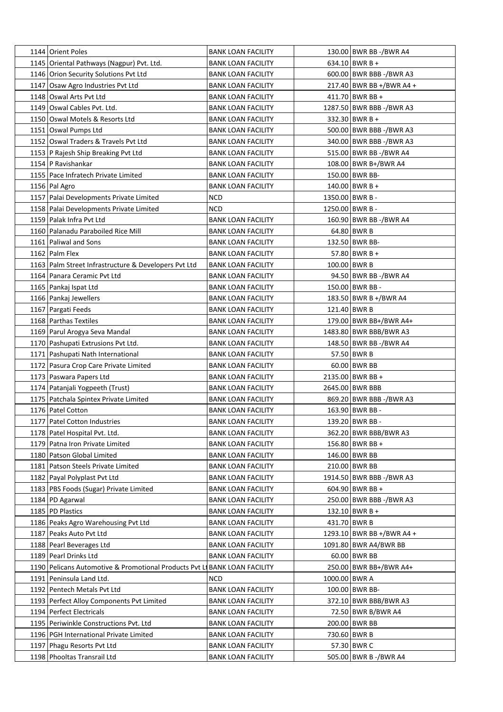| 1144   Orient Poles                                                       | <b>BANK LOAN FACILITY</b> |               | 130.00 BWR BB -/BWR A4     |
|---------------------------------------------------------------------------|---------------------------|---------------|----------------------------|
| 1145 Oriental Pathways (Nagpur) Pvt. Ltd.                                 | <b>BANK LOAN FACILITY</b> |               | 634.10 BWR B +             |
| 1146 Orion Security Solutions Pvt Ltd                                     | <b>BANK LOAN FACILITY</b> |               | 600.00 BWR BBB -/BWR A3    |
| 1147 Osaw Agro Industries Pvt Ltd                                         | <b>BANK LOAN FACILITY</b> |               | 217.40 BWR BB +/BWR A4 +   |
| 1148 Oswal Arts Pvt Ltd                                                   | <b>BANK LOAN FACILITY</b> |               | 411.70 BWR BB +            |
| 1149 Oswal Cables Pvt. Ltd.                                               | <b>BANK LOAN FACILITY</b> |               | 1287.50   BWR BBB -/BWR A3 |
| 1150 Oswal Motels & Resorts Ltd                                           | <b>BANK LOAN FACILITY</b> |               | 332.30 BWR B +             |
| 1151 Oswal Pumps Ltd                                                      | <b>BANK LOAN FACILITY</b> |               | 500.00 BWR BBB -/BWR A3    |
| 1152 Oswal Traders & Travels Pvt Ltd                                      | <b>BANK LOAN FACILITY</b> |               | 340.00 BWR BBB -/BWR A3    |
| 1153   P Rajesh Ship Breaking Pvt Ltd                                     | <b>BANK LOAN FACILITY</b> |               | 515.00 BWR BB -/BWR A4     |
| 1154   P Ravishankar                                                      | <b>BANK LOAN FACILITY</b> |               | 108.00 BWR B+/BWR A4       |
| 1155 Pace Infratech Private Limited                                       | <b>BANK LOAN FACILITY</b> |               | 150.00 BWR BB-             |
| 1156 Pal Agro                                                             | <b>BANK LOAN FACILITY</b> |               | $140.00$ BWR B +           |
| 1157   Palai Developments Private Limited                                 | <b>NCD</b>                |               | 1350.00 BWR B -            |
| 1158 Palai Developments Private Limited                                   | <b>NCD</b>                |               | 1250.00 BWR B -            |
| 1159 Palak Infra Pyt Ltd                                                  | <b>BANK LOAN FACILITY</b> |               | 160.90 BWR BB -/BWR A4     |
| 1160 Palanadu Paraboiled Rice Mill                                        | <b>BANK LOAN FACILITY</b> |               | 64.80 BWR B                |
| 1161   Paliwal and Sons                                                   | <b>BANK LOAN FACILITY</b> |               | 132.50 BWR BB-             |
| 1162   Palm Flex                                                          | <b>BANK LOAN FACILITY</b> |               | 57.80 BWR B +              |
| 1163 Palm Street Infrastructure & Developers Pvt Ltd                      | <b>BANK LOAN FACILITY</b> |               | 100.00 BWR B               |
| 1164   Panara Ceramic Pvt Ltd                                             | <b>BANK LOAN FACILITY</b> |               | 94.50 BWR BB -/BWR A4      |
| 1165   Pankaj Ispat Ltd                                                   | <b>BANK LOAN FACILITY</b> |               | 150.00 BWR BB -            |
| 1166   Pankaj Jewellers                                                   | <b>BANK LOAN FACILITY</b> |               | 183.50 BWR B +/BWR A4      |
| 1167 Pargati Feeds                                                        | <b>BANK LOAN FACILITY</b> |               | 121.40 BWR B               |
| 1168 Parthas Textiles                                                     | <b>BANK LOAN FACILITY</b> |               | 179.00 BWR BB+/BWR A4+     |
| 1169 Parul Arogya Seva Mandal                                             | <b>BANK LOAN FACILITY</b> |               | 1483.80 BWR BBB/BWR A3     |
| 1170 Pashupati Extrusions Pvt Ltd.                                        | <b>BANK LOAN FACILITY</b> |               | 148.50 BWR BB -/BWR A4     |
| 1171 Pashupati Nath International                                         | <b>BANK LOAN FACILITY</b> |               | 57.50 BWR B                |
| 1172 Pasura Crop Care Private Limited                                     | <b>BANK LOAN FACILITY</b> |               | 60.00 BWR BB               |
| 1173 Paswara Papers Ltd                                                   | <b>BANK LOAN FACILITY</b> |               | 2135.00 BWR BB +           |
| 1174 Patanjali Yogpeeth (Trust)                                           | <b>BANK LOAN FACILITY</b> |               | 2645.00 BWR BBB            |
| 1175   Patchala Spintex Private Limited                                   | <b>BANK LOAN FACILITY</b> |               | 869.20 BWR BBB -/BWR A3    |
| 1176 Patel Cotton                                                         | <b>BANK LOAN FACILITY</b> |               | 163.90 BWR BB -            |
| 1177   Patel Cotton Industries                                            | <b>BANK LOAN FACILITY</b> |               | 139.20 BWR BB -            |
| 1178 Patel Hospital Pvt. Ltd.                                             | <b>BANK LOAN FACILITY</b> |               | 362.20 BWR BBB/BWR A3      |
| 1179 Patna Iron Private Limited                                           | <b>BANK LOAN FACILITY</b> |               | $156.80$ BWR BB +          |
| 1180 Patson Global Limited                                                | <b>BANK LOAN FACILITY</b> |               | 146.00 BWR BB              |
| 1181 Patson Steels Private Limited                                        | <b>BANK LOAN FACILITY</b> |               | 210.00 BWR BB              |
| 1182 Payal Polyplast Pvt Ltd                                              | <b>BANK LOAN FACILITY</b> |               | 1914.50 BWR BBB -/BWR A3   |
| 1183   PBS Foods (Sugar) Private Limited                                  | <b>BANK LOAN FACILITY</b> |               | 604.90 BWR BB +            |
| 1184 PD Agarwal                                                           | <b>BANK LOAN FACILITY</b> |               | 250.00 BWR BBB -/BWR A3    |
| 1185 PD Plastics                                                          | <b>BANK LOAN FACILITY</b> |               | 132.10 BWR B +             |
| 1186 Peaks Agro Warehousing Pvt Ltd                                       | <b>BANK LOAN FACILITY</b> |               | 431.70 BWR B               |
| 1187 Peaks Auto Pvt Ltd                                                   | <b>BANK LOAN FACILITY</b> |               | 1293.10 BWR BB +/BWR A4 +  |
| 1188 Pearl Beverages Ltd                                                  | <b>BANK LOAN FACILITY</b> |               | 1091.80 BWR A4/BWR BB      |
| 1189 Pearl Drinks Ltd                                                     | <b>BANK LOAN FACILITY</b> |               | 60.00 BWR BB               |
| 1190 Pelicans Automotive & Promotional Products Pvt LI BANK LOAN FACILITY |                           |               | 250.00 BWR BB+/BWR A4+     |
| 1191 Peninsula Land Ltd.                                                  | <b>NCD</b>                | 1000.00 BWR A |                            |
| 1192 Pentech Metals Pvt Ltd                                               |                           |               | 100.00 BWR BB-             |
|                                                                           | <b>BANK LOAN FACILITY</b> |               |                            |
| 1193 Perfect Alloy Components Pvt Limited                                 | <b>BANK LOAN FACILITY</b> |               | 372.10 BWR BBB/BWR A3      |
| 1194 Perfect Electricals                                                  | <b>BANK LOAN FACILITY</b> |               | 72.50 BWR B/BWR A4         |
| 1195 Periwinkle Constructions Pvt. Ltd                                    | <b>BANK LOAN FACILITY</b> |               | 200.00 BWR BB              |
| 1196 PGH International Private Limited                                    | <b>BANK LOAN FACILITY</b> |               | 730.60 BWR B               |
| 1197   Phagu Resorts Pvt Ltd                                              | <b>BANK LOAN FACILITY</b> |               | 57.30 BWR C                |
| 1198 Phooltas Transrail Ltd                                               | <b>BANK LOAN FACILITY</b> |               | 505.00 BWR B -/BWR A4      |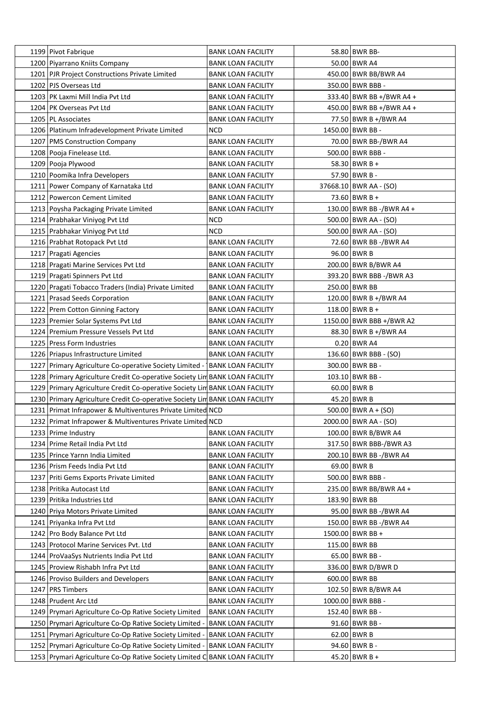| 1199 Pivot Fabrique                                                          | BANK LOAN FACILITY        | 58.80 BWR BB-            |
|------------------------------------------------------------------------------|---------------------------|--------------------------|
| 1200 Piyarrano Kniits Company                                                | BANK LOAN FACILITY        | 50.00 BWR A4             |
| 1201   PJR Project Constructions Private Limited                             | <b>BANK LOAN FACILITY</b> | 450.00 BWR BB/BWR A4     |
| 1202   PJS Overseas Ltd                                                      | <b>BANK LOAN FACILITY</b> | 350.00 BWR BBB -         |
| 1203 PK Laxmi Mill India Pvt Ltd                                             | <b>BANK LOAN FACILITY</b> | 333.40 BWR BB +/BWR A4 + |
| 1204 PK Overseas Pvt Ltd                                                     | BANK LOAN FACILITY        | 450.00 BWR BB +/BWR A4 + |
| 1205   PL Associates                                                         | <b>BANK LOAN FACILITY</b> | 77.50 BWR B +/BWR A4     |
| 1206 Platinum Infradevelopment Private Limited                               | NCD                       | 1450.00 BWR BB -         |
| 1207   PMS Construction Company                                              | <b>BANK LOAN FACILITY</b> | 70.00 BWR BB-/BWR A4     |
| 1208 Pooja Finelease Ltd.                                                    | <b>BANK LOAN FACILITY</b> | 500.00 BWR BBB -         |
| 1209   Pooja Plywood                                                         | BANK LOAN FACILITY        | 58.30 BWR B +            |
| 1210 Poomika Infra Developers                                                | <b>BANK LOAN FACILITY</b> | 57.90 BWR B -            |
| 1211 Power Company of Karnataka Ltd                                          | BANK LOAN FACILITY        | 37668.10 BWR AA - (SO)   |
| 1212 Powercon Cement Limited                                                 | <b>BANK LOAN FACILITY</b> | 73.60 BWR B +            |
| 1213 Poysha Packaging Private Limited                                        | <b>BANK LOAN FACILITY</b> | 130.00 BWR BB -/BWR A4 + |
| 1214 Prabhakar Viniyog Pvt Ltd                                               | NCD                       | 500.00 BWR AA - (SO)     |
| 1215 Prabhakar Viniyog Pvt Ltd                                               | NCD                       | 500.00   BWR AA - (SO)   |
| 1216 Prabhat Rotopack Pvt Ltd                                                | <b>BANK LOAN FACILITY</b> | 72.60 BWR BB -/BWR A4    |
| 1217 Pragati Agencies                                                        | <b>BANK LOAN FACILITY</b> | 96.00 BWR B              |
| 1218 Pragati Marine Services Pvt Ltd                                         | BANK LOAN FACILITY        | 200.00 BWR B/BWR A4      |
| 1219 Pragati Spinners Pvt Ltd                                                | <b>BANK LOAN FACILITY</b> | 393.20 BWR BBB -/BWR A3  |
| 1220 Pragati Tobacco Traders (India) Private Limited                         | <b>BANK LOAN FACILITY</b> | 250.00 BWR BB            |
| 1221 Prasad Seeds Corporation                                                |                           |                          |
|                                                                              | <b>BANK LOAN FACILITY</b> | 120.00 BWR B +/BWR A4    |
| 1222 Prem Cotton Ginning Factory                                             | <b>BANK LOAN FACILITY</b> | 118.00 BWR B +           |
| 1223 Premier Solar Systems Pvt Ltd                                           | BANK LOAN FACILITY        | 1150.00 BWR BBB +/BWR A2 |
| 1224 Premium Pressure Vessels Pvt Ltd                                        | BANK LOAN FACILITY        | 88.30 BWR B +/BWR A4     |
| 1225 Press Form Industries                                                   | <b>BANK LOAN FACILITY</b> | $0.20$ BWR A4            |
| 1226 Priapus Infrastructure Limited                                          | <b>BANK LOAN FACILITY</b> | 136.60 BWR BBB - (SO)    |
| 1227 Primary Agriculture Co-operative Society Limited -   BANK LOAN FACILITY |                           | 300.00 BWR BB -          |
| 1228 Primary Agriculture Credit Co-operative Society Lin BANK LOAN FACILITY  |                           | 103.10 BWR BB -          |
| 1229 Primary Agriculture Credit Co-operative Society Lin BANK LOAN FACILITY  |                           | $60.00$ BWR B            |
| 1230 Primary Agriculture Credit Co-operative Society Lin BANK LOAN FACILITY  |                           | 45.20 BWR B              |
| 1231 Primat Infrapower & Multiventures Private Limited NCD                   |                           | $500.00$ BWR A + (SO)    |
| 1232 Primat Infrapower & Multiventures Private Limited NCD                   |                           | 2000.00 BWR AA - (SO)    |
| 1233 Prime Industry                                                          | <b>BANK LOAN FACILITY</b> | 100.00 BWR B/BWR A4      |
| 1234 Prime Retail India Pvt Ltd                                              | <b>BANK LOAN FACILITY</b> | 317.50 BWR BBB-/BWR A3   |
| 1235 Prince Yarnn India Limited                                              | <b>BANK LOAN FACILITY</b> | 200.10 BWR BB -/BWR A4   |
| 1236 Prism Feeds India Pvt Ltd                                               | <b>BANK LOAN FACILITY</b> | 69.00 BWR B              |
| 1237 Priti Gems Exports Private Limited                                      | <b>BANK LOAN FACILITY</b> | 500.00 BWR BBB -         |
| 1238 Pritika Autocast Ltd                                                    | <b>BANK LOAN FACILITY</b> | 235.00 BWR BB/BWR A4 +   |
| 1239 Pritika Industries Ltd                                                  | <b>BANK LOAN FACILITY</b> | 183.90 BWR BB            |
| 1240 Priya Motors Private Limited                                            | <b>BANK LOAN FACILITY</b> | 95.00 BWR BB -/BWR A4    |
| 1241 Priyanka Infra Pvt Ltd                                                  | <b>BANK LOAN FACILITY</b> | 150.00 BWR BB -/BWR A4   |
| 1242 Pro Body Balance Pvt Ltd                                                | <b>BANK LOAN FACILITY</b> | 1500.00 BWR BB +         |
| 1243 Protocol Marine Services Pvt. Ltd                                       | <b>BANK LOAN FACILITY</b> | 115.00 BWR BB            |
| 1244 ProVaaSys Nutrients India Pvt Ltd                                       | <b>BANK LOAN FACILITY</b> | 65.00 BWR BB -           |
| 1245 Proview Rishabh Infra Pvt Ltd                                           | <b>BANK LOAN FACILITY</b> | 336.00 BWR D/BWR D       |
| 1246 Proviso Builders and Developers                                         | <b>BANK LOAN FACILITY</b> | 600.00 BWR BB            |
| 1247 PRS Timbers                                                             | <b>BANK LOAN FACILITY</b> | 102.50 BWR B/BWR A4      |
| 1248 Prudent Arc Ltd                                                         | <b>BANK LOAN FACILITY</b> | 1000.00 BWR BBB -        |
| 1249 Prymari Agriculture Co-Op Rative Society Limited                        | <b>BANK LOAN FACILITY</b> | 152.40 BWR BB -          |
| 1250 Prymari Agriculture Co-Op Rative Society Limited                        | <b>BANK LOAN FACILITY</b> | 91.60 BWR BB -           |
| 1251 Prymari Agriculture Co-Op Rative Society Limited -                      | <b>BANK LOAN FACILITY</b> | 62.00 BWR B              |
| 1252 Prymari Agriculture Co-Op Rative Society Limited -                      | <b>BANK LOAN FACILITY</b> | 94.60 BWR B -            |
| 1253 Prymari Agriculture Co-Op Rative Society Limited C BANK LOAN FACILITY   |                           | 45.20 BWR B +            |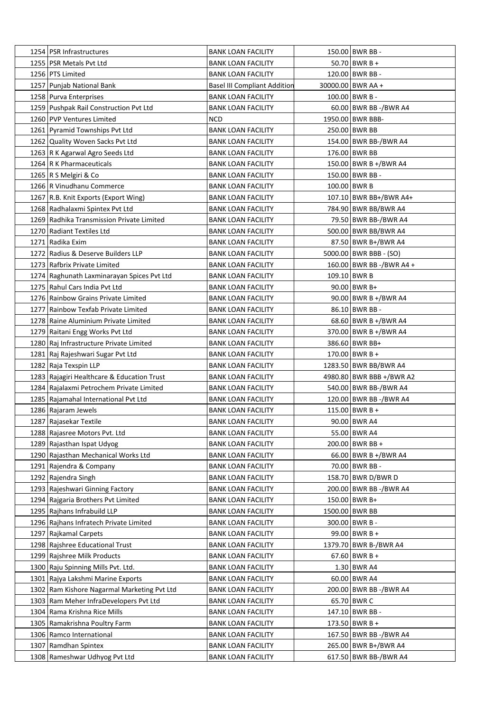| 1254 PSR Infrastructures                    | <b>BANK LOAN FACILITY</b>           | 150.00 BWR BB -          |
|---------------------------------------------|-------------------------------------|--------------------------|
| 1255   PSR Metals Pvt Ltd                   | <b>BANK LOAN FACILITY</b>           | 50.70 BWR B +            |
| 1256 PTS Limited                            | <b>BANK LOAN FACILITY</b>           | 120.00 BWR BB -          |
| 1257 Punjab National Bank                   | <b>Basel III Compliant Addition</b> | 30000.00 BWR AA +        |
| 1258 Purva Enterprises                      | <b>BANK LOAN FACILITY</b>           | 100.00 BWR B -           |
| 1259 Pushpak Rail Construction Pvt Ltd      | <b>BANK LOAN FACILITY</b>           | 60.00 BWR BB -/BWR A4    |
| 1260 PVP Ventures Limited                   | <b>NCD</b>                          | 1950.00 BWR BBB-         |
| 1261 Pyramid Townships Pvt Ltd              | <b>BANK LOAN FACILITY</b>           | 250.00 BWR BB            |
| 1262 Quality Woven Sacks Pvt Ltd            | <b>BANK LOAN FACILITY</b>           | 154.00 BWR BB-/BWR A4    |
| 1263 R K Agarwal Agro Seeds Ltd             | <b>BANK LOAN FACILITY</b>           | 176.00 BWR BB            |
| 1264 R K Pharmaceuticals                    | <b>BANK LOAN FACILITY</b>           | 150.00 BWR B +/BWR A4    |
| 1265   R S Melgiri & Co                     | <b>BANK LOAN FACILITY</b>           | 150.00 BWR BB -          |
| 1266 R Vinudhanu Commerce                   | <b>BANK LOAN FACILITY</b>           | 100.00 BWR B             |
| 1267 R.B. Knit Exports (Export Wing)        | <b>BANK LOAN FACILITY</b>           | 107.10 BWR BB+/BWR A4+   |
| 1268 Radhalaxmi Spintex Pvt Ltd             | <b>BANK LOAN FACILITY</b>           | 784.90 BWR BB/BWR A4     |
| 1269 Radhika Transmission Private Limited   | <b>BANK LOAN FACILITY</b>           | 79.50 BWR BB-/BWR A4     |
| 1270 Radiant Textiles Ltd                   | <b>BANK LOAN FACILITY</b>           | 500.00 BWR BB/BWR A4     |
| 1271   Radika Exim                          | <b>BANK LOAN FACILITY</b>           | 87.50 BWR B+/BWR A4      |
| 1272 Radius & Deserve Builders LLP          | <b>BANK LOAN FACILITY</b>           | 5000.00 BWR BBB - (SO)   |
| 1273 Rafbrix Private Limited                | <b>BANK LOAN FACILITY</b>           | 160.00 BWR BB -/BWR A4 + |
| 1274 Raghunath Laxminarayan Spices Pvt Ltd  | <b>BANK LOAN FACILITY</b>           | 109.10 BWR B             |
| 1275 Rahul Cars India Pvt Ltd               | <b>BANK LOAN FACILITY</b>           | 90.00 BWR B+             |
| 1276 Rainbow Grains Private Limited         | <b>BANK LOAN FACILITY</b>           | 90.00 BWR B +/BWR A4     |
| 1277 Rainbow Texfab Private Limited         | <b>BANK LOAN FACILITY</b>           | 86.10 BWR BB -           |
| 1278 Raine Aluminium Private Limited        | <b>BANK LOAN FACILITY</b>           | 68.60 BWR B +/BWR A4     |
| 1279 Raitani Engg Works Pvt Ltd             | <b>BANK LOAN FACILITY</b>           | 370.00 BWR B +/BWR A4    |
| 1280 Raj Infrastructure Private Limited     | <b>BANK LOAN FACILITY</b>           | 386.60 BWR BB+           |
| 1281 Raj Rajeshwari Sugar Pvt Ltd           | <b>BANK LOAN FACILITY</b>           | $170.00$ BWR B +         |
| 1282 Raja Texspin LLP                       | <b>BANK LOAN FACILITY</b>           | 1283.50 BWR BB/BWR A4    |
| 1283 Rajagiri Healthcare & Education Trust  | <b>BANK LOAN FACILITY</b>           | 4980.80 BWR BBB +/BWR A2 |
| 1284 Rajalaxmi Petrochem Private Limited    | <b>BANK LOAN FACILITY</b>           | 540.00 BWR BB-/BWR A4    |
| 1285 Rajamahal International Pvt Ltd        | <b>BANK LOAN FACILITY</b>           | 120.00 BWR BB -/BWR A4   |
| 1286 Rajaram Jewels                         | <b>BANK LOAN FACILITY</b>           | 115.00 BWR B +           |
| 1287 Rajasekar Textile                      | <b>BANK LOAN FACILITY</b>           | 90.00 BWR A4             |
| 1288 Rajasree Motors Pvt. Ltd               | <b>BANK LOAN FACILITY</b>           | 55.00 BWR A4             |
| 1289 Rajasthan Ispat Udyog                  | <b>BANK LOAN FACILITY</b>           | 200.00 BWR BB +          |
| 1290 Rajasthan Mechanical Works Ltd         | <b>BANK LOAN FACILITY</b>           | 66.00 BWR B +/BWR A4     |
| 1291 Rajendra & Company                     | <b>BANK LOAN FACILITY</b>           | 70.00 BWR BB -           |
| 1292 Rajendra Singh                         | <b>BANK LOAN FACILITY</b>           | 158.70 BWR D/BWR D       |
| 1293 Rajeshwari Ginning Factory             | <b>BANK LOAN FACILITY</b>           | 200.00 BWR BB -/BWR A4   |
| 1294 Rajgaria Brothers Pvt Limited          | <b>BANK LOAN FACILITY</b>           | 150.00 BWR B+            |
| 1295 Rajhans Infrabuild LLP                 | <b>BANK LOAN FACILITY</b>           | 1500.00 BWR BB           |
| 1296 Rajhans Infratech Private Limited      | <b>BANK LOAN FACILITY</b>           | 300.00 BWR B -           |
| 1297 Rajkamal Carpets                       | <b>BANK LOAN FACILITY</b>           | 99.00 BWR B +            |
| 1298 Rajshree Educational Trust             | <b>BANK LOAN FACILITY</b>           | 1379.70 BWR B-/BWR A4    |
| 1299 Rajshree Milk Products                 | <b>BANK LOAN FACILITY</b>           | $67.60$ BWR B +          |
| 1300 Raju Spinning Mills Pvt. Ltd.          | <b>BANK LOAN FACILITY</b>           | $1.30$ BWR A4            |
| 1301 Rajya Lakshmi Marine Exports           | <b>BANK LOAN FACILITY</b>           | 60.00 BWR A4             |
| 1302 Ram Kishore Nagarmal Marketing Pvt Ltd | <b>BANK LOAN FACILITY</b>           | 200.00 BWR BB -/BWR A4   |
| 1303 Ram Meher InfraDevelopers Pvt Ltd      | <b>BANK LOAN FACILITY</b>           | 65.70 BWR C              |
| 1304 Rama Krishna Rice Mills                | <b>BANK LOAN FACILITY</b>           | 147.10 BWR BB -          |
| 1305 Ramakrishna Poultry Farm               | <b>BANK LOAN FACILITY</b>           | 173.50 BWR B +           |
| 1306 Ramco International                    | <b>BANK LOAN FACILITY</b>           | 167.50 BWR BB -/BWR A4   |
| 1307 Ramdhan Spintex                        | <b>BANK LOAN FACILITY</b>           | 265.00 BWR B+/BWR A4     |
| 1308 Rameshwar Udhyog Pvt Ltd               | <b>BANK LOAN FACILITY</b>           | 617.50 BWR BB-/BWR A4    |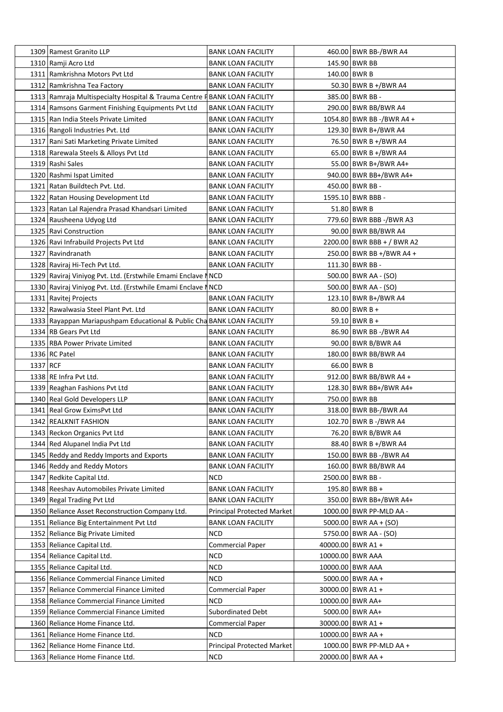|          | 1309 Ramest Granito LLP                                                   | BANK LOAN FACILITY                | 460.00 BWR BB-/BWR A4      |
|----------|---------------------------------------------------------------------------|-----------------------------------|----------------------------|
|          | 1310 Ramji Acro Ltd                                                       | <b>BANK LOAN FACILITY</b>         | 145.90 BWR BB              |
|          | 1311 Ramkrishna Motors Pvt Ltd                                            | <b>BANK LOAN FACILITY</b>         | 140.00 BWR B               |
|          | 1312 Ramkrishna Tea Factory                                               | <b>BANK LOAN FACILITY</b>         | 50.30 BWR B +/BWR A4       |
|          | 1313 Ramraja Multispecialty Hospital & Trauma Centre F BANK LOAN FACILITY |                                   | 385.00 BWR BB -            |
|          | 1314 Ramsons Garment Finishing Equipments Pvt Ltd                         | BANK LOAN FACILITY                | 290.00 BWR BB/BWR A4       |
|          | 1315 Ran India Steels Private Limited                                     | <b>BANK LOAN FACILITY</b>         | 1054.80 BWR BB -/BWR A4 +  |
|          | 1316 Rangoli Industries Pvt. Ltd                                          | <b>BANK LOAN FACILITY</b>         | 129.30 BWR B+/BWR A4       |
|          | 1317 Rani Sati Marketing Private Limited                                  | BANK LOAN FACILITY                | 76.50 BWR B +/BWR A4       |
|          | 1318 Rarewala Steels & Alloys Pvt Ltd                                     | <b>BANK LOAN FACILITY</b>         | 65.00 BWR B +/BWR A4       |
|          | 1319 Rashi Sales                                                          | BANK LOAN FACILITY                | 55.00 BWR B+/BWR A4+       |
|          | 1320 Rashmi Ispat Limited                                                 | <b>BANK LOAN FACILITY</b>         | 940.00 BWR BB+/BWR A4+     |
|          | 1321 Ratan Buildtech Pvt. Ltd.                                            | <b>BANK LOAN FACILITY</b>         | 450.00 BWR BB -            |
|          | 1322 Ratan Housing Development Ltd                                        | <b>BANK LOAN FACILITY</b>         | 1595.10 BWR BBB -          |
|          | 1323 Ratan Lal Rajendra Prasad Khandsari Limited                          | <b>BANK LOAN FACILITY</b>         | 51.80 BWR B                |
|          | 1324 Rausheena Udyog Ltd                                                  | <b>BANK LOAN FACILITY</b>         | 779.60 BWR BBB -/BWR A3    |
|          | 1325 Ravi Construction                                                    | <b>BANK LOAN FACILITY</b>         | 90.00 BWR BB/BWR A4        |
|          | 1326 Ravi Infrabuild Projects Pvt Ltd                                     | <b>BANK LOAN FACILITY</b>         | 2200.00 BWR BBB + / BWR A2 |
|          | 1327 Ravindranath                                                         | <b>BANK LOAN FACILITY</b>         | 250.00 BWR BB +/BWR A4 +   |
|          | 1328 Raviraj Hi-Tech Pvt Ltd.                                             | <b>BANK LOAN FACILITY</b>         | 111.30 BWR BB -            |
|          |                                                                           |                                   | 500.00 BWR AA - (SO)       |
|          | 1329 Raviraj Viniyog Pvt. Ltd. (Erstwhile Emami Enclave NICD              |                                   |                            |
|          | 1330 Raviraj Viniyog Pvt. Ltd. (Erstwhile Emami Enclave NICD              |                                   | 500.00 BWR AA - (SO)       |
|          | 1331 Ravitej Projects                                                     | <b>BANK LOAN FACILITY</b>         | 123.10 BWR B+/BWR A4       |
|          | 1332 Rawalwasia Steel Plant Pvt. Ltd                                      | <b>BANK LOAN FACILITY</b>         | $80.00$ BWR B +            |
|          | 1333 Rayappan Mariapushpam Educational & Public Cha BANK LOAN FACILITY    |                                   | 59.10 BWR B +              |
|          | 1334 RB Gears Pvt Ltd                                                     | BANK LOAN FACILITY                | 86.90 BWR BB -/BWR A4      |
|          | 1335 RBA Power Private Limited                                            | <b>BANK LOAN FACILITY</b>         | 90.00 BWR B/BWR A4         |
|          | $1336$ RC Patel                                                           | <b>BANK LOAN FACILITY</b>         | 180.00 BWR BB/BWR A4       |
| 1337 RCF |                                                                           | <b>BANK LOAN FACILITY</b>         | 66.00 BWR B                |
|          | 1338 RE Infra Pvt Ltd.                                                    | BANK LOAN FACILITY                | 912.00   BWR BB/BWR A4 +   |
|          | 1339 Reaghan Fashions Pvt Ltd                                             | BANK LOAN FACILITY                | 128.30 BWR BB+/BWR A4+     |
|          | 1340 Real Gold Developers LLP                                             | <b>BANK LOAN FACILITY</b>         | 750.00 BWR BB              |
|          | 1341 Real Grow EximsPvt Ltd                                               | <b>BANK LOAN FACILITY</b>         | 318.00 BWR BB-/BWR A4      |
|          | 1342 REALKNIT FASHION                                                     | <b>BANK LOAN FACILITY</b>         | 102.70 BWR B -/BWR A4      |
|          | 1343 Reckon Organics Pvt Ltd                                              | <b>BANK LOAN FACILITY</b>         | 76.20 BWR B/BWR A4         |
|          | 1344 Red Alupanel India Pvt Ltd                                           | <b>BANK LOAN FACILITY</b>         | 88.40 BWR B +/BWR A4       |
|          | 1345 Reddy and Reddy Imports and Exports                                  | <b>BANK LOAN FACILITY</b>         | 150.00 BWR BB -/BWR A4     |
|          | 1346 Reddy and Reddy Motors                                               | <b>BANK LOAN FACILITY</b>         | 160.00 BWR BB/BWR A4       |
|          | 1347 Redkite Capital Ltd.                                                 | <b>NCD</b>                        | 2500.00 BWR BB -           |
|          | 1348 Reeshav Automobiles Private Limited                                  | <b>BANK LOAN FACILITY</b>         | 195.80 BWR BB +            |
|          | 1349 Regal Trading Pvt Ltd                                                | <b>BANK LOAN FACILITY</b>         | 350.00 BWR BB+/BWR A4+     |
|          | 1350 Reliance Asset Reconstruction Company Ltd.                           | <b>Principal Protected Market</b> | 1000.00 BWR PP-MLD AA -    |
| 1351     | Reliance Big Entertainment Pvt Ltd                                        | <b>BANK LOAN FACILITY</b>         | $5000.00$ BWR AA + (SO)    |
|          | 1352 Reliance Big Private Limited                                         | <b>NCD</b>                        | 5750.00 BWR AA - (SO)      |
|          | 1353 Reliance Capital Ltd.                                                | <b>Commercial Paper</b>           | 40000.00 BWR A1 +          |
|          | 1354 Reliance Capital Ltd.                                                | NCD                               | 10000.00 BWR AAA           |
|          | 1355   Reliance Capital Ltd.                                              | <b>NCD</b>                        | 10000.00 BWR AAA           |
|          | 1356 Reliance Commercial Finance Limited                                  | <b>NCD</b>                        | 5000.00 BWR AA +           |
|          | 1357 Reliance Commercial Finance Limited                                  | <b>Commercial Paper</b>           | 30000.00 BWR A1 +          |
|          | 1358 Reliance Commercial Finance Limited                                  | NCD                               | 10000.00 BWR AA+           |
|          | 1359 Reliance Commercial Finance Limited                                  | Subordinated Debt                 | 5000.00 BWR AA+            |
|          | 1360 Reliance Home Finance Ltd.                                           | <b>Commercial Paper</b>           | 30000.00 BWR A1 +          |
|          | 1361 Reliance Home Finance Ltd.                                           | <b>NCD</b>                        | 10000.00 BWR AA +          |
|          | 1362 Reliance Home Finance Ltd.                                           | Principal Protected Market        | 1000.00 BWR PP-MLD AA +    |
|          | 1363 Reliance Home Finance Ltd.                                           | <b>NCD</b>                        | 20000.00 BWR AA +          |
|          |                                                                           |                                   |                            |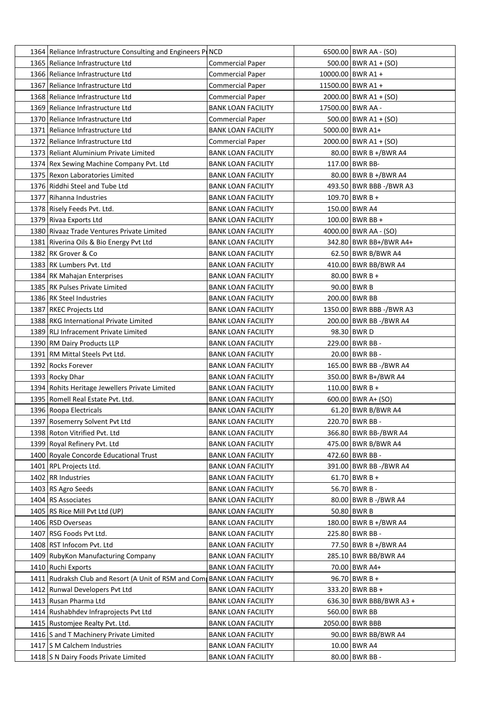| 1364 Reliance Infrastructure Consulting and Engineers PINCD |                           | 6500.00 BWR AA - (SO)    |
|-------------------------------------------------------------|---------------------------|--------------------------|
| 1365 Reliance Infrastructure Ltd                            | Commercial Paper          | $500.00$ BWR A1 + (SO)   |
| 1366 Reliance Infrastructure Ltd                            | <b>Commercial Paper</b>   | 10000.00 BWR A1 +        |
| 1367 Reliance Infrastructure Ltd                            | <b>Commercial Paper</b>   | 11500.00 BWR A1 +        |
| 1368 Reliance Infrastructure Ltd                            | <b>Commercial Paper</b>   | $2000.00$ BWR A1 + (SO)  |
| 1369 Reliance Infrastructure Ltd                            | <b>BANK LOAN FACILITY</b> | 17500.00 BWR AA -        |
| 1370 Reliance Infrastructure Ltd                            | <b>Commercial Paper</b>   | $500.00$ BWR A1 + (SO)   |
| 1371 Reliance Infrastructure Ltd                            | <b>BANK LOAN FACILITY</b> | 5000.00 BWR A1+          |
| 1372 Reliance Infrastructure Ltd                            | <b>Commercial Paper</b>   | $2000.00$ BWR A1 + (SO)  |
| 1373 Reliant Aluminium Private Limited                      | <b>BANK LOAN FACILITY</b> | 80.00 BWR B +/BWR A4     |
| 1374 Rex Sewing Machine Company Pvt. Ltd                    | BANK LOAN FACILITY        | 117.00 BWR BB-           |
| 1375 Rexon Laboratories Limited                             | <b>BANK LOAN FACILITY</b> | 80.00 BWR B +/BWR A4     |
| 1376 Riddhi Steel and Tube Ltd                              | <b>BANK LOAN FACILITY</b> | 493.50 BWR BBB -/BWR A3  |
| 1377   Rihanna Industries                                   | <b>BANK LOAN FACILITY</b> | $109.70$ BWR B +         |
| 1378 Risely Feeds Pvt. Ltd.                                 | <b>BANK LOAN FACILITY</b> | 150.00 BWR A4            |
| 1379 Rivaa Exports Ltd                                      | <b>BANK LOAN FACILITY</b> | 100.00 BWR BB +          |
| 1380 Rivaaz Trade Ventures Private Limited                  | <b>BANK LOAN FACILITY</b> | 4000.00 BWR AA - (SO)    |
| 1381 Riverina Oils & Bio Energy Pvt Ltd                     | <b>BANK LOAN FACILITY</b> | 342.80 BWR BB+/BWR A4+   |
| 1382 RK Grover & Co                                         | <b>BANK LOAN FACILITY</b> | 62.50 BWR B/BWR A4       |
| 1383 RK Lumbers Pvt. Ltd                                    | BANK LOAN FACILITY        | 410.00 BWR BB/BWR A4     |
| 1384 RK Mahajan Enterprises                                 | BANK LOAN FACILITY        | $80.00$ BWR B +          |
| 1385 RK Pulses Private Limited                              | <b>BANK LOAN FACILITY</b> | 90.00 BWR B              |
| 1386 RK Steel Industries                                    | <b>BANK LOAN FACILITY</b> | 200.00 BWR BB            |
| 1387 RKEC Projects Ltd                                      | <b>BANK LOAN FACILITY</b> | 1350.00 BWR BBB -/BWR A3 |
| 1388 RKG International Private Limited                      | BANK LOAN FACILITY        | 200.00 BWR BB -/BWR A4   |
| 1389 RLJ Infracement Private Limited                        | BANK LOAN FACILITY        | 98.30 BWR D              |
| 1390 RM Dairy Products LLP                                  | <b>BANK LOAN FACILITY</b> | 229.00 BWR BB -          |
| 1391 RM Mittal Steels Pvt Ltd.                              | <b>BANK LOAN FACILITY</b> | 20.00 BWR BB -           |
| 1392 Rocks Forever                                          | <b>BANK LOAN FACILITY</b> | 165.00 BWR BB -/BWR A4   |
| 1393 Rocky Dhar                                             | <b>BANK LOAN FACILITY</b> | 350.00 BWR B+/BWR A4     |
| 1394 Rohits Heritage Jewellers Private Limited              | <b>BANK LOAN FACILITY</b> | 110.00 BWR B +           |
| 1395 Romell Real Estate Pyt. Ltd.                           | <b>BANK LOAN FACILITY</b> | $600.00$ BWR A+ (SO)     |
| 1396 Roopa Electricals                                      | <b>BANK LOAN FACILITY</b> | 61.20 BWR B/BWR A4       |
| 1397 Rosemerry Solvent Pvt Ltd                              | <b>BANK LOAN FACILITY</b> | 220.70 BWR BB -          |
| 1398 Roton Vitrified Pvt. Ltd                               | <b>BANK LOAN FACILITY</b> | 366.80 BWR BB-/BWR A4    |
| 1399 Royal Refinery Pvt. Ltd                                | <b>BANK LOAN FACILITY</b> | 475.00 BWR B/BWR A4      |
| 1400 Royale Concorde Educational Trust                      | <b>BANK LOAN FACILITY</b> | 472.60 BWR BB -          |
| 1401   RPL Projects Ltd.                                    | <b>BANK LOAN FACILITY</b> | 391.00 BWR BB -/BWR A4   |
| 1402 RR Industries                                          | <b>BANK LOAN FACILITY</b> | $61.70$ BWR B +          |
| 1403 RS Agro Seeds                                          | <b>BANK LOAN FACILITY</b> | 56.70 BWR B -            |
| 1404 RS Associates                                          | <b>BANK LOAN FACILITY</b> | 80.00 BWR B-/BWR A4      |
| 1405 RS Rice Mill Pvt Ltd (UP)                              | <b>BANK LOAN FACILITY</b> | 50.80 BWR B              |
| 1406 RSD Overseas                                           | <b>BANK LOAN FACILITY</b> | 180.00 BWR B +/BWR A4    |
| 1407 RSG Foods Pvt Ltd.                                     | <b>BANK LOAN FACILITY</b> | 225.80 BWR BB -          |
| 1408 RST Infocom Pvt. Ltd                                   | <b>BANK LOAN FACILITY</b> | 77.50 BWR B +/BWR A4     |
| 1409 RubyKon Manufacturing Company                          | <b>BANK LOAN FACILITY</b> | 285.10 BWR BB/BWR A4     |
| 1410 Ruchi Exports                                          | <b>BANK LOAN FACILITY</b> | 70.00 BWR A4+            |
| 1411 Rudraksh Club and Resort (A Unit of RSM and Com        | <b>BANK LOAN FACILITY</b> | 96.70 BWR B +            |
| 1412 Runwal Developers Pvt Ltd                              | <b>BANK LOAN FACILITY</b> | 333.20 BWR BB +          |
| 1413 Rusan Pharma Ltd                                       | <b>BANK LOAN FACILITY</b> | 636.30 BWR BBB/BWR A3 +  |
| 1414 Rushabhdev Infraprojects Pvt Ltd                       | <b>BANK LOAN FACILITY</b> | 560.00 BWR BB            |
| 1415 Rustomjee Realty Pvt. Ltd.                             | <b>BANK LOAN FACILITY</b> | 2050.00 BWR BBB          |
| 1416 S and T Machinery Private Limited                      | <b>BANK LOAN FACILITY</b> | 90.00 BWR BB/BWR A4      |
| 1417 S M Calchem Industries                                 | <b>BANK LOAN FACILITY</b> | 10.00 BWR A4             |
| 1418 S N Dairy Foods Private Limited                        | <b>BANK LOAN FACILITY</b> | 80.00 BWR BB -           |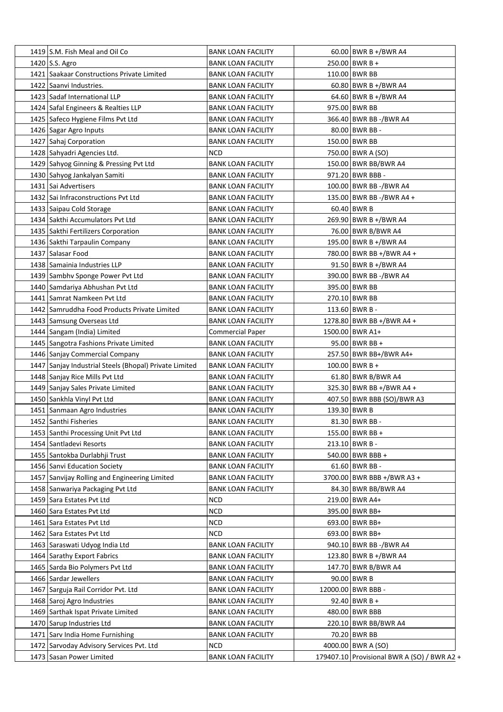| 1419 S.M. Fish Meal and Oil Co                         | <b>BANK LOAN FACILITY</b> | 60.00 BWR B +/BWR A4                        |
|--------------------------------------------------------|---------------------------|---------------------------------------------|
| 1420 S.S. Agro                                         | <b>BANK LOAN FACILITY</b> | $250.00$ BWR B +                            |
| 1421 Saakaar Constructions Private Limited             | <b>BANK LOAN FACILITY</b> | 110.00 BWR BB                               |
| 1422 Saanvi Industries.                                | <b>BANK LOAN FACILITY</b> | 60.80 BWR B +/BWR A4                        |
| 1423   Sadaf International LLP                         | <b>BANK LOAN FACILITY</b> | 64.60 BWR B +/BWR A4                        |
| 1424 Safal Engineers & Realties LLP                    | <b>BANK LOAN FACILITY</b> | 975.00 BWR BB                               |
| 1425 Safeco Hygiene Films Pvt Ltd                      | <b>BANK LOAN FACILITY</b> | 366.40 BWR BB -/BWR A4                      |
| 1426 Sagar Agro Inputs                                 | <b>BANK LOAN FACILITY</b> | 80.00 BWR BB -                              |
| 1427 Sahaj Corporation                                 | <b>BANK LOAN FACILITY</b> | 150.00 BWR BB                               |
| 1428 Sahyadri Agencies Ltd.                            | <b>NCD</b>                | 750.00 BWR A (SO)                           |
| 1429 Sahyog Ginning & Pressing Pvt Ltd                 | <b>BANK LOAN FACILITY</b> | 150.00 BWR BB/BWR A4                        |
| 1430 Sahyog Jankalyan Samiti                           | <b>BANK LOAN FACILITY</b> | 971.20 BWR BBB -                            |
| 1431 Sai Advertisers                                   | <b>BANK LOAN FACILITY</b> | 100.00 BWR BB -/BWR A4                      |
| 1432 Sai Infraconstructions Pvt Ltd                    | <b>BANK LOAN FACILITY</b> | 135.00 BWR BB -/BWR A4 +                    |
| 1433 Saipau Cold Storage                               | <b>BANK LOAN FACILITY</b> | $60.40$ BWR B                               |
| 1434 Sakthi Accumulators Pvt Ltd                       | <b>BANK LOAN FACILITY</b> | 269.90 BWR B +/BWR A4                       |
| 1435 Sakthi Fertilizers Corporation                    | <b>BANK LOAN FACILITY</b> | 76.00 BWR B/BWR A4                          |
| 1436 Sakthi Tarpaulin Company                          | <b>BANK LOAN FACILITY</b> | 195.00 BWR B +/BWR A4                       |
| 1437 Salasar Food                                      | <b>BANK LOAN FACILITY</b> | 780.00 BWR BB +/BWR A4 +                    |
| 1438 Samainia Industries LLP                           | <b>BANK LOAN FACILITY</b> | 91.50 BWR B +/BWR A4                        |
| 1439 Sambhy Sponge Power Pvt Ltd                       | <b>BANK LOAN FACILITY</b> | 390.00 BWR BB -/BWR A4                      |
| 1440 Samdariya Abhushan Pvt Ltd                        | <b>BANK LOAN FACILITY</b> | 395.00 BWR BB                               |
| 1441 Samrat Namkeen Pvt Ltd                            |                           | 270.10 BWR BB                               |
|                                                        | <b>BANK LOAN FACILITY</b> |                                             |
| 1442 Samruddha Food Products Private Limited           | <b>BANK LOAN FACILITY</b> | 113.60 BWR B -                              |
| 1443 Samsung Overseas Ltd                              | <b>BANK LOAN FACILITY</b> | 1278.80 BWR BB +/BWR A4 +                   |
| 1444 Sangam (India) Limited                            | <b>Commercial Paper</b>   | 1500.00 BWR A1+                             |
| 1445 Sangotra Fashions Private Limited                 | <b>BANK LOAN FACILITY</b> | 95.00 BWR BB +                              |
| 1446 Sanjay Commercial Company                         | <b>BANK LOAN FACILITY</b> | 257.50 BWR BB+/BWR A4+                      |
| 1447 Sanjay Industrial Steels (Bhopal) Private Limited | <b>BANK LOAN FACILITY</b> | $100.00$ BWR B +                            |
| 1448 Sanjay Rice Mills Pvt Ltd                         | <b>BANK LOAN FACILITY</b> | 61.80 BWR B/BWR A4                          |
| 1449 Sanjay Sales Private Limited                      | <b>BANK LOAN FACILITY</b> | 325.30 BWR BB +/BWR A4 +                    |
| 1450 Sankhla Vinyl Pvt Ltd                             | <b>BANK LOAN FACILITY</b> | 407.50 BWR BBB (SO)/BWR A3                  |
| 1451 Sanmaan Agro Industries                           | <b>BANK LOAN FACILITY</b> | 139.30 BWR B                                |
| 1452 Santhi Fisheries                                  | <b>BANK LOAN FACILITY</b> | 81.30 BWR BB -                              |
| 1453 Santhi Processing Unit Pvt Ltd                    | <b>BANK LOAN FACILITY</b> | 155.00 BWR BB +                             |
| 1454 Santladevi Resorts                                | <b>BANK LOAN FACILITY</b> | 213.10 BWR B -                              |
| 1455   Santokba Durlabhji Trust                        | <b>BANK LOAN FACILITY</b> | 540.00 BWR BBB +                            |
| 1456 Sanvi Education Society                           | <b>BANK LOAN FACILITY</b> | 61.60 BWR BB -                              |
| 1457 Sanvijay Rolling and Engineering Limited          | <b>BANK LOAN FACILITY</b> | 3700.00 BWR BBB +/BWR A3 +                  |
| 1458 Sanwariya Packaging Pvt Ltd                       | <b>BANK LOAN FACILITY</b> | 84.30 BWR BB/BWR A4                         |
| 1459 Sara Estates Pvt Ltd                              | <b>NCD</b>                | 219.00 BWR A4+                              |
| 1460 Sara Estates Pvt Ltd                              | <b>NCD</b>                | 395.00 BWR BB+                              |
| 1461 Sara Estates Pvt Ltd                              | <b>NCD</b>                | 693.00 BWR BB+                              |
| 1462 Sara Estates Pvt Ltd                              | <b>NCD</b>                | 693.00 BWR BB+                              |
| 1463 Saraswati Udyog India Ltd                         | <b>BANK LOAN FACILITY</b> | 940.10 BWR BB -/BWR A4                      |
| 1464 Sarathy Export Fabrics                            | <b>BANK LOAN FACILITY</b> | 123.80 BWR B +/BWR A4                       |
| 1465 Sarda Bio Polymers Pvt Ltd                        | <b>BANK LOAN FACILITY</b> | 147.70 BWR B/BWR A4                         |
| 1466 Sardar Jewellers                                  | <b>BANK LOAN FACILITY</b> | 90.00 BWR B                                 |
| 1467 Sarguja Rail Corridor Pvt. Ltd                    | <b>BANK LOAN FACILITY</b> | 12000.00 BWR BBB -                          |
| 1468 Saroj Agro Industries                             | <b>BANK LOAN FACILITY</b> | 92.40 BWR B +                               |
| 1469 Sarthak Ispat Private Limited                     | <b>BANK LOAN FACILITY</b> | 480.00 BWR BBB                              |
| 1470 Sarup Industries Ltd                              | <b>BANK LOAN FACILITY</b> | 220.10 BWR BB/BWR A4                        |
| 1471 Sarv India Home Furnishing                        | <b>BANK LOAN FACILITY</b> | 70.20 BWR BB                                |
| 1472 Sarvoday Advisory Services Pvt. Ltd               | NCD                       | 4000.00 BWR A (SO)                          |
| 1473 Sasan Power Limited                               | <b>BANK LOAN FACILITY</b> | 179407.10 Provisional BWR A (SO) / BWR A2 + |
|                                                        |                           |                                             |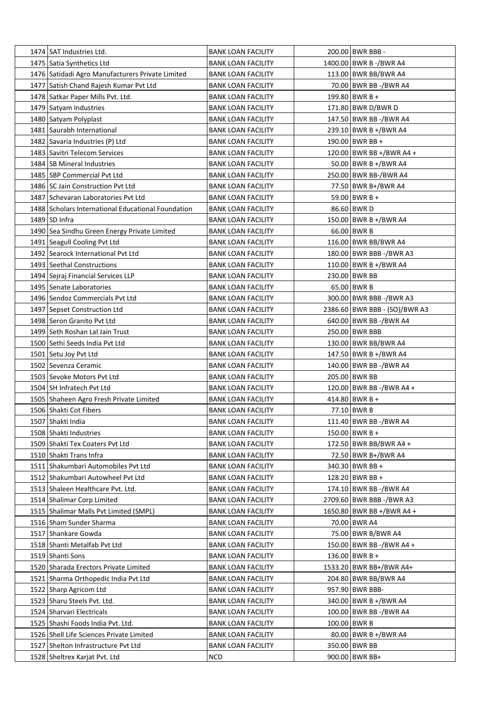| 1474 SAT Industries Ltd.                           | <b>BANK LOAN FACILITY</b> | 200.00 BWR BBB -                                |
|----------------------------------------------------|---------------------------|-------------------------------------------------|
| 1475   Satia Synthetics Ltd                        | <b>BANK LOAN FACILITY</b> | 1400.00 BWR B -/BWR A4                          |
| 1476 Satidadi Agro Manufacturers Private Limited   | <b>BANK LOAN FACILITY</b> | 113.00 BWR BB/BWR A4                            |
| 1477 Satish Chand Rajesh Kumar Pvt Ltd             | <b>BANK LOAN FACILITY</b> | 70.00 BWR BB -/BWR A4                           |
| 1478 Satkar Paper Mills Pvt. Ltd.                  | <b>BANK LOAN FACILITY</b> | 199.80 BWR B +                                  |
| 1479 Satyam Industries                             | <b>BANK LOAN FACILITY</b> | 171.80 BWR D/BWR D                              |
| 1480 Satyam Polyplast                              | <b>BANK LOAN FACILITY</b> | 147.50 BWR BB -/BWR A4                          |
| 1481 Saurabh International                         | <b>BANK LOAN FACILITY</b> | 239.10 BWR B +/BWR A4                           |
| 1482 Savaria Industries (P) Ltd                    | <b>BANK LOAN FACILITY</b> | 190.00 BWR BB +                                 |
| 1483 Savitri Telecom Services                      | <b>BANK LOAN FACILITY</b> | 120.00 BWR BB +/BWR A4 +                        |
| 1484 SB Mineral Industries                         | <b>BANK LOAN FACILITY</b> | $50.00$ BWR B +/BWR A4                          |
| 1485 SBP Commercial Pvt Ltd                        | <b>BANK LOAN FACILITY</b> | 250.00 BWR BB-/BWR A4                           |
| 1486 SC Jain Construction Pvt Ltd                  | <b>BANK LOAN FACILITY</b> | 77.50 BWR B+/BWR A4                             |
| 1487 Schevaran Laboratories Pvt Ltd                | <b>BANK LOAN FACILITY</b> | 59.00 BWR B +                                   |
| 1488 Scholars International Educational Foundation | <b>BANK LOAN FACILITY</b> | 86.60 BWR D                                     |
| 1489 SD Infra                                      | <b>BANK LOAN FACILITY</b> | 150.00 BWR B +/BWR A4                           |
| 1490 Sea Sindhu Green Energy Private Limited       | <b>BANK LOAN FACILITY</b> | 66.00 BWR B                                     |
| 1491 Seagull Cooling Pvt Ltd                       | <b>BANK LOAN FACILITY</b> | 116.00 BWR BB/BWR A4                            |
| 1492 Searock International Pvt Ltd                 | <b>BANK LOAN FACILITY</b> | 180.00 BWR BBB -/BWR A3                         |
| 1493 Seethal Constructions                         | <b>BANK LOAN FACILITY</b> | 110.00 BWR B +/BWR A4                           |
| 1494 Sejraj Financial Services LLP                 | <b>BANK LOAN FACILITY</b> | 230.00 BWR BB                                   |
| 1495 Senate Laboratories                           | <b>BANK LOAN FACILITY</b> | 65.00 BWR B                                     |
| 1496 Sendoz Commercials Pvt Ltd                    | <b>BANK LOAN FACILITY</b> | 300.00 BWR BBB -/BWR A3                         |
| 1497 Sepset Construction Ltd                       | <b>BANK LOAN FACILITY</b> | 2386.60 BWR BBB - (SO)/BWR A3                   |
| 1498 Seron Granito Pvt Ltd                         | BANK LOAN FACILITY        | 640.00 BWR BB -/BWR A4                          |
| 1499 Seth Roshan Lal Jain Trust                    |                           | 250.00 BWR BBB                                  |
|                                                    | <b>BANK LOAN FACILITY</b> |                                                 |
| 1500 Sethi Seeds India Pvt Ltd                     | <b>BANK LOAN FACILITY</b> | 130.00 BWR BB/BWR A4                            |
| 1501 Setu Joy Pvt Ltd<br>1502 Sevenza Ceramic      | <b>BANK LOAN FACILITY</b> | 147.50 BWR B +/BWR A4<br>140.00 BWR BB -/BWR A4 |
|                                                    | <b>BANK LOAN FACILITY</b> |                                                 |
| 1503 Sevoke Motors Pvt Ltd                         | <b>BANK LOAN FACILITY</b> | 205.00 BWR BB                                   |
| 1504 SH Infratech Pvt Ltd                          | <b>BANK LOAN FACILITY</b> | 120.00 BWR BB -/BWR A4 +                        |
| 1505 Shaheen Agro Fresh Private Limited            | <b>BANK LOAN FACILITY</b> | 414.80 BWR B +                                  |
| 1506 Shakti Cot Fibers                             | <b>BANK LOAN FACILITY</b> | 77.10 BWR B                                     |
| 1507 Shakti India                                  | <b>BANK LOAN FACILITY</b> | 111.40 BWR BB -/BWR A4                          |
| 1508 Shakti Industries                             | <b>BANK LOAN FACILITY</b> | $150.00$ BWR B +                                |
| 1509 Shakti Tex Coaters Pvt Ltd                    | <b>BANK LOAN FACILITY</b> | 172.50 BWR BB/BWR A4 +                          |
| 1510 Shakti Trans Infra                            | <b>BANK LOAN FACILITY</b> | 72.50 BWR B+/BWR A4                             |
| 1511 Shakumbari Automobiles Pvt Ltd                | <b>BANK LOAN FACILITY</b> | 340.30 BWR BB +                                 |
| 1512 Shakumbari Autowheel Pvt Ltd                  | <b>BANK LOAN FACILITY</b> | 128.20 BWR BB +                                 |
| 1513 Shaleen Healthcare Pvt. Ltd.                  | <b>BANK LOAN FACILITY</b> | 174.10 BWR BB -/BWR A4                          |
| 1514 Shalimar Corp Limited                         | <b>BANK LOAN FACILITY</b> | 2709.60 BWR BBB -/BWR A3                        |
| 1515 Shalimar Malls Pvt Limited (SMPL)             | <b>BANK LOAN FACILITY</b> | 1650.80 BWR BB +/BWR A4 +                       |
| 1516 Sham Sunder Sharma                            | <b>BANK LOAN FACILITY</b> | 70.00 BWR A4                                    |
| 1517 Shankare Gowda                                | <b>BANK LOAN FACILITY</b> | 75.00 BWR B/BWR A4                              |
| 1518 Shanti Metalfab Pvt Ltd                       | <b>BANK LOAN FACILITY</b> | 150.00 BWR BB -/BWR A4 +                        |
| 1519 Shanti Sons                                   | <b>BANK LOAN FACILITY</b> | 136.00 BWR B +                                  |
| 1520 Sharada Erectors Private Limited              | <b>BANK LOAN FACILITY</b> | 1533.20 BWR BB+/BWR A4+                         |
| 1521 Sharma Orthopedic India Pvt Ltd               | <b>BANK LOAN FACILITY</b> | 204.80 BWR BB/BWR A4                            |
| 1522 Sharp Agricom Ltd                             | <b>BANK LOAN FACILITY</b> | 957.90 BWR BBB-                                 |
| 1523 Sharu Steels Pvt. Ltd.                        | <b>BANK LOAN FACILITY</b> | 340.00 BWR B +/BWR A4                           |
| 1524 Sharvari Electricals                          | <b>BANK LOAN FACILITY</b> | 100.00 BWR BB -/BWR A4                          |
| 1525 Shashi Foods India Pvt. Ltd.                  | <b>BANK LOAN FACILITY</b> | 100.00 BWR B                                    |
| 1526 Shell Life Sciences Private Limited           | <b>BANK LOAN FACILITY</b> | 80.00 BWR B +/BWR A4                            |
| 1527 Shelton Infrastructure Pvt Ltd                | <b>BANK LOAN FACILITY</b> | 350.00 BWR BB                                   |
| 1528 Sheltrex Karjat Pvt. Ltd                      | <b>NCD</b>                | 900.00 BWR BB+                                  |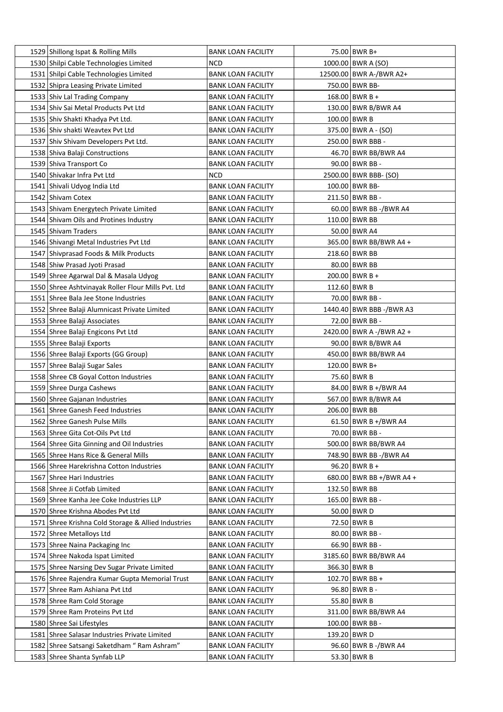| 1529 Shillong Ispat & Rolling Mills                 | <b>BANK LOAN FACILITY</b> | 75.00 BWR B+             |
|-----------------------------------------------------|---------------------------|--------------------------|
| 1530 Shilpi Cable Technologies Limited              | <b>NCD</b>                | 1000.00 BWR A (SO)       |
| 1531 Shilpi Cable Technologies Limited              | <b>BANK LOAN FACILITY</b> | 12500.00 BWR A-/BWR A2+  |
| 1532 Shipra Leasing Private Limited                 | <b>BANK LOAN FACILITY</b> | 750.00 BWR BB-           |
| 1533 Shiv Lal Trading Company                       | <b>BANK LOAN FACILITY</b> | $168.00$ BWR B +         |
| 1534 Shiv Sai Metal Products Pvt Ltd                | <b>BANK LOAN FACILITY</b> | 130.00 BWR B/BWR A4      |
| 1535 Shiv Shakti Khadya Pvt Ltd.                    | <b>BANK LOAN FACILITY</b> | 100.00 BWR B             |
| 1536 Shiv shakti Weavtex Pvt Ltd                    | <b>BANK LOAN FACILITY</b> | 375.00 BWR A - (SO)      |
| 1537 Shiv Shivam Developers Pvt Ltd.                | <b>BANK LOAN FACILITY</b> | 250.00 BWR BBB -         |
| 1538 Shiva Balaji Constructions                     | <b>BANK LOAN FACILITY</b> | 46.70 BWR BB/BWR A4      |
| 1539 Shiva Transport Co                             | <b>BANK LOAN FACILITY</b> | 90.00 BWR BB -           |
| 1540 Shivakar Infra Pvt Ltd                         | <b>NCD</b>                | 2500.00 BWR BBB- (SO)    |
| 1541 Shivali Udyog India Ltd                        | <b>BANK LOAN FACILITY</b> | 100.00 BWR BB-           |
| 1542 Shivam Cotex                                   | <b>BANK LOAN FACILITY</b> | 211.50 BWR BB -          |
| 1543 Shivam Energytech Private Limited              | <b>BANK LOAN FACILITY</b> | 60.00 BWR BB -/BWR A4    |
| 1544 Shivam Oils and Protines Industry              | <b>BANK LOAN FACILITY</b> | 110.00 BWR BB            |
| 1545 Shivam Traders                                 | <b>BANK LOAN FACILITY</b> | 50.00 BWR A4             |
| 1546 Shivangi Metal Industries Pvt Ltd              | <b>BANK LOAN FACILITY</b> | 365.00 BWR BB/BWR A4 +   |
| 1547 Shivprasad Foods & Milk Products               | <b>BANK LOAN FACILITY</b> | 218.60 BWR BB            |
| 1548 Shiw Prasad Jyoti Prasad                       | <b>BANK LOAN FACILITY</b> | 80.00 BWR BB             |
| 1549 Shree Agarwal Dal & Masala Udyog               | <b>BANK LOAN FACILITY</b> | $200.00$ BWR B +         |
| 1550 Shree Ashtvinayak Roller Flour Mills Pvt. Ltd  | <b>BANK LOAN FACILITY</b> | 112.60 BWR B             |
| 1551 Shree Bala Jee Stone Industries                | <b>BANK LOAN FACILITY</b> | 70.00 BWR BB -           |
| 1552 Shree Balaji Alumnicast Private Limited        | <b>BANK LOAN FACILITY</b> | 1440.40 BWR BBB -/BWR A3 |
| 1553 Shree Balaji Associates                        | <b>BANK LOAN FACILITY</b> | 72.00 BWR BB -           |
| 1554 Shree Balaji Engicons Pvt Ltd                  | BANK LOAN FACILITY        | 2420.00 BWR A -/BWR A2 + |
| 1555 Shree Balaji Exports                           | <b>BANK LOAN FACILITY</b> | 90.00 BWR B/BWR A4       |
| 1556 Shree Balaji Exports (GG Group)                | <b>BANK LOAN FACILITY</b> | 450.00 BWR BB/BWR A4     |
| 1557   Shree Balaji Sugar Sales                     | <b>BANK LOAN FACILITY</b> | 120.00 BWR B+            |
| 1558 Shree CB Goyal Cotton Industries               | <b>BANK LOAN FACILITY</b> | 75.60   BWR B            |
| 1559 Shree Durga Cashews                            | <b>BANK LOAN FACILITY</b> | 84.00 BWR B +/BWR A4     |
| 1560 Shree Gajanan Industries                       | <b>BANK LOAN FACILITY</b> | 567.00 BWR B/BWR A4      |
| 1561 Shree Ganesh Feed Industries                   | <b>BANK LOAN FACILITY</b> | 206.00 BWR BB            |
| 1562 Shree Ganesh Pulse Mills                       | <b>BANK LOAN FACILITY</b> | 61.50 BWR B +/BWR A4     |
| 1563 Shree Gita Cot-Oils Pvt Ltd                    | <b>BANK LOAN FACILITY</b> | 70.00 BWR BB -           |
| 1564 Shree Gita Ginning and Oil Industries          | <b>BANK LOAN FACILITY</b> | 500.00 BWR BB/BWR A4     |
| 1565 Shree Hans Rice & General Mills                | <b>BANK LOAN FACILITY</b> | 748.90 BWR BB -/BWR A4   |
| 1566 Shree Harekrishna Cotton Industries            | <b>BANK LOAN FACILITY</b> | 96.20   BWR B +          |
| 1567 Shree Hari Industries                          | <b>BANK LOAN FACILITY</b> | 680.00 BWR BB +/BWR A4 + |
| 1568 Shree Ji Cotfab Limited                        | <b>BANK LOAN FACILITY</b> | 132.50 BWR BB            |
| 1569 Shree Kanha Jee Coke Industries LLP            | <b>BANK LOAN FACILITY</b> | 165.00 BWR BB -          |
| 1570 Shree Krishna Abodes Pvt Ltd                   | <b>BANK LOAN FACILITY</b> | 50.00 BWR D              |
| 1571 Shree Krishna Cold Storage & Allied Industries | <b>BANK LOAN FACILITY</b> | 72.50 BWR B              |
| 1572 Shree Metalloys Ltd                            | <b>BANK LOAN FACILITY</b> | 80.00 BWR BB -           |
| 1573 Shree Naina Packaging Inc                      | <b>BANK LOAN FACILITY</b> | 66.90 BWR BB -           |
| 1574 Shree Nakoda Ispat Limited                     | <b>BANK LOAN FACILITY</b> | 3185.60 BWR BB/BWR A4    |
| 1575 Shree Narsing Dev Sugar Private Limited        | <b>BANK LOAN FACILITY</b> | 366.30 BWR B             |
| 1576 Shree Rajendra Kumar Gupta Memorial Trust      | <b>BANK LOAN FACILITY</b> | 102.70 BWR BB +          |
| 1577 Shree Ram Ashiana Pvt Ltd                      | <b>BANK LOAN FACILITY</b> | 96.80 BWR B -            |
| 1578 Shree Ram Cold Storage                         | <b>BANK LOAN FACILITY</b> | 55.80 BWR B              |
| 1579 Shree Ram Proteins Pvt Ltd                     | <b>BANK LOAN FACILITY</b> | 311.00 BWR BB/BWR A4     |
| 1580 Shree Sai Lifestyles                           | <b>BANK LOAN FACILITY</b> | 100.00 BWR BB -          |
| 1581 Shree Salasar Industries Private Limited       | <b>BANK LOAN FACILITY</b> | 139.20 BWR D             |
| 1582 Shree Satsangi Saketdham " Ram Ashram"         | <b>BANK LOAN FACILITY</b> | 96.60 BWR B -/BWR A4     |
| 1583 Shree Shanta Synfab LLP                        | <b>BANK LOAN FACILITY</b> | 53.30 BWR B              |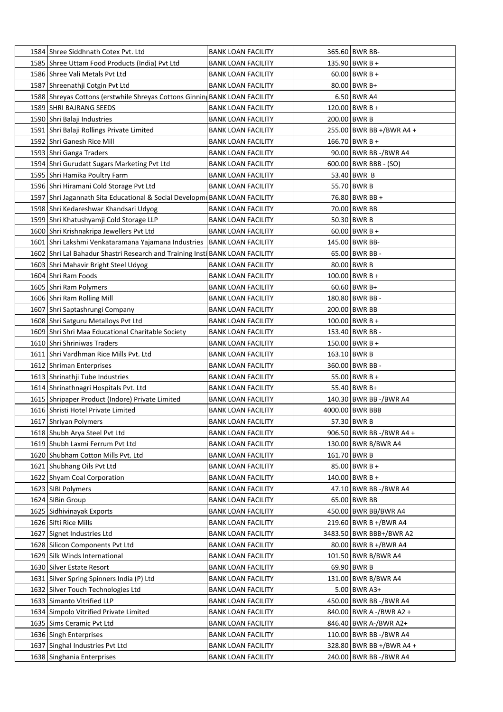| 1584 Shree Siddhnath Cotex Pvt. Ltd                                          | BANK LOAN FACILITY        | 365.60 BWR BB-           |
|------------------------------------------------------------------------------|---------------------------|--------------------------|
| 1585 Shree Uttam Food Products (India) Pvt Ltd                               | <b>BANK LOAN FACILITY</b> | 135.90 BWR B +           |
| 1586 Shree Vali Metals Pvt Ltd                                               | <b>BANK LOAN FACILITY</b> | $60.00$ BWR B +          |
| 1587 Shreenathji Cotgin Pvt Ltd                                              | <b>BANK LOAN FACILITY</b> | 80.00 BWR B+             |
| 1588 Shreyas Cottons (erstwhile Shreyas Cottons Ginnin BANK LOAN FACILITY    |                           | 6.50 BWR A4              |
| 1589 SHRI BAJRANG SEEDS                                                      | BANK LOAN FACILITY        | $120.00$ BWR B +         |
| 1590 Shri Balaji Industries                                                  | <b>BANK LOAN FACILITY</b> | 200.00 BWR B             |
| 1591 Shri Balaji Rollings Private Limited                                    | <b>BANK LOAN FACILITY</b> | 255.00 BWR BB +/BWR A4 + |
| 1592 Shri Ganesh Rice Mill                                                   | <b>BANK LOAN FACILITY</b> | 166.70 BWR B +           |
| 1593 Shri Ganga Traders                                                      | <b>BANK LOAN FACILITY</b> | 90.00 BWR BB -/BWR A4    |
| 1594 Shri Gurudatt Sugars Marketing Pvt Ltd                                  | <b>BANK LOAN FACILITY</b> | 600.00   BWR BBB - (SO)  |
| 1595 Shri Hamika Poultry Farm                                                | BANK LOAN FACILITY        | 53.40 BWR B              |
| 1596 Shri Hiramani Cold Storage Pvt Ltd                                      | <b>BANK LOAN FACILITY</b> | 55.70 BWR B              |
| 1597 Shri Jagannath Sita Educational & Social Developm BANK LOAN FACILITY    |                           | 76.80 BWR BB +           |
| 1598 Shri Kedareshwar Khandsari Udyog                                        | <b>BANK LOAN FACILITY</b> | 70.00 BWR BB             |
| 1599 Shri Khatushyamji Cold Storage LLP                                      | BANK LOAN FACILITY        | 50.30 BWR B              |
| 1600 Shri Krishnakripa Jewellers Pvt Ltd                                     | <b>BANK LOAN FACILITY</b> | $60.00$ BWR B +          |
| 1601 Shri Lakshmi Venkataramana Yajamana Industries                          | <b>BANK LOAN FACILITY</b> | 145.00 BWR BB-           |
| 1602 Shri Lal Bahadur Shastri Research and Training Insti BANK LOAN FACILITY |                           | 65.00 BWR BB -           |
| 1603 Shri Mahavir Bright Steel Udyog                                         | <b>BANK LOAN FACILITY</b> | 80.00 BWR B              |
| 1604 Shri Ram Foods                                                          | BANK LOAN FACILITY        | $100.00$ BWR B +         |
| 1605 Shri Ram Polymers                                                       | <b>BANK LOAN FACILITY</b> | $60.60$ BWR B+           |
| 1606 Shri Ram Rolling Mill                                                   | <b>BANK LOAN FACILITY</b> | 180.80 BWR BB -          |
| 1607 Shri Saptashrungi Company                                               | <b>BANK LOAN FACILITY</b> | 200.00 BWR BB            |
| 1608 Shri Satguru Metalloys Pvt Ltd                                          | <b>BANK LOAN FACILITY</b> | $100.00$ BWR B +         |
| 1609 Shri Shri Maa Educational Charitable Society                            | BANK LOAN FACILITY        | 153.40 BWR BB -          |
| 1610 Shri Shriniwas Traders                                                  | <b>BANK LOAN FACILITY</b> | 150.00 BWR B +           |
| 1611 Shri Vardhman Rice Mills Pvt. Ltd                                       | <b>BANK LOAN FACILITY</b> | 163.10 BWR B             |
| 1612 Shriman Enterprises                                                     | <b>BANK LOAN FACILITY</b> | 360.00 BWR BB -          |
| 1613   Shrinathji Tube Industries                                            | <b>BANK LOAN FACILITY</b> | 55.00 BWR B +            |
| 1614 Shrinathnagri Hospitals Pvt. Ltd                                        | <b>BANK LOAN FACILITY</b> | 55.40 BWR B+             |
| 1615 Shripaper Product (Indore) Private Limited                              | <b>BANK LOAN FACILITY</b> | 140.30 BWR BB -/BWR A4   |
| 1616 Shristi Hotel Private Limited                                           | <b>BANK LOAN FACILITY</b> | 4000.00 BWR BBB          |
| 1617 Shriyan Polymers                                                        | <b>BANK LOAN FACILITY</b> | 57.30 BWR B              |
| 1618 Shubh Arya Steel Pvt Ltd                                                | <b>BANK LOAN FACILITY</b> | 906.50 BWR BB -/BWR A4 + |
| 1619 Shubh Laxmi Ferrum Pvt Ltd                                              | <b>BANK LOAN FACILITY</b> | 130.00 BWR B/BWR A4      |
| 1620 Shubham Cotton Mills Pvt. Ltd                                           | <b>BANK LOAN FACILITY</b> | 161.70 BWR B             |
| 1621 Shubhang Oils Pvt Ltd                                                   | <b>BANK LOAN FACILITY</b> | $85.00$ BWR B +          |
| 1622 Shyam Coal Corporation                                                  | <b>BANK LOAN FACILITY</b> | 140.00 BWR B +           |
| 1623 SIBI Polymers                                                           | <b>BANK LOAN FACILITY</b> | 47.10 BWR BB -/BWR A4    |
| 1624 SIBin Group                                                             | <b>BANK LOAN FACILITY</b> | 65.00 BWR BB             |
| 1625 Sidhivinayak Exports                                                    | <b>BANK LOAN FACILITY</b> | 450.00 BWR BB/BWR A4     |
| 1626 Sifti Rice Mills                                                        | <b>BANK LOAN FACILITY</b> | 219.60 BWR B +/BWR A4    |
| 1627 Signet Industries Ltd                                                   | <b>BANK LOAN FACILITY</b> | 3483.50 BWR BBB+/BWR A2  |
| 1628 Silicon Components Pvt Ltd                                              | <b>BANK LOAN FACILITY</b> | 80.00 BWR B +/BWR A4     |
| 1629 Silk Winds International                                                | <b>BANK LOAN FACILITY</b> | 101.50 BWR B/BWR A4      |
| 1630 Silver Estate Resort                                                    | <b>BANK LOAN FACILITY</b> | 69.90 BWR B              |
| 1631 Silver Spring Spinners India (P) Ltd                                    | <b>BANK LOAN FACILITY</b> | 131.00 BWR B/BWR A4      |
| 1632 Silver Touch Technologies Ltd                                           | <b>BANK LOAN FACILITY</b> | $5.00$ BWR A3+           |
| 1633 Simanto Vitrified LLP                                                   | <b>BANK LOAN FACILITY</b> | 450.00 BWR BB -/BWR A4   |
| 1634 Simpolo Vitrified Private Limited                                       | <b>BANK LOAN FACILITY</b> | 840.00 BWR A -/BWR A2 +  |
| 1635 Sims Ceramic Pvt Ltd                                                    | <b>BANK LOAN FACILITY</b> | 846.40 BWR A-/BWR A2+    |
| 1636 Singh Enterprises                                                       | <b>BANK LOAN FACILITY</b> | 110.00 BWR BB -/BWR A4   |
| 1637 Singhal Industries Pvt Ltd                                              | <b>BANK LOAN FACILITY</b> | 328.80 BWR BB +/BWR A4 + |
| 1638 Singhania Enterprises                                                   | <b>BANK LOAN FACILITY</b> | 240.00 BWR BB -/BWR A4   |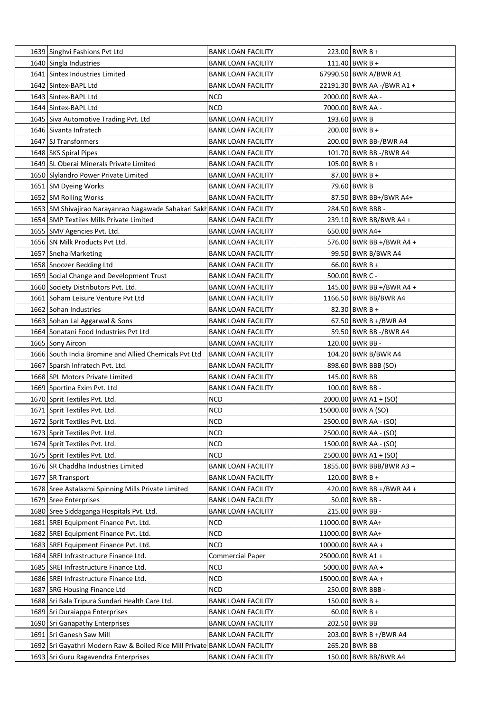| 1639 Singhvi Fashions Pvt Ltd                                              | <b>BANK LOAN FACILITY</b> | $223.00$ BWR B +           |
|----------------------------------------------------------------------------|---------------------------|----------------------------|
| 1640 Singla Industries                                                     | <b>BANK LOAN FACILITY</b> | 111.40 BWR B +             |
| 1641 Sintex Industries Limited                                             | <b>BANK LOAN FACILITY</b> | 67990.50 BWR A/BWR A1      |
| 1642 Sintex-BAPL Ltd                                                       | <b>BANK LOAN FACILITY</b> | 22191.30 BWR AA -/BWR A1 + |
| 1643 Sintex-BAPL Ltd                                                       | <b>NCD</b>                | 2000.00 BWR AA -           |
| 1644 Sintex-BAPL Ltd                                                       | <b>NCD</b>                | 7000.00 BWR AA -           |
| 1645 Siva Automotive Trading Pvt. Ltd                                      | <b>BANK LOAN FACILITY</b> | 193.60 BWR B               |
| 1646 Sivanta Infratech                                                     | <b>BANK LOAN FACILITY</b> | 200.00 BWR B +             |
| 1647 SJ Transformers                                                       | <b>BANK LOAN FACILITY</b> | 200.00 BWR BB-/BWR A4      |
| 1648 SKS Spiral Pipes                                                      | <b>BANK LOAN FACILITY</b> | 101.70 BWR BB -/BWR A4     |
| 1649 SL Oberai Minerals Private Limited                                    | <b>BANK LOAN FACILITY</b> | $105.00$ BWR B +           |
| 1650 Slylandro Power Private Limited                                       | <b>BANK LOAN FACILITY</b> | $87.00$ BWR B +            |
| 1651 SM Dyeing Works                                                       | <b>BANK LOAN FACILITY</b> | 79.60 BWR B                |
| 1652 SM Rolling Works                                                      | <b>BANK LOAN FACILITY</b> | 87.50 BWR BB+/BWR A4+      |
| 1653 SM Shivajirao Narayanrao Nagawade Sahakari Sakh BANK LOAN FACILITY    |                           | 284.50 BWR BBB -           |
| 1654 SMP Textiles Mills Private Limited                                    | <b>BANK LOAN FACILITY</b> | 239.10 BWR BB/BWR A4 +     |
| 1655 SMV Agencies Pvt. Ltd.                                                | <b>BANK LOAN FACILITY</b> | 650.00 BWR A4+             |
| 1656 SN Milk Products Pvt Ltd.                                             | <b>BANK LOAN FACILITY</b> | 576.00 BWR BB +/BWR A4 +   |
| 1657 Sneha Marketing                                                       | <b>BANK LOAN FACILITY</b> | 99.50 BWR B/BWR A4         |
| 1658 Snoozer Bedding Ltd                                                   | <b>BANK LOAN FACILITY</b> | $66.00$ BWR B +            |
|                                                                            |                           | 500.00 BWR C -             |
| 1659 Social Change and Development Trust                                   | <b>BANK LOAN FACILITY</b> |                            |
| 1660 Society Distributors Pvt. Ltd.                                        | <b>BANK LOAN FACILITY</b> | 145.00 BWR BB +/BWR A4 +   |
| 1661 Soham Leisure Venture Pvt Ltd                                         | <b>BANK LOAN FACILITY</b> | 1166.50 BWR BB/BWR A4      |
| 1662 Sohan Industries                                                      | <b>BANK LOAN FACILITY</b> | $82.30$ BWR B +            |
| 1663 Sohan Lal Aggarwal & Sons                                             | <b>BANK LOAN FACILITY</b> | 67.50 BWR B +/BWR A4       |
| 1664 Sonatani Food Industries Pvt Ltd                                      | <b>BANK LOAN FACILITY</b> | 59.50 BWR BB -/BWR A4      |
| 1665 Sony Aircon                                                           | <b>BANK LOAN FACILITY</b> | 120.00 BWR BB -            |
| 1666 South India Bromine and Allied Chemicals Pvt Ltd                      | <b>BANK LOAN FACILITY</b> | 104.20 BWR B/BWR A4        |
| 1667 Sparsh Infratech Pvt. Ltd.                                            | <b>BANK LOAN FACILITY</b> | 898.60 BWR BBB (SO)        |
| 1668 SPL Motors Private Limited                                            | <b>BANK LOAN FACILITY</b> | 145.00 BWR BB              |
| 1669 Sportina Exim Pvt. Ltd                                                | <b>BANK LOAN FACILITY</b> | 100.00 BWR BB -            |
| 1670 Sprit Textiles Pvt. Ltd.                                              | <b>NCD</b>                | $2000.00$ BWR A1 + (SO)    |
| 1671 Sprit Textiles Pvt. Ltd.                                              | <b>NCD</b>                | 15000.00 BWR A (SO)        |
| 1672 Sprit Textiles Pvt. Ltd.                                              | <b>NCD</b>                | 2500.00 BWR AA - (SO)      |
| 1673 Sprit Textiles Pvt. Ltd.                                              | <b>NCD</b>                | 2500.00 BWR AA - (SO)      |
| 1674 Sprit Textiles Pvt. Ltd.                                              | <b>NCD</b>                | 1500.00 BWR AA - (SO)      |
| 1675 Sprit Textiles Pvt. Ltd.                                              | <b>NCD</b>                | $2500.00$ BWR A1 + (SO)    |
| 1676 SR Chaddha Industries Limited                                         | <b>BANK LOAN FACILITY</b> | 1855.00 BWR BBB/BWR A3 +   |
| 1677 SR Transport                                                          | <b>BANK LOAN FACILITY</b> | $120.00$ BWR B +           |
| 1678 Sree Astalaxmi Spinning Mills Private Limited                         | <b>BANK LOAN FACILITY</b> | 420.00 BWR BB +/BWR A4 +   |
| 1679 Sree Enterprises                                                      | <b>BANK LOAN FACILITY</b> | 50.00 BWR BB -             |
| 1680 Sree Siddaganga Hospitals Pvt. Ltd.                                   | <b>BANK LOAN FACILITY</b> | 215.00 BWR BB -            |
| 1681 SREI Equipment Finance Pvt. Ltd.                                      | <b>NCD</b>                | 11000.00 BWR AA+           |
| 1682 SREI Equipment Finance Pvt. Ltd.                                      | <b>NCD</b>                | 11000.00 BWR AA+           |
| 1683 SREI Equipment Finance Pvt. Ltd.                                      | <b>NCD</b>                | 10000.00 BWR AA +          |
| 1684 SREI Infrastructure Finance Ltd.                                      | <b>Commercial Paper</b>   | 25000.00 BWR A1 +          |
| 1685   SREI Infrastructure Finance Ltd.                                    | <b>NCD</b>                | 5000.00 BWR AA +           |
| 1686   SREI Infrastructure Finance Ltd.                                    | <b>NCD</b>                | 15000.00 BWR AA +          |
| 1687 SRG Housing Finance Ltd                                               | <b>NCD</b>                | 250.00 BWR BBB -           |
| 1688 Sri Bala Tripura Sundari Health Care Ltd.                             | <b>BANK LOAN FACILITY</b> | $150.00$ BWR B +           |
| 1689 Sri Duraiappa Enterprises                                             | <b>BANK LOAN FACILITY</b> | $60.00$ BWR B +            |
| 1690 Sri Ganapathy Enterprises                                             | <b>BANK LOAN FACILITY</b> | 202.50 BWR BB              |
| 1691 Sri Ganesh Saw Mill                                                   | <b>BANK LOAN FACILITY</b> | 203.00 BWR B +/BWR A4      |
| 1692 Sri Gayathri Modern Raw & Boiled Rice Mill Private BANK LOAN FACILITY |                           | 265.20 BWR BB              |
| 1693   Sri Guru Ragavendra Enterprises                                     | <b>BANK LOAN FACILITY</b> | 150.00 BWR BB/BWR A4       |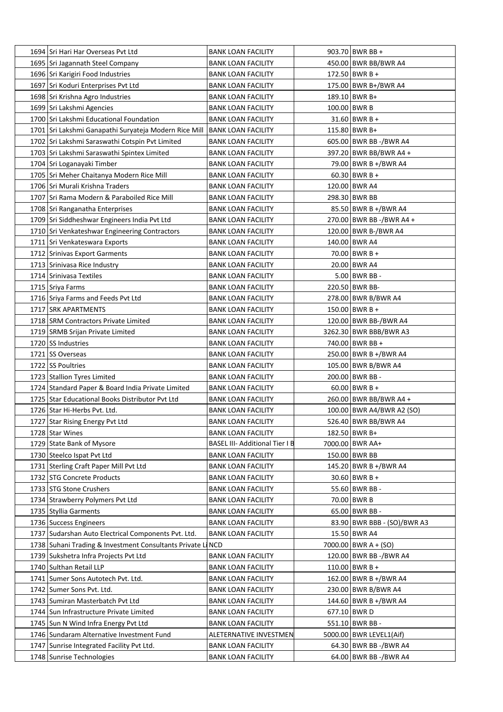| 1695 Sri Jagannath Steel Company<br>450.00 BWR BB/BWR A4<br><b>BANK LOAN FACILITY</b><br>$172.50$ BWR B +<br>1696 Sri Karigiri Food Industries<br><b>BANK LOAN FACILITY</b><br>1697 Sri Koduri Enterprises Pvt Ltd<br>175.00 BWR B+/BWR A4<br><b>BANK LOAN FACILITY</b><br>189.10 BWR B+<br>1698 Sri Krishna Agro Industries<br><b>BANK LOAN FACILITY</b><br>1699 Sri Lakshmi Agencies<br>100.00 BWR B<br><b>BANK LOAN FACILITY</b><br>1700 Sri Lakshmi Educational Foundation<br>$31.60$ BWR B +<br><b>BANK LOAN FACILITY</b><br>115.80 BWR B+<br>1701 Sri Lakshmi Ganapathi Suryateja Modern Rice Mill<br> BANK LOAN FACILITY<br>1702 Sri Lakshmi Saraswathi Cotspin Pvt Limited<br>605.00 BWR BB -/BWR A4<br><b>BANK LOAN FACILITY</b><br>1703 Sri Lakshmi Saraswathi Spintex Limited<br>397.20 BWR BB/BWR A4 +<br>BANK LOAN FACILITY<br>1704 Sri Loganayaki Timber<br>79.00 BWR B +/BWR A4<br><b>BANK LOAN FACILITY</b><br>1705 Sri Meher Chaitanya Modern Rice Mill<br>$60.30$ BWR B +<br>BANK LOAN FACILITY<br>1706 Sri Murali Krishna Traders<br>120.00 BWR A4<br><b>BANK LOAN FACILITY</b><br>1707 Sri Rama Modern & Paraboiled Rice Mill<br>298.30 BWR BB<br><b>BANK LOAN FACILITY</b><br>1708 Sri Ranganatha Enterprises<br><b>BANK LOAN FACILITY</b><br>85.50 BWR B +/BWR A4<br>1709 Sri Siddheshwar Engineers India Pvt Ltd<br>270.00 BWR BB -/BWR A4 +<br><b>BANK LOAN FACILITY</b><br>1710 Sri Venkateshwar Engineering Contractors<br>120.00 BWR B-/BWR A4<br>BANK LOAN FACILITY<br>1711 Sri Venkateswara Exports<br>140.00 BWR A4<br><b>BANK LOAN FACILITY</b><br>1712 Srinivas Export Garments<br>70.00 BWR B +<br><b>BANK LOAN FACILITY</b><br>20.00 BWR A4<br>1713 Srinivasa Rice Industry<br><b>BANK LOAN FACILITY</b><br>1714 Srinivasa Textiles<br>$5.00$ BWR BB -<br><b>BANK LOAN FACILITY</b><br>220.50 BWR BB-<br>1715 Sriya Farms<br>BANK LOAN FACILITY<br>1716 Sriya Farms and Feeds Pvt Ltd<br>278.00 BWR B/BWR A4<br><b>BANK LOAN FACILITY</b><br>1717 SRK APARTMENTS<br>$150.00$ BWR B +<br><b>BANK LOAN FACILITY</b><br>1718 SRM Contractors Private Limited<br>120.00 BWR BB-/BWR A4<br><b>BANK LOAN FACILITY</b><br>3262.30 BWR BBB/BWR A3<br>1719 SRMB Srijan Private Limited<br>BANK LOAN FACILITY<br>740.00 BWR BB +<br>1720 SS Industries<br><b>BANK LOAN FACILITY</b><br>1721 SS Overseas<br>250.00 BWR B +/BWR A4<br><b>BANK LOAN FACILITY</b><br>1722 SS Poultries<br>105.00 BWR B/BWR A4<br><b>BANK LOAN FACILITY</b><br>200.00 BWR BB -<br>1723 Stallion Tyres Limited<br><b>BANK LOAN FACILITY</b><br>1724 Standard Paper & Board India Private Limited<br>$60.00$ BWR B +<br><b>BANK LOAN FACILITY</b><br>1725 Star Educational Books Distributor Pyt Ltd<br>260.00 BWR BB/BWR A4 +<br><b>BANK LOAN FACILITY</b><br>100.00 BWR A4/BWR A2 (SO)<br>1726 Star Hi-Herbs Pvt. Ltd.<br><b>BANK LOAN FACILITY</b><br>526.40 BWR BB/BWR A4<br>1727 Star Rising Energy Pvt Ltd<br><b>BANK LOAN FACILITY</b><br>1728 Star Wines<br>182.50 BWR B+<br><b>BANK LOAN FACILITY</b><br>1729 State Bank of Mysore<br><b>BASEL III- Additional Tier I B</b><br>7000.00 BWR AA+<br>1730 Steelco Ispat Pvt Ltd<br>150.00 BWR BB<br><b>BANK LOAN FACILITY</b><br>1731 Sterling Craft Paper Mill Pvt Ltd<br>145.20 BWR B +/BWR A4<br><b>BANK LOAN FACILITY</b><br>1732 STG Concrete Products<br>$30.60$ BWR B +<br><b>BANK LOAN FACILITY</b><br>55.60 BWR BB -<br>1733 STG Stone Crushers<br><b>BANK LOAN FACILITY</b><br>70.00 BWR B<br>1734 Strawberry Polymers Pvt Ltd<br><b>BANK LOAN FACILITY</b><br>65.00 BWR BB -<br>1735 Styllia Garments<br><b>BANK LOAN FACILITY</b><br>1736 Success Engineers<br><b>BANK LOAN FACILITY</b><br>83.90 BWR BBB - (SO)/BWR A3<br>15.50 BWR A4<br>1737 Sudarshan Auto Electrical Components Pvt. Ltd.<br><b>BANK LOAN FACILITY</b><br>1738 Suhani Trading & Investment Consultants Private LINCD<br>$7000.00$   BWR A + (SO)<br>1739 Sukshetra Infra Projects Pvt Ltd<br>120.00 BWR BB -/BWR A4<br><b>BANK LOAN FACILITY</b><br>1740 Sulthan Retail LLP<br><b>BANK LOAN FACILITY</b><br>$110.00$ BWR B +<br>1741 Sumer Sons Autotech Pvt. Ltd.<br>162.00 BWR B +/BWR A4<br><b>BANK LOAN FACILITY</b><br>1742 Sumer Sons Pvt. Ltd.<br><b>BANK LOAN FACILITY</b><br>230.00 BWR B/BWR A4<br>1743 Sumiran Masterbatch Pvt Ltd<br>144.60 BWR B +/BWR A4<br><b>BANK LOAN FACILITY</b><br>677.10 BWR D<br>1744 Sun Infrastructure Private Limited<br><b>BANK LOAN FACILITY</b><br>551.10 BWR BB -<br>1745 Sun N Wind Infra Energy Pvt Ltd<br><b>BANK LOAN FACILITY</b><br>1746 Sundaram Alternative Investment Fund<br>5000.00   BWR LEVEL1(Aif)<br>ALETERNATIVE INVESTMEN<br>1747 Sunrise Integrated Facility Pvt Ltd.<br><b>BANK LOAN FACILITY</b><br>64.30 BWR BB -/BWR A4<br>1748 Sunrise Technologies<br>64.00 BWR BB -/BWR A4 | 1694 Sri Hari Har Overseas Pvt Ltd | <b>BANK LOAN FACILITY</b> | 903.70 BWR BB + |
|------------------------------------------------------------------------------------------------------------------------------------------------------------------------------------------------------------------------------------------------------------------------------------------------------------------------------------------------------------------------------------------------------------------------------------------------------------------------------------------------------------------------------------------------------------------------------------------------------------------------------------------------------------------------------------------------------------------------------------------------------------------------------------------------------------------------------------------------------------------------------------------------------------------------------------------------------------------------------------------------------------------------------------------------------------------------------------------------------------------------------------------------------------------------------------------------------------------------------------------------------------------------------------------------------------------------------------------------------------------------------------------------------------------------------------------------------------------------------------------------------------------------------------------------------------------------------------------------------------------------------------------------------------------------------------------------------------------------------------------------------------------------------------------------------------------------------------------------------------------------------------------------------------------------------------------------------------------------------------------------------------------------------------------------------------------------------------------------------------------------------------------------------------------------------------------------------------------------------------------------------------------------------------------------------------------------------------------------------------------------------------------------------------------------------------------------------------------------------------------------------------------------------------------------------------------------------------------------------------------------------------------------------------------------------------------------------------------------------------------------------------------------------------------------------------------------------------------------------------------------------------------------------------------------------------------------------------------------------------------------------------------------------------------------------------------------------------------------------------------------------------------------------------------------------------------------------------------------------------------------------------------------------------------------------------------------------------------------------------------------------------------------------------------------------------------------------------------------------------------------------------------------------------------------------------------------------------------------------------------------------------------------------------------------------------------------------------------------------------------------------------------------------------------------------------------------------------------------------------------------------------------------------------------------------------------------------------------------------------------------------------------------------------------------------------------------------------------------------------------------------------------------------------------------------------------------------------------------------------------------------------------------------------------------------------------------------------------------------------------------------------------------------------------------------------------------------------------------------------------------------------------------------------------------------------------------------------------------------------------------------------------------------------------------------------------------------------------------------------------------------------------------------------------|------------------------------------|---------------------------|-----------------|
|                                                                                                                                                                                                                                                                                                                                                                                                                                                                                                                                                                                                                                                                                                                                                                                                                                                                                                                                                                                                                                                                                                                                                                                                                                                                                                                                                                                                                                                                                                                                                                                                                                                                                                                                                                                                                                                                                                                                                                                                                                                                                                                                                                                                                                                                                                                                                                                                                                                                                                                                                                                                                                                                                                                                                                                                                                                                                                                                                                                                                                                                                                                                                                                                                                                                                                                                                                                                                                                                                                                                                                                                                                                                                                                                                                                                                                                                                                                                                                                                                                                                                                                                                                                                                                                                                                                                                                                                                                                                                                                                                                                                                                                                                                                                                                                          |                                    |                           |                 |
|                                                                                                                                                                                                                                                                                                                                                                                                                                                                                                                                                                                                                                                                                                                                                                                                                                                                                                                                                                                                                                                                                                                                                                                                                                                                                                                                                                                                                                                                                                                                                                                                                                                                                                                                                                                                                                                                                                                                                                                                                                                                                                                                                                                                                                                                                                                                                                                                                                                                                                                                                                                                                                                                                                                                                                                                                                                                                                                                                                                                                                                                                                                                                                                                                                                                                                                                                                                                                                                                                                                                                                                                                                                                                                                                                                                                                                                                                                                                                                                                                                                                                                                                                                                                                                                                                                                                                                                                                                                                                                                                                                                                                                                                                                                                                                                          |                                    |                           |                 |
|                                                                                                                                                                                                                                                                                                                                                                                                                                                                                                                                                                                                                                                                                                                                                                                                                                                                                                                                                                                                                                                                                                                                                                                                                                                                                                                                                                                                                                                                                                                                                                                                                                                                                                                                                                                                                                                                                                                                                                                                                                                                                                                                                                                                                                                                                                                                                                                                                                                                                                                                                                                                                                                                                                                                                                                                                                                                                                                                                                                                                                                                                                                                                                                                                                                                                                                                                                                                                                                                                                                                                                                                                                                                                                                                                                                                                                                                                                                                                                                                                                                                                                                                                                                                                                                                                                                                                                                                                                                                                                                                                                                                                                                                                                                                                                                          |                                    |                           |                 |
|                                                                                                                                                                                                                                                                                                                                                                                                                                                                                                                                                                                                                                                                                                                                                                                                                                                                                                                                                                                                                                                                                                                                                                                                                                                                                                                                                                                                                                                                                                                                                                                                                                                                                                                                                                                                                                                                                                                                                                                                                                                                                                                                                                                                                                                                                                                                                                                                                                                                                                                                                                                                                                                                                                                                                                                                                                                                                                                                                                                                                                                                                                                                                                                                                                                                                                                                                                                                                                                                                                                                                                                                                                                                                                                                                                                                                                                                                                                                                                                                                                                                                                                                                                                                                                                                                                                                                                                                                                                                                                                                                                                                                                                                                                                                                                                          |                                    |                           |                 |
|                                                                                                                                                                                                                                                                                                                                                                                                                                                                                                                                                                                                                                                                                                                                                                                                                                                                                                                                                                                                                                                                                                                                                                                                                                                                                                                                                                                                                                                                                                                                                                                                                                                                                                                                                                                                                                                                                                                                                                                                                                                                                                                                                                                                                                                                                                                                                                                                                                                                                                                                                                                                                                                                                                                                                                                                                                                                                                                                                                                                                                                                                                                                                                                                                                                                                                                                                                                                                                                                                                                                                                                                                                                                                                                                                                                                                                                                                                                                                                                                                                                                                                                                                                                                                                                                                                                                                                                                                                                                                                                                                                                                                                                                                                                                                                                          |                                    |                           |                 |
|                                                                                                                                                                                                                                                                                                                                                                                                                                                                                                                                                                                                                                                                                                                                                                                                                                                                                                                                                                                                                                                                                                                                                                                                                                                                                                                                                                                                                                                                                                                                                                                                                                                                                                                                                                                                                                                                                                                                                                                                                                                                                                                                                                                                                                                                                                                                                                                                                                                                                                                                                                                                                                                                                                                                                                                                                                                                                                                                                                                                                                                                                                                                                                                                                                                                                                                                                                                                                                                                                                                                                                                                                                                                                                                                                                                                                                                                                                                                                                                                                                                                                                                                                                                                                                                                                                                                                                                                                                                                                                                                                                                                                                                                                                                                                                                          |                                    |                           |                 |
|                                                                                                                                                                                                                                                                                                                                                                                                                                                                                                                                                                                                                                                                                                                                                                                                                                                                                                                                                                                                                                                                                                                                                                                                                                                                                                                                                                                                                                                                                                                                                                                                                                                                                                                                                                                                                                                                                                                                                                                                                                                                                                                                                                                                                                                                                                                                                                                                                                                                                                                                                                                                                                                                                                                                                                                                                                                                                                                                                                                                                                                                                                                                                                                                                                                                                                                                                                                                                                                                                                                                                                                                                                                                                                                                                                                                                                                                                                                                                                                                                                                                                                                                                                                                                                                                                                                                                                                                                                                                                                                                                                                                                                                                                                                                                                                          |                                    |                           |                 |
|                                                                                                                                                                                                                                                                                                                                                                                                                                                                                                                                                                                                                                                                                                                                                                                                                                                                                                                                                                                                                                                                                                                                                                                                                                                                                                                                                                                                                                                                                                                                                                                                                                                                                                                                                                                                                                                                                                                                                                                                                                                                                                                                                                                                                                                                                                                                                                                                                                                                                                                                                                                                                                                                                                                                                                                                                                                                                                                                                                                                                                                                                                                                                                                                                                                                                                                                                                                                                                                                                                                                                                                                                                                                                                                                                                                                                                                                                                                                                                                                                                                                                                                                                                                                                                                                                                                                                                                                                                                                                                                                                                                                                                                                                                                                                                                          |                                    |                           |                 |
|                                                                                                                                                                                                                                                                                                                                                                                                                                                                                                                                                                                                                                                                                                                                                                                                                                                                                                                                                                                                                                                                                                                                                                                                                                                                                                                                                                                                                                                                                                                                                                                                                                                                                                                                                                                                                                                                                                                                                                                                                                                                                                                                                                                                                                                                                                                                                                                                                                                                                                                                                                                                                                                                                                                                                                                                                                                                                                                                                                                                                                                                                                                                                                                                                                                                                                                                                                                                                                                                                                                                                                                                                                                                                                                                                                                                                                                                                                                                                                                                                                                                                                                                                                                                                                                                                                                                                                                                                                                                                                                                                                                                                                                                                                                                                                                          |                                    |                           |                 |
|                                                                                                                                                                                                                                                                                                                                                                                                                                                                                                                                                                                                                                                                                                                                                                                                                                                                                                                                                                                                                                                                                                                                                                                                                                                                                                                                                                                                                                                                                                                                                                                                                                                                                                                                                                                                                                                                                                                                                                                                                                                                                                                                                                                                                                                                                                                                                                                                                                                                                                                                                                                                                                                                                                                                                                                                                                                                                                                                                                                                                                                                                                                                                                                                                                                                                                                                                                                                                                                                                                                                                                                                                                                                                                                                                                                                                                                                                                                                                                                                                                                                                                                                                                                                                                                                                                                                                                                                                                                                                                                                                                                                                                                                                                                                                                                          |                                    |                           |                 |
|                                                                                                                                                                                                                                                                                                                                                                                                                                                                                                                                                                                                                                                                                                                                                                                                                                                                                                                                                                                                                                                                                                                                                                                                                                                                                                                                                                                                                                                                                                                                                                                                                                                                                                                                                                                                                                                                                                                                                                                                                                                                                                                                                                                                                                                                                                                                                                                                                                                                                                                                                                                                                                                                                                                                                                                                                                                                                                                                                                                                                                                                                                                                                                                                                                                                                                                                                                                                                                                                                                                                                                                                                                                                                                                                                                                                                                                                                                                                                                                                                                                                                                                                                                                                                                                                                                                                                                                                                                                                                                                                                                                                                                                                                                                                                                                          |                                    |                           |                 |
|                                                                                                                                                                                                                                                                                                                                                                                                                                                                                                                                                                                                                                                                                                                                                                                                                                                                                                                                                                                                                                                                                                                                                                                                                                                                                                                                                                                                                                                                                                                                                                                                                                                                                                                                                                                                                                                                                                                                                                                                                                                                                                                                                                                                                                                                                                                                                                                                                                                                                                                                                                                                                                                                                                                                                                                                                                                                                                                                                                                                                                                                                                                                                                                                                                                                                                                                                                                                                                                                                                                                                                                                                                                                                                                                                                                                                                                                                                                                                                                                                                                                                                                                                                                                                                                                                                                                                                                                                                                                                                                                                                                                                                                                                                                                                                                          |                                    |                           |                 |
|                                                                                                                                                                                                                                                                                                                                                                                                                                                                                                                                                                                                                                                                                                                                                                                                                                                                                                                                                                                                                                                                                                                                                                                                                                                                                                                                                                                                                                                                                                                                                                                                                                                                                                                                                                                                                                                                                                                                                                                                                                                                                                                                                                                                                                                                                                                                                                                                                                                                                                                                                                                                                                                                                                                                                                                                                                                                                                                                                                                                                                                                                                                                                                                                                                                                                                                                                                                                                                                                                                                                                                                                                                                                                                                                                                                                                                                                                                                                                                                                                                                                                                                                                                                                                                                                                                                                                                                                                                                                                                                                                                                                                                                                                                                                                                                          |                                    |                           |                 |
|                                                                                                                                                                                                                                                                                                                                                                                                                                                                                                                                                                                                                                                                                                                                                                                                                                                                                                                                                                                                                                                                                                                                                                                                                                                                                                                                                                                                                                                                                                                                                                                                                                                                                                                                                                                                                                                                                                                                                                                                                                                                                                                                                                                                                                                                                                                                                                                                                                                                                                                                                                                                                                                                                                                                                                                                                                                                                                                                                                                                                                                                                                                                                                                                                                                                                                                                                                                                                                                                                                                                                                                                                                                                                                                                                                                                                                                                                                                                                                                                                                                                                                                                                                                                                                                                                                                                                                                                                                                                                                                                                                                                                                                                                                                                                                                          |                                    |                           |                 |
|                                                                                                                                                                                                                                                                                                                                                                                                                                                                                                                                                                                                                                                                                                                                                                                                                                                                                                                                                                                                                                                                                                                                                                                                                                                                                                                                                                                                                                                                                                                                                                                                                                                                                                                                                                                                                                                                                                                                                                                                                                                                                                                                                                                                                                                                                                                                                                                                                                                                                                                                                                                                                                                                                                                                                                                                                                                                                                                                                                                                                                                                                                                                                                                                                                                                                                                                                                                                                                                                                                                                                                                                                                                                                                                                                                                                                                                                                                                                                                                                                                                                                                                                                                                                                                                                                                                                                                                                                                                                                                                                                                                                                                                                                                                                                                                          |                                    |                           |                 |
|                                                                                                                                                                                                                                                                                                                                                                                                                                                                                                                                                                                                                                                                                                                                                                                                                                                                                                                                                                                                                                                                                                                                                                                                                                                                                                                                                                                                                                                                                                                                                                                                                                                                                                                                                                                                                                                                                                                                                                                                                                                                                                                                                                                                                                                                                                                                                                                                                                                                                                                                                                                                                                                                                                                                                                                                                                                                                                                                                                                                                                                                                                                                                                                                                                                                                                                                                                                                                                                                                                                                                                                                                                                                                                                                                                                                                                                                                                                                                                                                                                                                                                                                                                                                                                                                                                                                                                                                                                                                                                                                                                                                                                                                                                                                                                                          |                                    |                           |                 |
|                                                                                                                                                                                                                                                                                                                                                                                                                                                                                                                                                                                                                                                                                                                                                                                                                                                                                                                                                                                                                                                                                                                                                                                                                                                                                                                                                                                                                                                                                                                                                                                                                                                                                                                                                                                                                                                                                                                                                                                                                                                                                                                                                                                                                                                                                                                                                                                                                                                                                                                                                                                                                                                                                                                                                                                                                                                                                                                                                                                                                                                                                                                                                                                                                                                                                                                                                                                                                                                                                                                                                                                                                                                                                                                                                                                                                                                                                                                                                                                                                                                                                                                                                                                                                                                                                                                                                                                                                                                                                                                                                                                                                                                                                                                                                                                          |                                    |                           |                 |
|                                                                                                                                                                                                                                                                                                                                                                                                                                                                                                                                                                                                                                                                                                                                                                                                                                                                                                                                                                                                                                                                                                                                                                                                                                                                                                                                                                                                                                                                                                                                                                                                                                                                                                                                                                                                                                                                                                                                                                                                                                                                                                                                                                                                                                                                                                                                                                                                                                                                                                                                                                                                                                                                                                                                                                                                                                                                                                                                                                                                                                                                                                                                                                                                                                                                                                                                                                                                                                                                                                                                                                                                                                                                                                                                                                                                                                                                                                                                                                                                                                                                                                                                                                                                                                                                                                                                                                                                                                                                                                                                                                                                                                                                                                                                                                                          |                                    |                           |                 |
|                                                                                                                                                                                                                                                                                                                                                                                                                                                                                                                                                                                                                                                                                                                                                                                                                                                                                                                                                                                                                                                                                                                                                                                                                                                                                                                                                                                                                                                                                                                                                                                                                                                                                                                                                                                                                                                                                                                                                                                                                                                                                                                                                                                                                                                                                                                                                                                                                                                                                                                                                                                                                                                                                                                                                                                                                                                                                                                                                                                                                                                                                                                                                                                                                                                                                                                                                                                                                                                                                                                                                                                                                                                                                                                                                                                                                                                                                                                                                                                                                                                                                                                                                                                                                                                                                                                                                                                                                                                                                                                                                                                                                                                                                                                                                                                          |                                    |                           |                 |
|                                                                                                                                                                                                                                                                                                                                                                                                                                                                                                                                                                                                                                                                                                                                                                                                                                                                                                                                                                                                                                                                                                                                                                                                                                                                                                                                                                                                                                                                                                                                                                                                                                                                                                                                                                                                                                                                                                                                                                                                                                                                                                                                                                                                                                                                                                                                                                                                                                                                                                                                                                                                                                                                                                                                                                                                                                                                                                                                                                                                                                                                                                                                                                                                                                                                                                                                                                                                                                                                                                                                                                                                                                                                                                                                                                                                                                                                                                                                                                                                                                                                                                                                                                                                                                                                                                                                                                                                                                                                                                                                                                                                                                                                                                                                                                                          |                                    |                           |                 |
|                                                                                                                                                                                                                                                                                                                                                                                                                                                                                                                                                                                                                                                                                                                                                                                                                                                                                                                                                                                                                                                                                                                                                                                                                                                                                                                                                                                                                                                                                                                                                                                                                                                                                                                                                                                                                                                                                                                                                                                                                                                                                                                                                                                                                                                                                                                                                                                                                                                                                                                                                                                                                                                                                                                                                                                                                                                                                                                                                                                                                                                                                                                                                                                                                                                                                                                                                                                                                                                                                                                                                                                                                                                                                                                                                                                                                                                                                                                                                                                                                                                                                                                                                                                                                                                                                                                                                                                                                                                                                                                                                                                                                                                                                                                                                                                          |                                    |                           |                 |
|                                                                                                                                                                                                                                                                                                                                                                                                                                                                                                                                                                                                                                                                                                                                                                                                                                                                                                                                                                                                                                                                                                                                                                                                                                                                                                                                                                                                                                                                                                                                                                                                                                                                                                                                                                                                                                                                                                                                                                                                                                                                                                                                                                                                                                                                                                                                                                                                                                                                                                                                                                                                                                                                                                                                                                                                                                                                                                                                                                                                                                                                                                                                                                                                                                                                                                                                                                                                                                                                                                                                                                                                                                                                                                                                                                                                                                                                                                                                                                                                                                                                                                                                                                                                                                                                                                                                                                                                                                                                                                                                                                                                                                                                                                                                                                                          |                                    |                           |                 |
|                                                                                                                                                                                                                                                                                                                                                                                                                                                                                                                                                                                                                                                                                                                                                                                                                                                                                                                                                                                                                                                                                                                                                                                                                                                                                                                                                                                                                                                                                                                                                                                                                                                                                                                                                                                                                                                                                                                                                                                                                                                                                                                                                                                                                                                                                                                                                                                                                                                                                                                                                                                                                                                                                                                                                                                                                                                                                                                                                                                                                                                                                                                                                                                                                                                                                                                                                                                                                                                                                                                                                                                                                                                                                                                                                                                                                                                                                                                                                                                                                                                                                                                                                                                                                                                                                                                                                                                                                                                                                                                                                                                                                                                                                                                                                                                          |                                    |                           |                 |
|                                                                                                                                                                                                                                                                                                                                                                                                                                                                                                                                                                                                                                                                                                                                                                                                                                                                                                                                                                                                                                                                                                                                                                                                                                                                                                                                                                                                                                                                                                                                                                                                                                                                                                                                                                                                                                                                                                                                                                                                                                                                                                                                                                                                                                                                                                                                                                                                                                                                                                                                                                                                                                                                                                                                                                                                                                                                                                                                                                                                                                                                                                                                                                                                                                                                                                                                                                                                                                                                                                                                                                                                                                                                                                                                                                                                                                                                                                                                                                                                                                                                                                                                                                                                                                                                                                                                                                                                                                                                                                                                                                                                                                                                                                                                                                                          |                                    |                           |                 |
|                                                                                                                                                                                                                                                                                                                                                                                                                                                                                                                                                                                                                                                                                                                                                                                                                                                                                                                                                                                                                                                                                                                                                                                                                                                                                                                                                                                                                                                                                                                                                                                                                                                                                                                                                                                                                                                                                                                                                                                                                                                                                                                                                                                                                                                                                                                                                                                                                                                                                                                                                                                                                                                                                                                                                                                                                                                                                                                                                                                                                                                                                                                                                                                                                                                                                                                                                                                                                                                                                                                                                                                                                                                                                                                                                                                                                                                                                                                                                                                                                                                                                                                                                                                                                                                                                                                                                                                                                                                                                                                                                                                                                                                                                                                                                                                          |                                    |                           |                 |
|                                                                                                                                                                                                                                                                                                                                                                                                                                                                                                                                                                                                                                                                                                                                                                                                                                                                                                                                                                                                                                                                                                                                                                                                                                                                                                                                                                                                                                                                                                                                                                                                                                                                                                                                                                                                                                                                                                                                                                                                                                                                                                                                                                                                                                                                                                                                                                                                                                                                                                                                                                                                                                                                                                                                                                                                                                                                                                                                                                                                                                                                                                                                                                                                                                                                                                                                                                                                                                                                                                                                                                                                                                                                                                                                                                                                                                                                                                                                                                                                                                                                                                                                                                                                                                                                                                                                                                                                                                                                                                                                                                                                                                                                                                                                                                                          |                                    |                           |                 |
|                                                                                                                                                                                                                                                                                                                                                                                                                                                                                                                                                                                                                                                                                                                                                                                                                                                                                                                                                                                                                                                                                                                                                                                                                                                                                                                                                                                                                                                                                                                                                                                                                                                                                                                                                                                                                                                                                                                                                                                                                                                                                                                                                                                                                                                                                                                                                                                                                                                                                                                                                                                                                                                                                                                                                                                                                                                                                                                                                                                                                                                                                                                                                                                                                                                                                                                                                                                                                                                                                                                                                                                                                                                                                                                                                                                                                                                                                                                                                                                                                                                                                                                                                                                                                                                                                                                                                                                                                                                                                                                                                                                                                                                                                                                                                                                          |                                    |                           |                 |
|                                                                                                                                                                                                                                                                                                                                                                                                                                                                                                                                                                                                                                                                                                                                                                                                                                                                                                                                                                                                                                                                                                                                                                                                                                                                                                                                                                                                                                                                                                                                                                                                                                                                                                                                                                                                                                                                                                                                                                                                                                                                                                                                                                                                                                                                                                                                                                                                                                                                                                                                                                                                                                                                                                                                                                                                                                                                                                                                                                                                                                                                                                                                                                                                                                                                                                                                                                                                                                                                                                                                                                                                                                                                                                                                                                                                                                                                                                                                                                                                                                                                                                                                                                                                                                                                                                                                                                                                                                                                                                                                                                                                                                                                                                                                                                                          |                                    |                           |                 |
|                                                                                                                                                                                                                                                                                                                                                                                                                                                                                                                                                                                                                                                                                                                                                                                                                                                                                                                                                                                                                                                                                                                                                                                                                                                                                                                                                                                                                                                                                                                                                                                                                                                                                                                                                                                                                                                                                                                                                                                                                                                                                                                                                                                                                                                                                                                                                                                                                                                                                                                                                                                                                                                                                                                                                                                                                                                                                                                                                                                                                                                                                                                                                                                                                                                                                                                                                                                                                                                                                                                                                                                                                                                                                                                                                                                                                                                                                                                                                                                                                                                                                                                                                                                                                                                                                                                                                                                                                                                                                                                                                                                                                                                                                                                                                                                          |                                    |                           |                 |
|                                                                                                                                                                                                                                                                                                                                                                                                                                                                                                                                                                                                                                                                                                                                                                                                                                                                                                                                                                                                                                                                                                                                                                                                                                                                                                                                                                                                                                                                                                                                                                                                                                                                                                                                                                                                                                                                                                                                                                                                                                                                                                                                                                                                                                                                                                                                                                                                                                                                                                                                                                                                                                                                                                                                                                                                                                                                                                                                                                                                                                                                                                                                                                                                                                                                                                                                                                                                                                                                                                                                                                                                                                                                                                                                                                                                                                                                                                                                                                                                                                                                                                                                                                                                                                                                                                                                                                                                                                                                                                                                                                                                                                                                                                                                                                                          |                                    |                           |                 |
|                                                                                                                                                                                                                                                                                                                                                                                                                                                                                                                                                                                                                                                                                                                                                                                                                                                                                                                                                                                                                                                                                                                                                                                                                                                                                                                                                                                                                                                                                                                                                                                                                                                                                                                                                                                                                                                                                                                                                                                                                                                                                                                                                                                                                                                                                                                                                                                                                                                                                                                                                                                                                                                                                                                                                                                                                                                                                                                                                                                                                                                                                                                                                                                                                                                                                                                                                                                                                                                                                                                                                                                                                                                                                                                                                                                                                                                                                                                                                                                                                                                                                                                                                                                                                                                                                                                                                                                                                                                                                                                                                                                                                                                                                                                                                                                          |                                    |                           |                 |
|                                                                                                                                                                                                                                                                                                                                                                                                                                                                                                                                                                                                                                                                                                                                                                                                                                                                                                                                                                                                                                                                                                                                                                                                                                                                                                                                                                                                                                                                                                                                                                                                                                                                                                                                                                                                                                                                                                                                                                                                                                                                                                                                                                                                                                                                                                                                                                                                                                                                                                                                                                                                                                                                                                                                                                                                                                                                                                                                                                                                                                                                                                                                                                                                                                                                                                                                                                                                                                                                                                                                                                                                                                                                                                                                                                                                                                                                                                                                                                                                                                                                                                                                                                                                                                                                                                                                                                                                                                                                                                                                                                                                                                                                                                                                                                                          |                                    |                           |                 |
|                                                                                                                                                                                                                                                                                                                                                                                                                                                                                                                                                                                                                                                                                                                                                                                                                                                                                                                                                                                                                                                                                                                                                                                                                                                                                                                                                                                                                                                                                                                                                                                                                                                                                                                                                                                                                                                                                                                                                                                                                                                                                                                                                                                                                                                                                                                                                                                                                                                                                                                                                                                                                                                                                                                                                                                                                                                                                                                                                                                                                                                                                                                                                                                                                                                                                                                                                                                                                                                                                                                                                                                                                                                                                                                                                                                                                                                                                                                                                                                                                                                                                                                                                                                                                                                                                                                                                                                                                                                                                                                                                                                                                                                                                                                                                                                          |                                    |                           |                 |
|                                                                                                                                                                                                                                                                                                                                                                                                                                                                                                                                                                                                                                                                                                                                                                                                                                                                                                                                                                                                                                                                                                                                                                                                                                                                                                                                                                                                                                                                                                                                                                                                                                                                                                                                                                                                                                                                                                                                                                                                                                                                                                                                                                                                                                                                                                                                                                                                                                                                                                                                                                                                                                                                                                                                                                                                                                                                                                                                                                                                                                                                                                                                                                                                                                                                                                                                                                                                                                                                                                                                                                                                                                                                                                                                                                                                                                                                                                                                                                                                                                                                                                                                                                                                                                                                                                                                                                                                                                                                                                                                                                                                                                                                                                                                                                                          |                                    |                           |                 |
|                                                                                                                                                                                                                                                                                                                                                                                                                                                                                                                                                                                                                                                                                                                                                                                                                                                                                                                                                                                                                                                                                                                                                                                                                                                                                                                                                                                                                                                                                                                                                                                                                                                                                                                                                                                                                                                                                                                                                                                                                                                                                                                                                                                                                                                                                                                                                                                                                                                                                                                                                                                                                                                                                                                                                                                                                                                                                                                                                                                                                                                                                                                                                                                                                                                                                                                                                                                                                                                                                                                                                                                                                                                                                                                                                                                                                                                                                                                                                                                                                                                                                                                                                                                                                                                                                                                                                                                                                                                                                                                                                                                                                                                                                                                                                                                          |                                    |                           |                 |
|                                                                                                                                                                                                                                                                                                                                                                                                                                                                                                                                                                                                                                                                                                                                                                                                                                                                                                                                                                                                                                                                                                                                                                                                                                                                                                                                                                                                                                                                                                                                                                                                                                                                                                                                                                                                                                                                                                                                                                                                                                                                                                                                                                                                                                                                                                                                                                                                                                                                                                                                                                                                                                                                                                                                                                                                                                                                                                                                                                                                                                                                                                                                                                                                                                                                                                                                                                                                                                                                                                                                                                                                                                                                                                                                                                                                                                                                                                                                                                                                                                                                                                                                                                                                                                                                                                                                                                                                                                                                                                                                                                                                                                                                                                                                                                                          |                                    |                           |                 |
|                                                                                                                                                                                                                                                                                                                                                                                                                                                                                                                                                                                                                                                                                                                                                                                                                                                                                                                                                                                                                                                                                                                                                                                                                                                                                                                                                                                                                                                                                                                                                                                                                                                                                                                                                                                                                                                                                                                                                                                                                                                                                                                                                                                                                                                                                                                                                                                                                                                                                                                                                                                                                                                                                                                                                                                                                                                                                                                                                                                                                                                                                                                                                                                                                                                                                                                                                                                                                                                                                                                                                                                                                                                                                                                                                                                                                                                                                                                                                                                                                                                                                                                                                                                                                                                                                                                                                                                                                                                                                                                                                                                                                                                                                                                                                                                          |                                    |                           |                 |
|                                                                                                                                                                                                                                                                                                                                                                                                                                                                                                                                                                                                                                                                                                                                                                                                                                                                                                                                                                                                                                                                                                                                                                                                                                                                                                                                                                                                                                                                                                                                                                                                                                                                                                                                                                                                                                                                                                                                                                                                                                                                                                                                                                                                                                                                                                                                                                                                                                                                                                                                                                                                                                                                                                                                                                                                                                                                                                                                                                                                                                                                                                                                                                                                                                                                                                                                                                                                                                                                                                                                                                                                                                                                                                                                                                                                                                                                                                                                                                                                                                                                                                                                                                                                                                                                                                                                                                                                                                                                                                                                                                                                                                                                                                                                                                                          |                                    |                           |                 |
|                                                                                                                                                                                                                                                                                                                                                                                                                                                                                                                                                                                                                                                                                                                                                                                                                                                                                                                                                                                                                                                                                                                                                                                                                                                                                                                                                                                                                                                                                                                                                                                                                                                                                                                                                                                                                                                                                                                                                                                                                                                                                                                                                                                                                                                                                                                                                                                                                                                                                                                                                                                                                                                                                                                                                                                                                                                                                                                                                                                                                                                                                                                                                                                                                                                                                                                                                                                                                                                                                                                                                                                                                                                                                                                                                                                                                                                                                                                                                                                                                                                                                                                                                                                                                                                                                                                                                                                                                                                                                                                                                                                                                                                                                                                                                                                          |                                    |                           |                 |
|                                                                                                                                                                                                                                                                                                                                                                                                                                                                                                                                                                                                                                                                                                                                                                                                                                                                                                                                                                                                                                                                                                                                                                                                                                                                                                                                                                                                                                                                                                                                                                                                                                                                                                                                                                                                                                                                                                                                                                                                                                                                                                                                                                                                                                                                                                                                                                                                                                                                                                                                                                                                                                                                                                                                                                                                                                                                                                                                                                                                                                                                                                                                                                                                                                                                                                                                                                                                                                                                                                                                                                                                                                                                                                                                                                                                                                                                                                                                                                                                                                                                                                                                                                                                                                                                                                                                                                                                                                                                                                                                                                                                                                                                                                                                                                                          |                                    |                           |                 |
|                                                                                                                                                                                                                                                                                                                                                                                                                                                                                                                                                                                                                                                                                                                                                                                                                                                                                                                                                                                                                                                                                                                                                                                                                                                                                                                                                                                                                                                                                                                                                                                                                                                                                                                                                                                                                                                                                                                                                                                                                                                                                                                                                                                                                                                                                                                                                                                                                                                                                                                                                                                                                                                                                                                                                                                                                                                                                                                                                                                                                                                                                                                                                                                                                                                                                                                                                                                                                                                                                                                                                                                                                                                                                                                                                                                                                                                                                                                                                                                                                                                                                                                                                                                                                                                                                                                                                                                                                                                                                                                                                                                                                                                                                                                                                                                          |                                    |                           |                 |
|                                                                                                                                                                                                                                                                                                                                                                                                                                                                                                                                                                                                                                                                                                                                                                                                                                                                                                                                                                                                                                                                                                                                                                                                                                                                                                                                                                                                                                                                                                                                                                                                                                                                                                                                                                                                                                                                                                                                                                                                                                                                                                                                                                                                                                                                                                                                                                                                                                                                                                                                                                                                                                                                                                                                                                                                                                                                                                                                                                                                                                                                                                                                                                                                                                                                                                                                                                                                                                                                                                                                                                                                                                                                                                                                                                                                                                                                                                                                                                                                                                                                                                                                                                                                                                                                                                                                                                                                                                                                                                                                                                                                                                                                                                                                                                                          |                                    |                           |                 |
|                                                                                                                                                                                                                                                                                                                                                                                                                                                                                                                                                                                                                                                                                                                                                                                                                                                                                                                                                                                                                                                                                                                                                                                                                                                                                                                                                                                                                                                                                                                                                                                                                                                                                                                                                                                                                                                                                                                                                                                                                                                                                                                                                                                                                                                                                                                                                                                                                                                                                                                                                                                                                                                                                                                                                                                                                                                                                                                                                                                                                                                                                                                                                                                                                                                                                                                                                                                                                                                                                                                                                                                                                                                                                                                                                                                                                                                                                                                                                                                                                                                                                                                                                                                                                                                                                                                                                                                                                                                                                                                                                                                                                                                                                                                                                                                          |                                    |                           |                 |
|                                                                                                                                                                                                                                                                                                                                                                                                                                                                                                                                                                                                                                                                                                                                                                                                                                                                                                                                                                                                                                                                                                                                                                                                                                                                                                                                                                                                                                                                                                                                                                                                                                                                                                                                                                                                                                                                                                                                                                                                                                                                                                                                                                                                                                                                                                                                                                                                                                                                                                                                                                                                                                                                                                                                                                                                                                                                                                                                                                                                                                                                                                                                                                                                                                                                                                                                                                                                                                                                                                                                                                                                                                                                                                                                                                                                                                                                                                                                                                                                                                                                                                                                                                                                                                                                                                                                                                                                                                                                                                                                                                                                                                                                                                                                                                                          |                                    |                           |                 |
|                                                                                                                                                                                                                                                                                                                                                                                                                                                                                                                                                                                                                                                                                                                                                                                                                                                                                                                                                                                                                                                                                                                                                                                                                                                                                                                                                                                                                                                                                                                                                                                                                                                                                                                                                                                                                                                                                                                                                                                                                                                                                                                                                                                                                                                                                                                                                                                                                                                                                                                                                                                                                                                                                                                                                                                                                                                                                                                                                                                                                                                                                                                                                                                                                                                                                                                                                                                                                                                                                                                                                                                                                                                                                                                                                                                                                                                                                                                                                                                                                                                                                                                                                                                                                                                                                                                                                                                                                                                                                                                                                                                                                                                                                                                                                                                          |                                    |                           |                 |
|                                                                                                                                                                                                                                                                                                                                                                                                                                                                                                                                                                                                                                                                                                                                                                                                                                                                                                                                                                                                                                                                                                                                                                                                                                                                                                                                                                                                                                                                                                                                                                                                                                                                                                                                                                                                                                                                                                                                                                                                                                                                                                                                                                                                                                                                                                                                                                                                                                                                                                                                                                                                                                                                                                                                                                                                                                                                                                                                                                                                                                                                                                                                                                                                                                                                                                                                                                                                                                                                                                                                                                                                                                                                                                                                                                                                                                                                                                                                                                                                                                                                                                                                                                                                                                                                                                                                                                                                                                                                                                                                                                                                                                                                                                                                                                                          |                                    |                           |                 |
|                                                                                                                                                                                                                                                                                                                                                                                                                                                                                                                                                                                                                                                                                                                                                                                                                                                                                                                                                                                                                                                                                                                                                                                                                                                                                                                                                                                                                                                                                                                                                                                                                                                                                                                                                                                                                                                                                                                                                                                                                                                                                                                                                                                                                                                                                                                                                                                                                                                                                                                                                                                                                                                                                                                                                                                                                                                                                                                                                                                                                                                                                                                                                                                                                                                                                                                                                                                                                                                                                                                                                                                                                                                                                                                                                                                                                                                                                                                                                                                                                                                                                                                                                                                                                                                                                                                                                                                                                                                                                                                                                                                                                                                                                                                                                                                          |                                    |                           |                 |
|                                                                                                                                                                                                                                                                                                                                                                                                                                                                                                                                                                                                                                                                                                                                                                                                                                                                                                                                                                                                                                                                                                                                                                                                                                                                                                                                                                                                                                                                                                                                                                                                                                                                                                                                                                                                                                                                                                                                                                                                                                                                                                                                                                                                                                                                                                                                                                                                                                                                                                                                                                                                                                                                                                                                                                                                                                                                                                                                                                                                                                                                                                                                                                                                                                                                                                                                                                                                                                                                                                                                                                                                                                                                                                                                                                                                                                                                                                                                                                                                                                                                                                                                                                                                                                                                                                                                                                                                                                                                                                                                                                                                                                                                                                                                                                                          |                                    |                           |                 |
|                                                                                                                                                                                                                                                                                                                                                                                                                                                                                                                                                                                                                                                                                                                                                                                                                                                                                                                                                                                                                                                                                                                                                                                                                                                                                                                                                                                                                                                                                                                                                                                                                                                                                                                                                                                                                                                                                                                                                                                                                                                                                                                                                                                                                                                                                                                                                                                                                                                                                                                                                                                                                                                                                                                                                                                                                                                                                                                                                                                                                                                                                                                                                                                                                                                                                                                                                                                                                                                                                                                                                                                                                                                                                                                                                                                                                                                                                                                                                                                                                                                                                                                                                                                                                                                                                                                                                                                                                                                                                                                                                                                                                                                                                                                                                                                          |                                    |                           |                 |
|                                                                                                                                                                                                                                                                                                                                                                                                                                                                                                                                                                                                                                                                                                                                                                                                                                                                                                                                                                                                                                                                                                                                                                                                                                                                                                                                                                                                                                                                                                                                                                                                                                                                                                                                                                                                                                                                                                                                                                                                                                                                                                                                                                                                                                                                                                                                                                                                                                                                                                                                                                                                                                                                                                                                                                                                                                                                                                                                                                                                                                                                                                                                                                                                                                                                                                                                                                                                                                                                                                                                                                                                                                                                                                                                                                                                                                                                                                                                                                                                                                                                                                                                                                                                                                                                                                                                                                                                                                                                                                                                                                                                                                                                                                                                                                                          |                                    |                           |                 |
|                                                                                                                                                                                                                                                                                                                                                                                                                                                                                                                                                                                                                                                                                                                                                                                                                                                                                                                                                                                                                                                                                                                                                                                                                                                                                                                                                                                                                                                                                                                                                                                                                                                                                                                                                                                                                                                                                                                                                                                                                                                                                                                                                                                                                                                                                                                                                                                                                                                                                                                                                                                                                                                                                                                                                                                                                                                                                                                                                                                                                                                                                                                                                                                                                                                                                                                                                                                                                                                                                                                                                                                                                                                                                                                                                                                                                                                                                                                                                                                                                                                                                                                                                                                                                                                                                                                                                                                                                                                                                                                                                                                                                                                                                                                                                                                          |                                    |                           |                 |
|                                                                                                                                                                                                                                                                                                                                                                                                                                                                                                                                                                                                                                                                                                                                                                                                                                                                                                                                                                                                                                                                                                                                                                                                                                                                                                                                                                                                                                                                                                                                                                                                                                                                                                                                                                                                                                                                                                                                                                                                                                                                                                                                                                                                                                                                                                                                                                                                                                                                                                                                                                                                                                                                                                                                                                                                                                                                                                                                                                                                                                                                                                                                                                                                                                                                                                                                                                                                                                                                                                                                                                                                                                                                                                                                                                                                                                                                                                                                                                                                                                                                                                                                                                                                                                                                                                                                                                                                                                                                                                                                                                                                                                                                                                                                                                                          |                                    |                           |                 |
|                                                                                                                                                                                                                                                                                                                                                                                                                                                                                                                                                                                                                                                                                                                                                                                                                                                                                                                                                                                                                                                                                                                                                                                                                                                                                                                                                                                                                                                                                                                                                                                                                                                                                                                                                                                                                                                                                                                                                                                                                                                                                                                                                                                                                                                                                                                                                                                                                                                                                                                                                                                                                                                                                                                                                                                                                                                                                                                                                                                                                                                                                                                                                                                                                                                                                                                                                                                                                                                                                                                                                                                                                                                                                                                                                                                                                                                                                                                                                                                                                                                                                                                                                                                                                                                                                                                                                                                                                                                                                                                                                                                                                                                                                                                                                                                          |                                    |                           |                 |
|                                                                                                                                                                                                                                                                                                                                                                                                                                                                                                                                                                                                                                                                                                                                                                                                                                                                                                                                                                                                                                                                                                                                                                                                                                                                                                                                                                                                                                                                                                                                                                                                                                                                                                                                                                                                                                                                                                                                                                                                                                                                                                                                                                                                                                                                                                                                                                                                                                                                                                                                                                                                                                                                                                                                                                                                                                                                                                                                                                                                                                                                                                                                                                                                                                                                                                                                                                                                                                                                                                                                                                                                                                                                                                                                                                                                                                                                                                                                                                                                                                                                                                                                                                                                                                                                                                                                                                                                                                                                                                                                                                                                                                                                                                                                                                                          |                                    | <b>BANK LOAN FACILITY</b> |                 |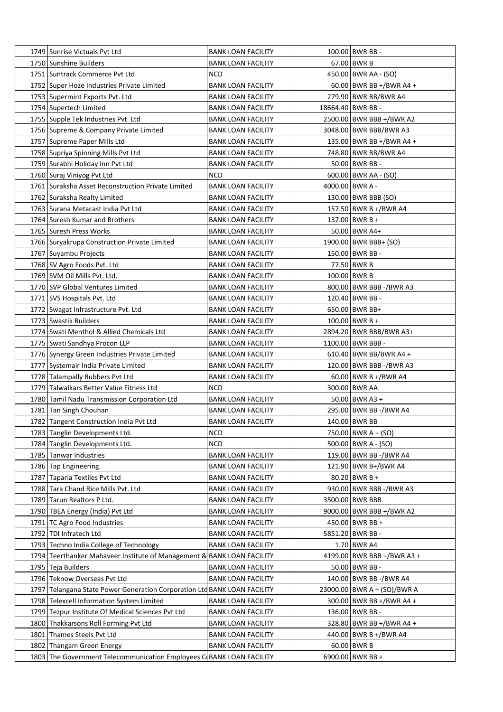| 1749 Sunrise Victuals Pvt Ltd                                            | <b>BANK LOAN FACILITY</b> | 100.00 BWR BB -             |
|--------------------------------------------------------------------------|---------------------------|-----------------------------|
| 1750 Sunshine Builders                                                   | <b>BANK LOAN FACILITY</b> | 67.00 BWR B                 |
| 1751 Suntrack Commerce Pvt Ltd                                           | <b>NCD</b>                | 450.00   BWR AA - (SO)      |
| 1752 Super Hoze Industries Private Limited                               | <b>BANK LOAN FACILITY</b> | $60.00$ BWR BB +/BWR A4 +   |
| 1753 Supermint Exports Pvt. Ltd                                          | <b>BANK LOAN FACILITY</b> | 279.90 BWR BB/BWR A4        |
| 1754 Supertech Limited                                                   | <b>BANK LOAN FACILITY</b> | 18664.40 BWR BB -           |
| 1755 Supple Tek Industries Pvt. Ltd                                      | <b>BANK LOAN FACILITY</b> | 2500.00 BWR BBB +/BWR A2    |
| 1756 Supreme & Company Private Limited                                   | <b>BANK LOAN FACILITY</b> | 3048.00 BWR BBB/BWR A3      |
| 1757 Supreme Paper Mills Ltd                                             | <b>BANK LOAN FACILITY</b> | 135.00 BWR BB +/BWR A4 +    |
| 1758 Supriya Spinning Mills Pvt Ltd                                      | <b>BANK LOAN FACILITY</b> | 748.80 BWR BB/BWR A4        |
| 1759 Surabhi Holiday Inn Pvt Ltd                                         | <b>BANK LOAN FACILITY</b> | 50.00 BWR BB -              |
| 1760 Suraj Viniyog Pvt Ltd                                               | NCD                       | 600.00   BWR AA - (SO)      |
| 1761 Suraksha Asset Reconstruction Private Limited                       | <b>BANK LOAN FACILITY</b> | 4000.00 BWR A -             |
| 1762 Suraksha Realty Limited                                             | <b>BANK LOAN FACILITY</b> | 130.00 BWR BBB (SO)         |
| 1763   Surana Metacast India Pvt Ltd                                     | <b>BANK LOAN FACILITY</b> | 157.50 BWR B +/BWR A4       |
| 1764 Suresh Kumar and Brothers                                           | <b>BANK LOAN FACILITY</b> | 137.00 BWR B +              |
| 1765 Suresh Press Works                                                  | <b>BANK LOAN FACILITY</b> | 50.00 BWR A4+               |
| 1766 Suryakrupa Construction Private Limited                             | <b>BANK LOAN FACILITY</b> | 1900.00 BWR BBB+ (SO)       |
| 1767 Suyambu Projects                                                    | <b>BANK LOAN FACILITY</b> | 150.00 BWR BB -             |
| 1768 SV Agro Foods Pvt. Ltd                                              | <b>BANK LOAN FACILITY</b> | 77.50 BWR B                 |
| 1769 SVM Oil Mills Pvt. Ltd.                                             | <b>BANK LOAN FACILITY</b> | 100.00 BWR B                |
|                                                                          |                           |                             |
| 1770 SVP Global Ventures Limited                                         | <b>BANK LOAN FACILITY</b> | 800.00 BWR BBB -/BWR A3     |
| 1771 SVS Hospitals Pvt. Ltd                                              | <b>BANK LOAN FACILITY</b> | 120.40 BWR BB -             |
| 1772 Swagat Infrastructure Pvt. Ltd                                      | <b>BANK LOAN FACILITY</b> | 650.00   BWR BB+            |
| 1773 Swastik Builders                                                    | <b>BANK LOAN FACILITY</b> | $100.00$ BWR B +            |
| 1774 Swati Menthol & Allied Chemicals Ltd                                | <b>BANK LOAN FACILITY</b> | 2894.20 BWR BBB/BWR A3+     |
| 1775 Swati Sandhya Procon LLP                                            | <b>BANK LOAN FACILITY</b> | 1100.00 BWR BBB -           |
| 1776 Synergy Green Industries Private Limited                            | <b>BANK LOAN FACILITY</b> | 610.40 BWR BB/BWR A4 +      |
| 1777   Systemair India Private Limited                                   | <b>BANK LOAN FACILITY</b> | 120.00 BWR BBB -/BWR A3     |
| 1778 Talampally Rubbers Pvt Ltd                                          | <b>BANK LOAN FACILITY</b> | 60.00 BWR B +/BWR A4        |
| 1779 Talwalkars Better Value Fitness Ltd                                 | NCD                       | 300.00 BWR AA               |
| 1780 Tamil Nadu Transmission Corporation Ltd                             | <b>BANK LOAN FACILITY</b> | $50.00$ BWR A3 +            |
| 1781 Tan Singh Chouhan                                                   | <b>BANK LOAN FACILITY</b> | 295.00 BWR BB -/BWR A4      |
| 1782 Tangent Construction India Pvt Ltd                                  | <b>BANK LOAN FACILITY</b> | 140.00 BWR BB               |
| 1783 Tanglin Developments Ltd.                                           | <b>NCD</b>                | 750.00 BWR A + (SO)         |
| 1784 Tanglin Developments Ltd.                                           | <b>NCD</b>                | $500.00$ BWR A - (SO)       |
| 1785 Tanwar Industries                                                   | <b>BANK LOAN FACILITY</b> | 119.00 BWR BB -/BWR A4      |
| 1786 Tap Engineering                                                     | <b>BANK LOAN FACILITY</b> | 121.90 BWR B+/BWR A4        |
| 1787 Taparia Textiles Pvt Ltd                                            | <b>BANK LOAN FACILITY</b> | $80.20$ BWR B +             |
| 1788 Tara Chand Rice Mills Pvt. Ltd                                      | <b>BANK LOAN FACILITY</b> | 930.00 BWR BBB -/BWR A3     |
| 1789 Tarun Realtors P Ltd.                                               | <b>BANK LOAN FACILITY</b> | 3500.00 BWR BBB             |
| 1790 TBEA Energy (India) Pvt Ltd                                         | <b>BANK LOAN FACILITY</b> | 9000.00 BWR BBB +/BWR A2    |
| 1791 TC Agro Food Industries                                             | <b>BANK LOAN FACILITY</b> | 450.00 BWR BB +             |
| 1792   TDI Infratech Ltd                                                 | <b>BANK LOAN FACILITY</b> | 5851.20 BWR BB -            |
| 1793 Techno India College of Technology                                  | <b>BANK LOAN FACILITY</b> | 1.70 BWR A4                 |
| 1794 Teerthanker Mahaveer Institute of Management & BANK LOAN FACILITY   |                           | 4199.00 BWR BBB +/BWR A3 +  |
| 1795 Teja Builders                                                       | <b>BANK LOAN FACILITY</b> | 50.00 BWR BB -              |
| 1796 Teknow Overseas Pvt Ltd                                             | <b>BANK LOAN FACILITY</b> | 140.00 BWR BB -/BWR A4      |
| 1797 Telangana State Power Generation Corporation Ltd BANK LOAN FACILITY |                           | 23000.00 BWR A + (SO)/BWR A |
| 1798 Telexcell Information System Limited                                | <b>BANK LOAN FACILITY</b> | 300.00 BWR BB +/BWR A4 +    |
| 1799 Tezpur Institute Of Medical Sciences Pvt Ltd                        | <b>BANK LOAN FACILITY</b> | 136.00 BWR BB -             |
| 1800 Thakkarsons Roll Forming Pvt Ltd                                    | <b>BANK LOAN FACILITY</b> | 328.80 BWR BB +/BWR A4 +    |
| 1801 Thames Steels Pvt Ltd                                               | <b>BANK LOAN FACILITY</b> | 440.00 BWR B +/BWR A4       |
| 1802 Thangam Green Energy                                                | <b>BANK LOAN FACILITY</b> | 60.00 BWR B                 |
| 1803 The Government Telecommunication Employees C BANK LOAN FACILITY     |                           | 6900.00 BWR BB +            |
|                                                                          |                           |                             |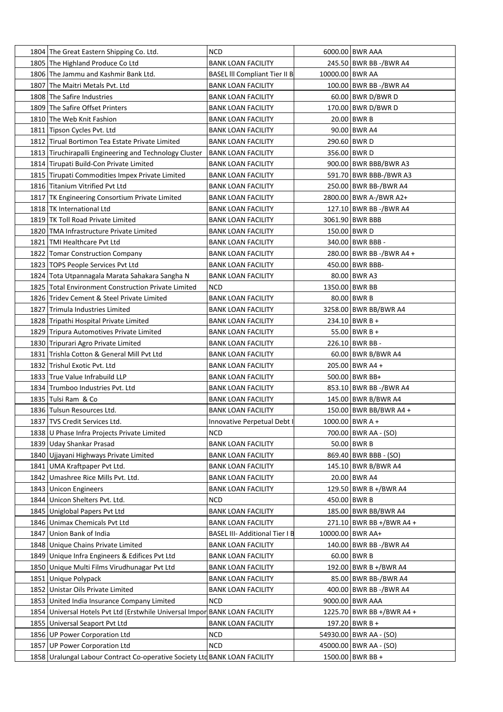| 1804 The Great Eastern Shipping Co. Ltd.            |                                                                             | <b>NCD</b>                            |                 | 6000.00 BWR AAA           |
|-----------------------------------------------------|-----------------------------------------------------------------------------|---------------------------------------|-----------------|---------------------------|
| 1805 The Highland Produce Co Ltd                    |                                                                             | BANK LOAN FACILITY                    |                 | 245.50 BWR BB -/BWR A4    |
| 1806 The Jammu and Kashmir Bank Ltd.                |                                                                             | <b>BASEL III Compliant Tier II B</b>  | 10000.00 BWR AA |                           |
| 1807 The Maitri Metals Pvt. Ltd                     |                                                                             | <b>BANK LOAN FACILITY</b>             |                 | 100.00 BWR BB -/BWR A4    |
| 1808 The Safire Industries                          |                                                                             | <b>BANK LOAN FACILITY</b>             |                 | 60.00 BWR D/BWR D         |
| 1809 The Safire Offset Printers                     |                                                                             | BANK LOAN FACILITY                    |                 | 170.00 BWR D/BWR D        |
| 1810 The Web Knit Fashion                           |                                                                             | BANK LOAN FACILITY                    |                 | $20.00$ BWR B             |
| 1811 Tipson Cycles Pvt. Ltd                         |                                                                             | <b>BANK LOAN FACILITY</b>             |                 | 90.00 BWR A4              |
| 1812 Tirual Bortimon Tea Estate Private Limited     |                                                                             | <b>BANK LOAN FACILITY</b>             |                 | 290.60 BWR D              |
|                                                     | 1813 Tiruchirapalli Engineering and Technology Cluster                      | <b>BANK LOAN FACILITY</b>             |                 | 356.00 BWR D              |
| 1814 Tirupati Build-Con Private Limited             |                                                                             | <b>BANK LOAN FACILITY</b>             |                 | 900.00 BWR BBB/BWR A3     |
| 1815 Tirupati Commodities Impex Private Limited     |                                                                             | <b>BANK LOAN FACILITY</b>             |                 | 591.70 BWR BBB-/BWR A3    |
| 1816 Titanium Vitrified Pvt Ltd                     |                                                                             | <b>BANK LOAN FACILITY</b>             |                 | 250.00 BWR BB-/BWR A4     |
| 1817   TK Engineering Consortium Private Limited    |                                                                             | <b>BANK LOAN FACILITY</b>             |                 | 2800.00 BWR A-/BWR A2+    |
| 1818   TK International Ltd                         |                                                                             | <b>BANK LOAN FACILITY</b>             |                 | 127.10 BWR BB -/BWR A4    |
| 1819 TK Toll Road Private Limited                   |                                                                             | <b>BANK LOAN FACILITY</b>             |                 | 3061.90 BWR BBB           |
| 1820 TMA Infrastructure Private Limited             |                                                                             | <b>BANK LOAN FACILITY</b>             |                 | 150.00 BWR D              |
| 1821 TMI Healthcare Pvt Ltd                         |                                                                             | <b>BANK LOAN FACILITY</b>             |                 | 340.00 BWR BBB -          |
| 1822 Tomar Construction Company                     |                                                                             | <b>BANK LOAN FACILITY</b>             |                 | 280.00 BWR BB -/BWR A4 +  |
| 1823 TOPS People Services Pvt Ltd                   |                                                                             | <b>BANK LOAN FACILITY</b>             |                 | 450.00 BWR BBB-           |
| 1824   Tota Utpannagala Marata Sahakara Sangha N    |                                                                             | <b>BANK LOAN FACILITY</b>             |                 | 80.00 BWR A3              |
| 1825 Total Environment Construction Private Limited |                                                                             | <b>NCD</b>                            |                 | 1350.00 BWR BB            |
| 1826 Tridev Cement & Steel Private Limited          |                                                                             | <b>BANK LOAN FACILITY</b>             |                 | 80.00 BWR B               |
| 1827 Trimula Industries Limited                     |                                                                             | <b>BANK LOAN FACILITY</b>             |                 | 3258.00 BWR BB/BWR A4     |
| 1828 Tripathi Hospital Private Limited              |                                                                             | <b>BANK LOAN FACILITY</b>             |                 | $234.10$ BWR B +          |
| 1829 Tripura Automotives Private Limited            |                                                                             | BANK LOAN FACILITY                    |                 | $55.00$ BWR B +           |
| 1830 Tripurari Agro Private Limited                 |                                                                             | <b>BANK LOAN FACILITY</b>             |                 | 226.10   BWR BB -         |
| 1831 Trishla Cotton & General Mill Pvt Ltd          |                                                                             | <b>BANK LOAN FACILITY</b>             |                 | 60.00 BWR B/BWR A4        |
| 1832 Trishul Exotic Pvt. Ltd                        |                                                                             | <b>BANK LOAN FACILITY</b>             |                 | 205.00 BWR A4 +           |
| 1833 True Value Infrabuild LLP                      |                                                                             | <b>BANK LOAN FACILITY</b>             |                 | 500.00 BWR BB+            |
| 1834 Trumboo Industries Pvt. Ltd                    |                                                                             | BANK LOAN FACILITY                    |                 | 853.10 BWR BB -/BWR A4    |
| 1835 Tulsi Ram & Co                                 |                                                                             | <b>BANK LOAN FACILITY</b>             |                 | 145.00 BWR B/BWR A4       |
| 1836 Tulsun Resources Ltd.                          |                                                                             | <b>BANK LOAN FACILITY</b>             |                 | 150.00 BWR BB/BWR A4 +    |
| 1837 TVS Credit Services Ltd.                       |                                                                             | Innovative Perpetual Debt I           |                 | $1000.00$ BWR A +         |
| 1838 U Phase Infra Projects Private Limited         |                                                                             | <b>NCD</b>                            |                 | 700.00 BWR AA - (SO)      |
| 1839 Uday Shankar Prasad                            |                                                                             | <b>BANK LOAN FACILITY</b>             |                 | $50.00$ BWR B             |
| 1840 Ujjayani Highways Private Limited              |                                                                             | <b>BANK LOAN FACILITY</b>             |                 | 869.40 BWR BBB - (SO)     |
| 1841 UMA Kraftpaper Pvt Ltd.                        |                                                                             | <b>BANK LOAN FACILITY</b>             |                 | 145.10 BWR B/BWR A4       |
| 1842 Umashree Rice Mills Pvt. Ltd.                  |                                                                             | <b>BANK LOAN FACILITY</b>             |                 | 20.00 BWR A4              |
| 1843 Unicon Engineers                               |                                                                             | BANK LOAN FACILITY                    |                 | 129.50 BWR B +/BWR A4     |
| 1844 Unicon Shelters Pvt. Ltd.                      |                                                                             | <b>NCD</b>                            |                 | 450.00 BWR B              |
| 1845 Uniglobal Papers Pvt Ltd                       |                                                                             | <b>BANK LOAN FACILITY</b>             |                 | 185.00 BWR BB/BWR A4      |
| 1846 Unimax Chemicals Pvt Ltd                       |                                                                             | <b>BANK LOAN FACILITY</b>             |                 | 271.10 BWR BB +/BWR A4 +  |
| 1847 Union Bank of India                            |                                                                             | <b>BASEL III- Additional Tier I B</b> |                 | 10000.00 BWR AA+          |
| 1848 Unique Chains Private Limited                  |                                                                             | <b>BANK LOAN FACILITY</b>             |                 | 140.00 BWR BB -/BWR A4    |
| 1849 Unique Infra Engineers & Edifices Pvt Ltd      |                                                                             | <b>BANK LOAN FACILITY</b>             |                 | $60.00$ BWR B             |
| 1850 Unique Multi Films Virudhunagar Pvt Ltd        |                                                                             | <b>BANK LOAN FACILITY</b>             |                 | 192.00 BWR B +/BWR A4     |
| 1851 Unique Polypack                                |                                                                             | <b>BANK LOAN FACILITY</b>             |                 | 85.00 BWR BB-/BWR A4      |
| 1852 Unistar Oils Private Limited                   |                                                                             | <b>BANK LOAN FACILITY</b>             |                 | 400.00 BWR BB -/BWR A4    |
| 1853 United India Insurance Company Limited         |                                                                             | <b>NCD</b>                            |                 | 9000.00 BWR AAA           |
|                                                     | 1854 Universal Hotels Pvt Ltd (Erstwhile Universal Impor BANK LOAN FACILITY |                                       |                 | 1225.70 BWR BB +/BWR A4 + |
| 1855 Universal Seaport Pvt Ltd                      |                                                                             | <b>BANK LOAN FACILITY</b>             |                 | 197.20 BWR B +            |
| 1856 UP Power Corporation Ltd                       |                                                                             | <b>NCD</b>                            |                 | 54930.00 BWR AA - (SO)    |
| 1857 UP Power Corporation Ltd                       |                                                                             | <b>NCD</b>                            |                 | 45000.00 BWR AA - (SO)    |
|                                                     | 1858 Uralungal Labour Contract Co-operative Society Ltd BANK LOAN FACILITY  |                                       |                 | 1500.00 BWR BB +          |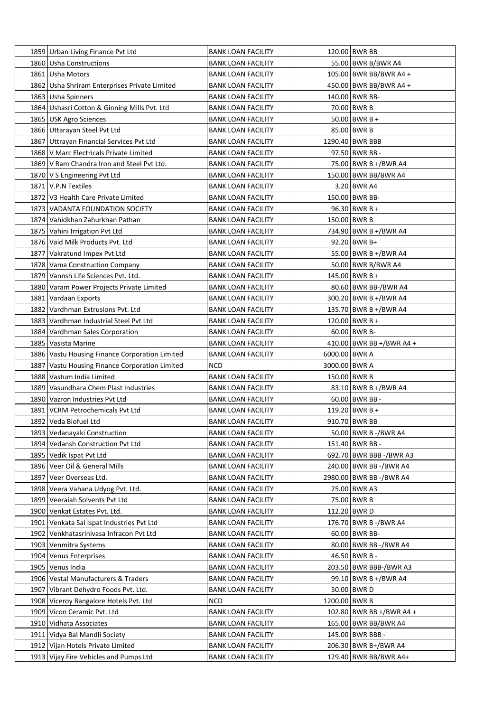|      | 1859 Urban Living Finance Pvt Ltd                                           | BANK LOAN FACILITY                                     |               | 120.00 BWR BB                                   |
|------|-----------------------------------------------------------------------------|--------------------------------------------------------|---------------|-------------------------------------------------|
|      | 1860 Usha Constructions                                                     | BANK LOAN FACILITY                                     |               | 55.00 BWR B/BWR A4                              |
|      | 1861 Usha Motors                                                            | <b>BANK LOAN FACILITY</b>                              |               | 105.00 BWR BB/BWR A4 +                          |
|      | 1862 Usha Shriram Enterprises Private Limited                               | <b>BANK LOAN FACILITY</b>                              |               | 450.00 BWR BB/BWR A4 +                          |
|      | 1863 Usha Spinners                                                          | <b>BANK LOAN FACILITY</b>                              |               | 140.00 BWR BB-                                  |
|      | 1864 Ushasri Cotton & Ginning Mills Pvt. Ltd                                | BANK LOAN FACILITY                                     |               | 70.00 BWR B                                     |
|      | 1865   USK Agro Sciences                                                    | BANK LOAN FACILITY                                     |               | $50.00$ BWR B +                                 |
|      | 1866 Uttarayan Steel Pvt Ltd                                                | <b>BANK LOAN FACILITY</b>                              |               | 85.00 BWR B                                     |
|      | 1867 Uttrayan Financial Services Pvt Ltd                                    | <b>BANK LOAN FACILITY</b>                              |               | 1290.40 BWR BBB                                 |
|      | 1868   V Marc Electricals Private Limited                                   | <b>BANK LOAN FACILITY</b>                              |               | 97.50 BWR BB -                                  |
|      | 1869 V Ram Chandra Iron and Steel Pvt Ltd.                                  | <b>BANK LOAN FACILITY</b>                              |               | 75.00 BWR B +/BWR A4                            |
|      | 1870   V S Engineering Pvt Ltd                                              | <b>BANK LOAN FACILITY</b>                              |               | 150.00 BWR BB/BWR A4                            |
|      | 1871   V.P.N Textiles                                                       | <b>BANK LOAN FACILITY</b>                              |               | 3.20 BWR A4                                     |
|      | 1872   V3 Health Care Private Limited                                       | <b>BANK LOAN FACILITY</b>                              |               | 150.00 BWR BB-                                  |
|      | 1873 VADANTA FOUNDATION SOCIETY                                             | <b>BANK LOAN FACILITY</b>                              |               | $96.30$ BWR B +                                 |
|      | 1874 Vahidkhan Zahurkhan Pathan                                             | BANK LOAN FACILITY                                     |               | 150.00 BWR B                                    |
|      | 1875 Vahini Irrigation Pvt Ltd                                              | <b>BANK LOAN FACILITY</b>                              |               | 734.90 BWR B +/BWR A4                           |
|      | 1876 Vaid Milk Products Pvt. Ltd                                            | <b>BANK LOAN FACILITY</b>                              |               | $92.20$ BWR B+                                  |
|      | 1877 Vakratund Impex Pvt Ltd                                                | BANK LOAN FACILITY                                     |               | 55.00 BWR B +/BWR A4                            |
|      | 1878 Vama Construction Company                                              | BANK LOAN FACILITY                                     |               | 50.00 BWR B/BWR A4                              |
|      | 1879 Vannsh Life Sciences Pvt. Ltd.                                         | BANK LOAN FACILITY                                     |               | $145.00$ BWR B +                                |
|      | 1880 Varam Power Projects Private Limited                                   | <b>BANK LOAN FACILITY</b>                              |               | 80.60 BWR BB-/BWR A4                            |
|      | 1881 Vardaan Exports                                                        | <b>BANK LOAN FACILITY</b>                              |               | 300.20 BWR B +/BWR A4                           |
|      | 1882 Vardhman Extrusions Pvt. Ltd                                           | <b>BANK LOAN FACILITY</b>                              |               | 135.70 BWR B +/BWR A4                           |
|      | 1883 Vardhman Industrial Steel Pvt Ltd                                      | BANK LOAN FACILITY                                     |               | $120.00$ BWR B +                                |
|      | 1884 Vardhman Sales Corporation                                             | BANK LOAN FACILITY                                     |               | $60.00$ BWR B-                                  |
|      | 1885 Vasista Marine                                                         | <b>BANK LOAN FACILITY</b>                              |               | 410.00 BWR BB +/BWR A4 +                        |
|      | 1886 Vastu Housing Finance Corporation Limited                              | <b>BANK LOAN FACILITY</b>                              | 6000.00 BWR A |                                                 |
|      | 1887 Vastu Housing Finance Corporation Limited                              | <b>NCD</b>                                             | 3000.00 BWR A |                                                 |
|      | 1888   Vastum India Limited                                                 | <b>BANK LOAN FACILITY</b>                              |               | 150.00 BWR B                                    |
|      | 1889 Vasundhara Chem Plast Industries                                       | BANK LOAN FACILITY                                     |               | 83.10 BWR B +/BWR A4                            |
|      | 1890 Vazron Industries Pvt Ltd                                              | <b>BANK LOAN FACILITY</b>                              |               | $60.00$ BWR BB -                                |
|      | 1891 VCRM Petrochemicals Pvt Ltd                                            | <b>BANK LOAN FACILITY</b>                              |               | 119.20 BWR B +                                  |
|      | 1892 Veda Biofuel Ltd                                                       | <b>BANK LOAN FACILITY</b>                              |               | 910.70 BWR BB                                   |
|      | 1893 Vedanayaki Construction                                                | <b>BANK LOAN FACILITY</b>                              |               | 50.00 BWR B -/BWR A4                            |
|      | 1894 Vedansh Construction Pvt Ltd                                           |                                                        |               | 151.40 BWR BB -                                 |
|      | 1895 Vedik Ispat Pvt Ltd                                                    | <b>BANK LOAN FACILITY</b>                              |               |                                                 |
|      |                                                                             | <b>BANK LOAN FACILITY</b>                              |               | 692.70 BWR BBB -/BWR A3                         |
|      | 1896 Veer Oil & General Mills                                               | <b>BANK LOAN FACILITY</b>                              |               | 240.00 BWR BB -/BWR A4                          |
|      | 1897 Veer Overseas Ltd.                                                     | <b>BANK LOAN FACILITY</b>                              |               | 2980.00 BWR BB -/BWR A4                         |
|      | 1898 Veera Vahana Udyog Pvt. Ltd.                                           | <b>BANK LOAN FACILITY</b>                              |               | 25.00 BWR A3<br>75.00 BWR B                     |
|      | 1899 Veeraiah Solvents Pvt Ltd                                              | <b>BANK LOAN FACILITY</b>                              |               |                                                 |
|      | 1900 Venkat Estates Pvt. Ltd.                                               | <b>BANK LOAN FACILITY</b>                              |               | 112.20 BWR D                                    |
| 1901 | Venkata Sai Ispat Industries Pvt Ltd                                        | <b>BANK LOAN FACILITY</b>                              |               | 176.70 BWR B -/ BWR A4<br>60.00 BWR BB-         |
|      | 1902 Venkhatasrinivasa Infracon Pvt Ltd                                     | <b>BANK LOAN FACILITY</b>                              |               |                                                 |
|      | 1903 Venmitra Systems                                                       | <b>BANK LOAN FACILITY</b>                              |               | 80.00 BWR BB -/BWR A4                           |
|      | 1904 Venus Enterprises                                                      | <b>BANK LOAN FACILITY</b>                              |               | 46.50 BWR B -                                   |
|      | 1905 Venus India                                                            | <b>BANK LOAN FACILITY</b>                              |               | 203.50 BWR BBB-/BWR A3                          |
|      | 1906 Vestal Manufacturers & Traders                                         | <b>BANK LOAN FACILITY</b>                              |               | 99.10 BWR B +/BWR A4                            |
|      | 1907 Vibrant Dehydro Foods Pvt. Ltd.                                        | <b>BANK LOAN FACILITY</b>                              |               | 50.00 BWR D                                     |
|      | 1908 Viceroy Bangalore Hotels Pvt. Ltd                                      | <b>NCD</b>                                             | 1200.00 BWR B |                                                 |
|      | 1909 Vicon Ceramic Pvt. Ltd                                                 | <b>BANK LOAN FACILITY</b>                              |               | 102.80 BWR BB +/BWR A4 +                        |
|      | 1910 Vidhata Associates                                                     | <b>BANK LOAN FACILITY</b>                              |               | 165.00 BWR BB/BWR A4                            |
|      | 1911   Vidya Bal Mandli Society                                             | <b>BANK LOAN FACILITY</b>                              |               | 145.00 BWR BBB -                                |
|      |                                                                             |                                                        |               |                                                 |
|      | 1912 Vijan Hotels Private Limited<br>1913 Vijay Fire Vehicles and Pumps Ltd | <b>BANK LOAN FACILITY</b><br><b>BANK LOAN FACILITY</b> |               | 206.30   BWR B+/BWR A4<br>129.40 BWR BB/BWR A4+ |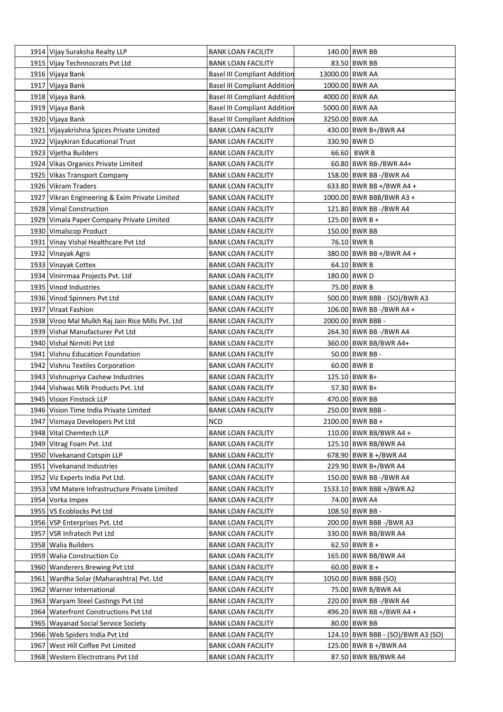|      | 1914 Vijay Suraksha Realty LLP                    | <b>BANK LOAN FACILITY</b>           |                 | 140.00 BWR BB                     |
|------|---------------------------------------------------|-------------------------------------|-----------------|-----------------------------------|
|      | 1915 Vijay Technnocrats Pvt Ltd                   | <b>BANK LOAN FACILITY</b>           |                 | 83.50 BWR BB                      |
|      | 1916 Vijaya Bank                                  | <b>Basel III Compliant Addition</b> | 13000.00 BWR AA |                                   |
|      | 1917   Vijaya Bank                                | <b>Basel III Compliant Addition</b> |                 | 1000.00 BWR AA                    |
|      | 1918 Vijaya Bank                                  | <b>Basel III Compliant Addition</b> |                 | 4000.00 BWR AA                    |
|      | 1919 Vijaya Bank                                  | <b>Basel III Compliant Addition</b> |                 | 5000.00 BWR AA                    |
|      | 1920 Vijaya Bank                                  | <b>Basel III Compliant Addition</b> |                 | 3250.00 BWR AA                    |
|      | 1921 Vijayakrishna Spices Private Limited         | <b>BANK LOAN FACILITY</b>           |                 | 430.00 BWR B+/BWR A4              |
|      | 1922 Vijaykiran Educational Trust                 | <b>BANK LOAN FACILITY</b>           |                 | 330.90 BWR D                      |
|      | 1923 Vijetha Builders                             | <b>BANK LOAN FACILITY</b>           |                 | 66.60   BWR B                     |
|      | 1924 Vikas Organics Private Limited               | <b>BANK LOAN FACILITY</b>           |                 | 60.80 BWR BB-/BWR A4+             |
|      | 1925 Vikas Transport Company                      | <b>BANK LOAN FACILITY</b>           |                 | 158.00 BWR BB -/BWR A4            |
|      | 1926   Vikram Traders                             | <b>BANK LOAN FACILITY</b>           |                 | 633.80 BWR BB +/BWR A4 +          |
|      | 1927 Vikran Engineering & Exim Private Limited    | <b>BANK LOAN FACILITY</b>           |                 | 1000.00 BWR BBB/BWR A3 +          |
|      | 1928 Vimal Construction                           | <b>BANK LOAN FACILITY</b>           |                 | 121.80 BWR BB -/BWR A4            |
|      | 1929 Vimala Paper Company Private Limited         | <b>BANK LOAN FACILITY</b>           |                 | $125.00$ BWR B +                  |
|      | 1930 Vimalscop Product                            | <b>BANK LOAN FACILITY</b>           |                 | 150.00 BWR BB                     |
|      | 1931 Vinay Vishal Healthcare Pvt Ltd              | <b>BANK LOAN FACILITY</b>           |                 | 76.10 BWR B                       |
|      | 1932 Vinayak Agro                                 | <b>BANK LOAN FACILITY</b>           |                 | 380.00 BWR BB +/BWR A4 +          |
|      | 1933 Vinayak Cottex                               | <b>BANK LOAN FACILITY</b>           |                 | 64.10 BWR B                       |
|      |                                                   |                                     |                 |                                   |
|      | 1934 Vinirrmaa Projects Pvt. Ltd                  | <b>BANK LOAN FACILITY</b>           |                 | 180.00 BWR D<br>75.00 BWR B       |
|      | 1935 Vinod Industries                             | <b>BANK LOAN FACILITY</b>           |                 |                                   |
|      | 1936 Vinod Spinners Pvt Ltd                       | <b>BANK LOAN FACILITY</b>           |                 | 500.00 BWR BBB - (SO)/BWR A3      |
|      | 1937 Viraat Fashion                               | <b>BANK LOAN FACILITY</b>           |                 | 106.00 BWR BB -/BWR A4 +          |
|      | 1938 Viroo Mal Mulkh Raj Jain Rice Mills Pvt. Ltd | <b>BANK LOAN FACILITY</b>           |                 | 2000.00 BWR BBB -                 |
|      | 1939 Vishal Manufacturer Pvt Ltd                  | BANK LOAN FACILITY                  |                 | 264.30 BWR BB -/BWR A4            |
|      | 1940 Vishal Nirmiti Pvt Ltd                       | <b>BANK LOAN FACILITY</b>           |                 | 360.00 BWR BB/BWR A4+             |
|      | 1941 Vishnu Education Foundation                  | <b>BANK LOAN FACILITY</b>           |                 | 50.00 BWR BB -                    |
|      | 1942 Vishnu Textiles Corporation                  | <b>BANK LOAN FACILITY</b>           |                 | 60.00 BWR B                       |
|      | 1943   Vishnupriya Cashew Industries              | <b>BANK LOAN FACILITY</b>           |                 | 125.10 BWR B+                     |
|      | 1944 Vishwas Milk Products Pvt. Ltd               | <b>BANK LOAN FACILITY</b>           |                 | 57.30 BWR B+                      |
|      | 1945 Vision Finstock LLP                          | <b>BANK LOAN FACILITY</b>           |                 | 470.00 BWR BB                     |
|      | 1946 Vision Time India Private Limited            | <b>BANK LOAN FACILITY</b>           |                 | 250.00 BWR BBB -                  |
|      | 1947 Vismaya Developers Pvt Ltd                   | <b>NCD</b>                          |                 | 2100.00 BWR BB +                  |
|      | 1948 Vital Chemtech LLP                           | <b>BANK LOAN FACILITY</b>           |                 | 110.00 BWR BB/BWR A4 +            |
|      | 1949 Vitrag Foam Pvt. Ltd                         | <b>BANK LOAN FACILITY</b>           |                 | 125.10 BWR BB/BWR A4              |
|      | 1950 Vivekanand Cotspin LLP                       | <b>BANK LOAN FACILITY</b>           |                 | 678.90 BWR B +/BWR A4             |
|      | 1951 Vivekanand Industries                        | <b>BANK LOAN FACILITY</b>           |                 | 229.90 BWR B+/BWR A4              |
|      | 1952 Viz Experts India Pvt Ltd.                   | <b>BANK LOAN FACILITY</b>           |                 | 150.00 BWR BB -/BWR A4            |
|      | 1953 VM Matere Infrastructure Private Limited     | <b>BANK LOAN FACILITY</b>           |                 | 1533.10 BWR BBB +/BWR A2          |
|      | 1954 Vorka Impex                                  | <b>BANK LOAN FACILITY</b>           |                 | 74.00 BWR A4                      |
|      | 1955   VS Ecoblocks Pvt Ltd                       | <b>BANK LOAN FACILITY</b>           |                 | 108.50 BWR BB -                   |
|      | 1956   VSP Enterprises Pvt. Ltd                   | <b>BANK LOAN FACILITY</b>           |                 | 200.00 BWR BBB -/BWR A3           |
|      | 1957   VSR Infratech Pvt Ltd                      | <b>BANK LOAN FACILITY</b>           |                 | 330.00 BWR BB/BWR A4              |
|      | 1958 Walia Builders                               | <b>BANK LOAN FACILITY</b>           |                 | 62.50 BWR B +                     |
|      | 1959 Walia Construction Co                        | <b>BANK LOAN FACILITY</b>           |                 | 165.00 BWR BB/BWR A4              |
|      | 1960 Wanderers Brewing Pvt Ltd                    | <b>BANK LOAN FACILITY</b>           |                 | $60.00$   BWR B +                 |
| 1961 | Wardha Solar (Maharashtra) Pvt. Ltd               | <b>BANK LOAN FACILITY</b>           |                 | 1050.00 BWR BBB (SO)              |
|      | 1962 Warner International                         | <b>BANK LOAN FACILITY</b>           |                 | 75.00 BWR B/BWR A4                |
|      | 1963 Waryam Steel Castings Pvt Ltd                | <b>BANK LOAN FACILITY</b>           |                 | 220.00 BWR BB -/BWR A4            |
|      | 1964 Waterfront Constructions Pvt Ltd             | <b>BANK LOAN FACILITY</b>           |                 | 496.20 BWR BB +/BWR A4 +          |
|      | 1965   Wayanad Social Service Society             | <b>BANK LOAN FACILITY</b>           |                 | 80.00 BWR BB                      |
|      | 1966 Web Spiders India Pvt Ltd                    | <b>BANK LOAN FACILITY</b>           |                 | 124.10 BWR BBB - (SO)/BWR A3 (SO) |
|      | 1967   West Hill Coffee Pvt Limited               | <b>BANK LOAN FACILITY</b>           |                 | 125.00   BWR B +/BWR A4           |
|      | 1968 Western Electrotrans Pvt Ltd                 | <b>BANK LOAN FACILITY</b>           |                 | 87.50 BWR BB/BWR A4               |